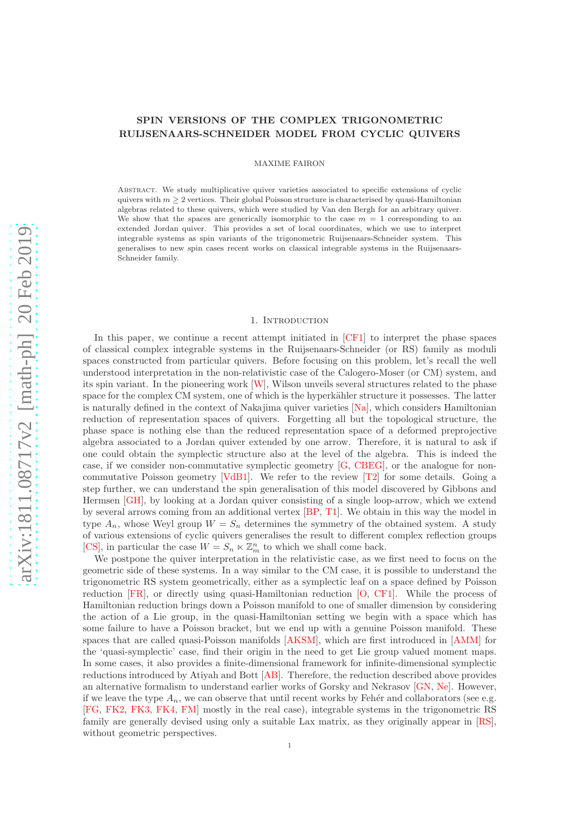# SPIN VERSIONS OF THE COMPLEX TRIGONOMETRIC RUIJSENAARS-SCHNEIDER MODEL FROM CYCLIC QUIVERS

MAXIME FAIRON

Abstract. We study multiplicative quiver varieties associated to specific extensions of cyclic quivers with  $m \geq 2$  vertices. Their global Poisson structure is characterised by quasi-Hamiltonian algebras related to these quivers, which were studied by Van den Bergh for an arbitrary quiver. We show that the spaces are generically isomorphic to the case  $m = 1$  corresponding to an extended Jordan quiver. This provides a set of local coordinates, which we use to interpret integrable systems as spin variants of the trigonometric Ruijsenaars-Schneider system. This generalises to new spin cases recent works on classical integrable systems in the Ruijsenaars-Schneider family.

### 1. Introduction

In this paper, we continue a recent attempt initiated in [\[CF1\]](#page-38-0) to interpret the phase spaces of classical complex integrable systems in the Ruijsenaars-Schneider (or RS) family as moduli spaces constructed from particular quivers. Before focusing on this problem, let's recall the well understood interpretation in the non-relativistic case of the Calogero-Moser (or CM) system, and its spin variant. In the pioneering work [\[W\]](#page-39-0), Wilson unveils several structures related to the phase space for the complex CM system, one of which is the hyperkähler structure it possesses. The latter is naturally defined in the context of Nakajima quiver varieties [\[Na\]](#page-39-1), which considers Hamiltonian reduction of representation spaces of quivers. Forgetting all but the topological structure, the phase space is nothing else than the reduced representation space of a deformed preprojective algebra associated to a Jordan quiver extended by one arrow. Therefore, it is natural to ask if one could obtain the symplectic structure also at the level of the algebra. This is indeed the case, if we consider non-commutative symplectic geometry [\[G,](#page-39-2) [CBEG\]](#page-38-1), or the analogue for noncommutative Poisson geometry  $[VdB1]$ . We refer to the review  $[T2]$  for some details. Going a step further, we can understand the spin generalisation of this model discovered by Gibbons and Hermsen [\[GH\]](#page-39-5), by looking at a Jordan quiver consisting of a single loop-arrow, which we extend by several arrows coming from an additional vertex [\[BP,](#page-38-2) [T1\]](#page-39-6). We obtain in this way the model in type  $A_n$ , whose Weyl group  $W = S_n$  determines the symmetry of the obtained system. A study of various extensions of cyclic quivers generalises the result to different complex reflection groups [\[CS\]](#page-38-3), in particular the case  $W = S_n \ltimes \mathbb{Z}_m^n$  to which we shall come back.

We postpone the quiver interpretation in the relativistic case, as we first need to focus on the geometric side of these systems. In a way similar to the CM case, it is possible to understand the trigonometric RS system geometrically, either as a symplectic leaf on a space defined by Poisson reduction [\[FR\]](#page-39-7), or directly using quasi-Hamiltonian reduction [\[O,](#page-39-8) [CF1\]](#page-38-0). While the process of Hamiltonian reduction brings down a Poisson manifold to one of smaller dimension by considering the action of a Lie group, in the quasi-Hamiltonian setting we begin with a space which has some failure to have a Poisson bracket, but we end up with a genuine Poisson manifold. These spaces that are called quasi-Poisson manifolds [\[AKSM\]](#page-38-4), which are first introduced in [\[AMM\]](#page-38-5) for the 'quasi-symplectic' case, find their origin in the need to get Lie group valued moment maps. In some cases, it also provides a finite-dimensional framework for infinite-dimensional symplectic reductions introduced by Atiyah and Bott [\[AB\]](#page-38-6). Therefore, the reduction described above provides an alternative formalism to understand earlier works of Gorsky and Nekrasov [\[GN,](#page-39-9) [Ne\]](#page-39-10). However, if we leave the type  $A_n$ , we can observe that until recent works by Fehér and collaborators (see e.g. [\[FG,](#page-38-7) [FK2,](#page-39-11) [FK3,](#page-39-12) [FK4,](#page-39-13) [FM\]](#page-39-14) mostly in the real case), integrable systems in the trigonometric RS family are generally devised using only a suitable Lax matrix, as they originally appear in [\[RS\]](#page-39-15), without geometric perspectives.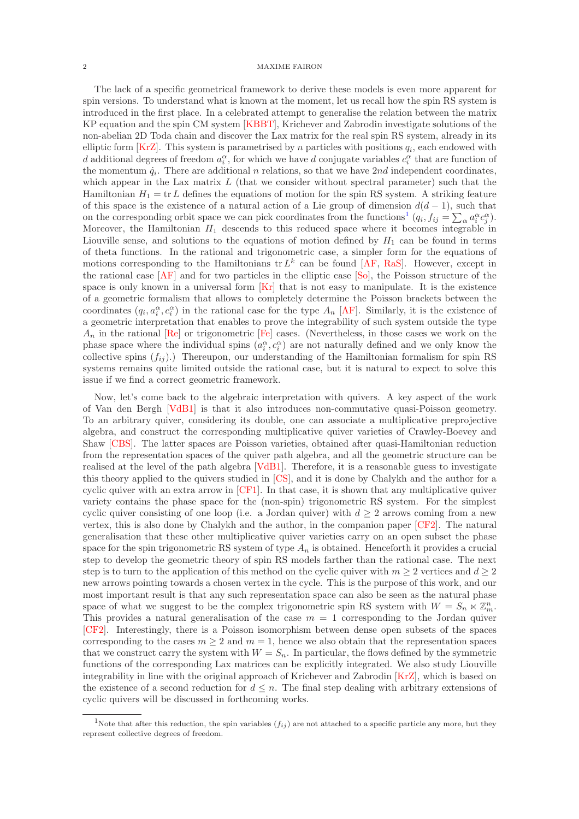The lack of a specific geometrical framework to derive these models is even more apparent for spin versions. To understand what is known at the moment, let us recall how the spin RS system is introduced in the first place. In a celebrated attempt to generalise the relation between the matrix KP equation and the spin CM system [\[KBBT\]](#page-39-16), Krichever and Zabrodin investigate solutions of the non-abelian 2D Toda chain and discover the Lax matrix for the real spin RS system, already in its elliptic form  $[KrZ]$ . This system is parametrised by n particles with positions  $q_i$ , each endowed with d additional degrees of freedom  $a_i^{\alpha}$ , for which we have d conjugate variables  $c_i^{\alpha}$  that are function of the momentum  $\dot{q}_i$ . There are additional n relations, so that we have 2nd independent coordinates, which appear in the Lax matrix  $L$  (that we consider without spectral parameter) such that the Hamiltonian  $H_1 = \text{tr } L$  defines the equations of motion for the spin RS system. A striking feature of this space is the existence of a natural action of a Lie group of dimension  $d(d-1)$ , such that on the corresponding orbit space we can pick coordinates from the functions<sup>[1](#page-1-0)</sup>  $(q_i, f_{ij} = \sum_{\alpha} a_i^{\alpha} c_j^{\alpha})$ . Moreover, the Hamiltonian  $H_1$  descends to this reduced space where it becomes integrable in Liouville sense, and solutions to the equations of motion defined by  $H_1$  can be found in terms of theta functions. In the rational and trigonometric case, a simpler form for the equations of motions corresponding to the Hamiltonians  $tr L^k$  can be found [\[AF,](#page-38-8) [RaS\]](#page-39-18). However, except in the rational case [\[AF\]](#page-38-8) and for two particles in the elliptic case [\[So\]](#page-39-19), the Poisson structure of the space is only known in a universal form  $[Kr]$  that is not easy to manipulate. It is the existence of a geometric formalism that allows to completely determine the Poisson brackets between the coordinates  $(q_i, a_i^{\alpha}, c_i^{\alpha})$  in the rational case for the type  $A_n$  [\[AF\]](#page-38-8). Similarly, it is the existence of a geometric interpretation that enables to prove the integrability of such system outside the type  $A_n$  in the rational [\[Re\]](#page-39-21) or trigonometric [\[Fe\]](#page-38-9) cases. (Nevertheless, in those cases we work on the phase space where the individual spins  $(a_i^{\alpha}, c_i^{\alpha})$  are not naturally defined and we only know the collective spins  $(f_{ij})$ .) Thereupon, our understanding of the Hamiltonian formalism for spin RS systems remains quite limited outside the rational case, but it is natural to expect to solve this issue if we find a correct geometric framework.

Now, let's come back to the algebraic interpretation with quivers. A key aspect of the work of Van den Bergh [\[VdB1\]](#page-39-3) is that it also introduces non-commutative quasi-Poisson geometry. To an arbitrary quiver, considering its double, one can associate a multiplicative preprojective algebra, and construct the corresponding multiplicative quiver varieties of Crawley-Boevey and Shaw [\[CBS\]](#page-38-10). The latter spaces are Poisson varieties, obtained after quasi-Hamiltonian reduction from the representation spaces of the quiver path algebra, and all the geometric structure can be realised at the level of the path algebra [\[VdB1\]](#page-39-3). Therefore, it is a reasonable guess to investigate this theory applied to the quivers studied in [\[CS\]](#page-38-3), and it is done by Chalykh and the author for a cyclic quiver with an extra arrow in [\[CF1\]](#page-38-0). In that case, it is shown that any multiplicative quiver variety contains the phase space for the (non-spin) trigonometric RS system. For the simplest cyclic quiver consisting of one loop (i.e. a Jordan quiver) with  $d \geq 2$  arrows coming from a new vertex, this is also done by Chalykh and the author, in the companion paper [\[CF2\]](#page-38-11). The natural generalisation that these other multiplicative quiver varieties carry on an open subset the phase space for the spin trigonometric RS system of type  $A_n$  is obtained. Henceforth it provides a crucial step to develop the geometric theory of spin RS models farther than the rational case. The next step is to turn to the application of this method on the cyclic quiver with  $m \geq 2$  vertices and  $d \geq 2$ new arrows pointing towards a chosen vertex in the cycle. This is the purpose of this work, and our most important result is that any such representation space can also be seen as the natural phase space of what we suggest to be the complex trigonometric spin RS system with  $W = S_n \ltimes \mathbb{Z}_m^n$ . This provides a natural generalisation of the case  $m = 1$  corresponding to the Jordan quiver [\[CF2\]](#page-38-11). Interestingly, there is a Poisson isomorphism between dense open subsets of the spaces corresponding to the cases  $m \geq 2$  and  $m = 1$ , hence we also obtain that the representation spaces that we construct carry the system with  $W = S_n$ . In particular, the flows defined by the symmetric functions of the corresponding Lax matrices can be explicitly integrated. We also study Liouville integrability in line with the original approach of Krichever and Zabrodin [\[KrZ\]](#page-39-17), which is based on the existence of a second reduction for  $d \leq n$ . The final step dealing with arbitrary extensions of cyclic quivers will be discussed in forthcoming works.

<span id="page-1-0"></span><sup>&</sup>lt;sup>1</sup>Note that after this reduction, the spin variables  $(f_{ij})$  are not attached to a specific particle any more, but they represent collective degrees of freedom.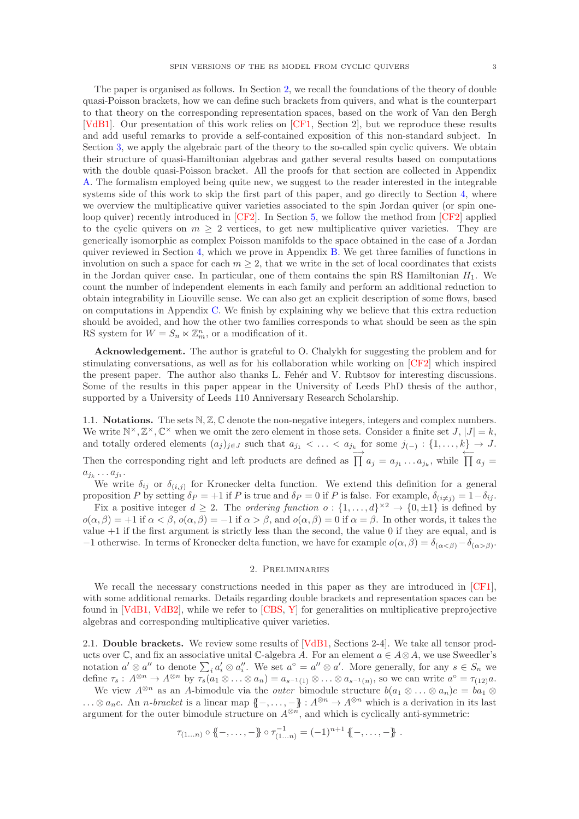The paper is organised as follows. In Section [2,](#page-2-0) we recall the foundations of the theory of double quasi-Poisson brackets, how we can define such brackets from quivers, and what is the counterpart to that theory on the corresponding representation spaces, based on the work of Van den Bergh [\[VdB1\]](#page-39-3). Our presentation of this work relies on [\[CF1,](#page-38-0) Section 2], but we reproduce these results and add useful remarks to provide a self-contained exposition of this non-standard subject. In Section [3,](#page-8-0) we apply the algebraic part of the theory to the so-called spin cyclic quivers. We obtain their structure of quasi-Hamiltonian algebras and gather several results based on computations with the double quasi-Poisson bracket. All the proofs for that section are collected in Appendix [A.](#page-23-0) The formalism employed being quite new, we suggest to the reader interested in the integrable systems side of this work to skip the first part of this paper, and go directly to Section [4,](#page-11-0) where we overview the multiplicative quiver varieties associated to the spin Jordan quiver (or spin oneloop quiver) recently introduced in [\[CF2\]](#page-38-11). In Section [5,](#page-13-0) we follow the method from [\[CF2\]](#page-38-11) applied to the cyclic quivers on  $m \geq 2$  vertices, to get new multiplicative quiver varieties. They are generically isomorphic as complex Poisson manifolds to the space obtained in the case of a Jordan quiver reviewed in Section [4,](#page-11-0) which we prove in Appendix [B.](#page-34-0) We get three families of functions in involution on such a space for each  $m \geq 2$ , that we write in the set of local coordinates that exists in the Jordan quiver case. In particular, one of them contains the spin RS Hamiltonian  $H_1$ . We count the number of independent elements in each family and perform an additional reduction to obtain integrability in Liouville sense. We can also get an explicit description of some flows, based on computations in Appendix [C.](#page-35-0) We finish by explaining why we believe that this extra reduction should be avoided, and how the other two families corresponds to what should be seen as the spin RS system for  $W = S_n \ltimes \mathbb{Z}_m^n$ , or a modification of it.

Acknowledgement. The author is grateful to O. Chalykh for suggesting the problem and for stimulating conversations, as well as for his collaboration while working on [\[CF2\]](#page-38-11) which inspired the present paper. The author also thanks L. Feher and V. Rubtsov for interesting discussions. Some of the results in this paper appear in the University of Leeds PhD thesis of the author, supported by a University of Leeds 110 Anniversary Research Scholarship.

<span id="page-2-1"></span>1.1. **Notations.** The sets  $\mathbb{N}, \mathbb{Z}, \mathbb{C}$  denote the non-negative integers, integers and complex numbers. We write  $\mathbb{N}^{\times}, \mathbb{Z}^{\times}, \mathbb{C}^{\times}$  when we omit the zero element in those sets. Consider a finite set  $J, |J| = k$ , and totally ordered elements  $(a_j)_{j\in J}$  such that  $a_{j_1} < \ldots < a_{j_k}$  for some  $j_{(-)} : \{1, \ldots, k\} \to J$ . Then the corresponding right and left products are defined as  $\overrightarrow{\prod} a_j = a_{j_1} \dots a_{j_k}$ , while  $\overleftarrow{\prod} a_j =$ 

 $a_{j_k}\ldots a_{j_1}.$ 

We write  $\delta_{ij}$  or  $\delta_{(i,j)}$  for Kronecker delta function. We extend this definition for a general proposition P by setting  $\delta_P = +1$  if P is true and  $\delta_P = 0$  if P is false. For example,  $\delta_{(i \neq j)} = 1 - \delta_{ij}$ .

Fix a positive integer  $d \geq 2$ . The *ordering function*  $o: \{1, \ldots, d\}^{\times 2} \to \{0, \pm 1\}$  is defined by  $o(\alpha, \beta) = +1$  if  $\alpha < \beta$ ,  $o(\alpha, \beta) = -1$  if  $\alpha > \beta$ , and  $o(\alpha, \beta) = 0$  if  $\alpha = \beta$ . In other words, it takes the value +1 if the first argument is strictly less than the second, the value 0 if they are equal, and is  $-1$  otherwise. In terms of Kronecker delta function, we have for example  $o(α, β) = δ(α < β) - δ(α > β)$ .

## 2. Preliminaries

<span id="page-2-0"></span>We recall the necessary constructions needed in this paper as they are introduced in [\[CF1\]](#page-38-0), with some additional remarks. Details regarding double brackets and representation spaces can be found in [\[VdB1,](#page-39-3) [VdB2\]](#page-39-22), while we refer to [\[CBS,](#page-38-10) [Y\]](#page-39-23) for generalities on multiplicative preprojective algebras and corresponding multiplicative quiver varieties.

<span id="page-2-2"></span>2.1. Double brackets. We review some results of [\[VdB1,](#page-39-3) Sections 2-4]. We take all tensor products over  $\mathbb C$ , and fix an associative unital  $\mathbb C$ -algebra A. For an element  $a \in A \otimes A$ , we use Sweedler's notation  $a' \otimes a''$  to denote  $\sum_i a'_i \otimes a''_i$ . We set  $a^{\circ} = a'' \otimes a'$ . More generally, for any  $s \in S_n$  we define  $\tau_s: A^{\otimes n} \to A^{\otimes n}$  by  $\tau_s(a_1 \otimes \ldots \otimes a_n) = a_{s^{-1}(1)} \otimes \ldots \otimes a_{s^{-1}(n)}$ , so we can write  $a^{\circ} = \tau_{(12)}a$ .

We view  $A^{\otimes n}$  as an A-bimodule via the *outer* bimodule structure  $b(a_1 \otimes \ldots \otimes a_n)c = ba_1 \otimes$  $\ldots \otimes a_n$ c. An *n*-bracket is a linear map  $\{-,\ldots,-\} : A^{\otimes n} \to A^{\otimes n}$  which is a derivation in its last argument for the outer bimodule structure on  $A^{\otimes n}$ , and which is cyclically anti-symmetric:

$$
\tau_{(1...n)} \circ \{\!\!\{-\,\ldots,\,-\}\!\!\} \circ \tau_{(1...n)}^{-1} = (-1)^{n+1} \{\!\!\{-\,\ldots,\,-\}\!\!\} .
$$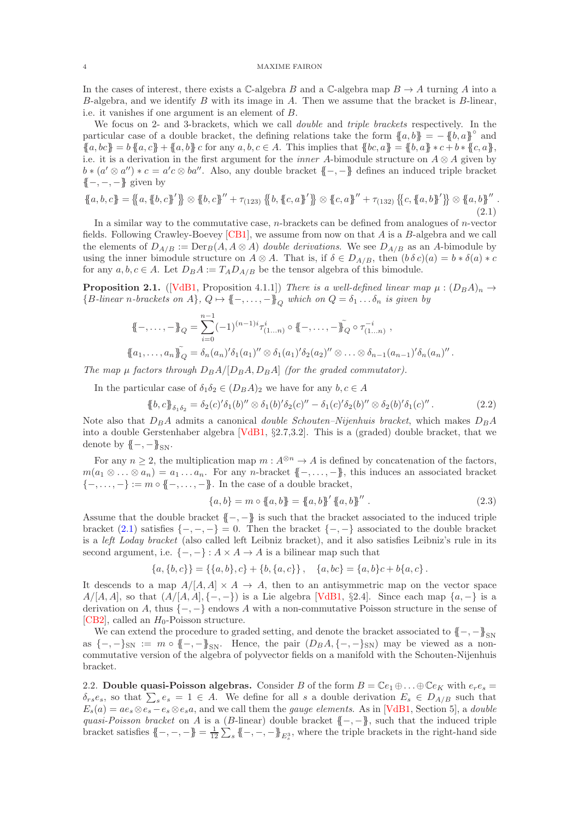In the cases of interest, there exists a  $\mathbb{C}\text{-algebra }B$  and a  $\mathbb{C}\text{-algebra map }B\to A$  turning A into a  $B$ -algebra, and we identify  $B$  with its image in  $A$ . Then we assume that the bracket is  $B$ -linear, i.e. it vanishes if one argument is an element of B.

We focus on 2- and 3-brackets, which we call *double* and *triple brackets* respectively. In the particular case of a double bracket, the defining relations take the form  ${a, b}$  =  $-{b, a}$ <sup>°</sup> and  ${a, bc} = b {a, c} + {a, b} c$  for any  $a, b, c \in A$ . This implies that  ${bc, a} = {b, a} * c + b * {c, a}$ , i.e. it is a derivation in the first argument for the *inner A*-bimodule structure on  $A \otimes A$  given by  $b * (a' \otimes a'') * c = a'c \otimes ba''.$  Also, any double bracket  $\{-,-\}$  defines an induced triple bracket  ${(-,-,-)}$  given by

<span id="page-3-0"></span>
$$
\{a, b, c\} = \{ \{a, \{b, c\}'\} \otimes \{b, c\}'' + \tau_{(123)} \{ \{b, \{c, a\}'\} \otimes \{c, a\}'' + \tau_{(132)} \{ \{c, \{a, b\}'\} \otimes \{a, b\}'' \}.
$$
\n
$$
(2.1)
$$

In a similar way to the commutative case, *n*-brackets can be defined from analogues of *n*-vector fields. Following Crawley-Boevey  $[CB1]$ , we assume from now on that A is a B-algebra and we call the elements of  $D_{A/B} := \text{Der}_B(A, A \otimes A)$  double derivations. We see  $D_{A/B}$  as an A-bimodule by using the inner bimodule structure on  $A \otimes A$ . That is, if  $\delta \in D_{A/B}$ , then  $(b\delta c)(a) = b * \delta(a) * c$ for any  $a, b, c \in A$ . Let  $D_B A := T_A D_{A/B}$  be the tensor algebra of this bimodule.

<span id="page-3-1"></span>**Proposition 2.1.** ([\[VdB1,](#page-39-3) Proposition 4.1.1]) There is a well-defined linear map  $\mu$  :  $(D_B A)_n \rightarrow$  ${B\text{-}linear $n$-brackets on $A$}, $Q \mapsto {(-, \ldots, -)}_Q$ which on $Q = \delta_1 \ldots \delta_n$ is given by}$ 

$$
\{\!\!\{\!-\,\ldots,-\!\!\} \!\!\}_{Q} = \sum_{i=0}^{n-1} (-1)^{(n-1)i} \tau^i_{(1...n)} \circ \{\!\!\{\!-\,\ldots,-\!\!\} \!\!\} _Q \circ \tau^{-i}_{(1...n)} ,
$$
\n
$$
\{\!\!\{\!a_1,\ldots,a_n\}\!\!\} _Q = \delta_n(a_n)'\delta_1(a_1)'' \otimes \delta_1(a_1)'\delta_2(a_2)'' \otimes \ldots \otimes \delta_{n-1}(a_{n-1})'\delta_n(a_n)'' .
$$

The map  $\mu$  factors through  $D_B A / [D_B A, D_B A]$  (for the graded commutator).

In the particular case of  $\delta_1 \delta_2 \in (D_B A)_2$  we have for any  $b, c \in A$ 

<span id="page-3-4"></span>
$$
\{b,c\}_{\delta_1\delta_2} = \delta_2(c)\delta_1(b)'' \otimes \delta_1(b)\delta_2(c)'' - \delta_1(c)\delta_2(b)'' \otimes \delta_2(b)\delta_1(c)''.
$$
 (2.2)

Note also that  $D_B A$  admits a canonical *double Schouten–Nijenhuis bracket*, which makes  $D_B A$ into a double Gerstenhaber algebra  $[VdB1, \S2.7, 3.2]$ . This is a (graded) double bracket, that we denote by  ${(-, -)}_{\text{SN}}$ .

For any  $n \geq 2$ , the multiplication map  $m : A^{\otimes n} \to A$  is defined by concatenation of the factors,  $m(a_1 \otimes \ldots \otimes a_n) = a_1 \ldots a_n$ . For any n-bracket  $\{-, \ldots, -\}$ , this induces an associated bracket  $\{-,\ldots,-\} := m \circ \{-,\ldots,-\}.$  In the case of a double bracket,

<span id="page-3-2"></span>
$$
\{a, b\} = m \circ \{a, b\} = \{a, b\} ' \{a, b\} '' . \tag{2.3}
$$

Assume that the double bracket  $\{-, -\}$  is such that the bracket associated to the induced triple bracket  $(2.1)$  satisfies  $\{-,-,-\} = 0$ . Then the bracket  $\{-,-\}$  associated to the double bracket is a *left Loday bracket* (also called left Leibniz bracket), and it also satisfies Leibniz's rule in its second argument, i.e.  $\{-,-\} : A \times A \to A$  is a bilinear map such that

$$
\{a,\{b,c\}\} = \{\{a,b\},c\} + \{b,\{a,c\}\}, \quad \{a,bc\} = \{a,b\}c + b\{a,c\}.
$$

It descends to a map  $A/[A, A] \times A \rightarrow A$ , then to an antisymmetric map on the vector space  $A/[A, A]$ , so that  $(A/[A, A], \{-,-\})$  is a Lie algebra [\[VdB1,](#page-39-3) §2.4]. Since each map  $\{a,-\}$  is a derivation on A, thus  $\{-,-\}$  endows A with a non-commutative Poisson structure in the sense of [\[CB2\]](#page-38-13), called an  $H_0$ -Poisson structure.

We can extend the procedure to graded setting, and denote the bracket associated to  ${(-, -)}_{SN}$ as  $\{-,-\}_\text{SN} := m \circ \{-,-\}_\text{SN}$ . Hence, the pair  $(D_B A, \{-,-\}_\text{SN})$  may be viewed as a noncommutative version of the algebra of polyvector fields on a manifold with the Schouten-Nijenhuis bracket.

<span id="page-3-3"></span>2.2. Double quasi-Poisson algebras. Consider B of the form  $B = \mathbb{C}e_1 \oplus \ldots \oplus \mathbb{C}e_K$  with  $e_re_s =$  $\delta_{rs}e_s$ , so that  $\sum_s e_s = 1 \in A$ . We define for all s a double derivation  $E_s \in D_{A/B}$  such that  $E_s(a) = ae_s \otimes e_s - e_s \otimes e_s a$ , and we call them the *gauge elements*. As in [\[VdB1,](#page-39-3) Section 5], a *double* quasi-Poisson bracket on A is a (B-linear) double bracket  $\{-,-\}$ , such that the induced triple bracket satisfies  $\{-,-,-\} = \frac{1}{12} \sum_s \{-,-,-\}E_s^3$ , where the triple brackets in the right-hand side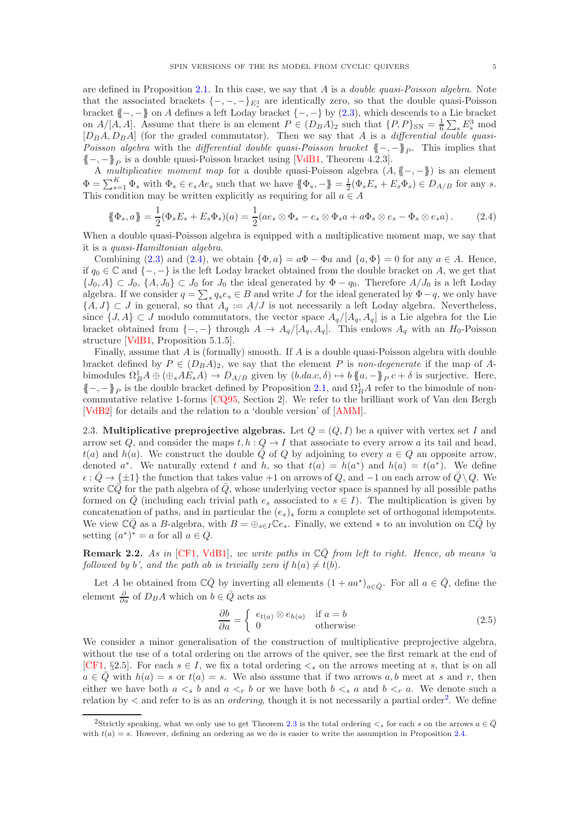are defined in Proposition [2.1.](#page-3-1) In this case, we say that  $A$  is a *double quasi-Poisson algebra*. Note that the associated brackets  $\{-,-,-\}_{{\mathbb{E}}^3_*}$  are identically zero, so that the double quasi-Poisson bracket  $\{-, -\}$  on A defines a left Loday bracket  $\{-, -\}$  by [\(2.3\)](#page-3-2), which descends to a Lie bracket on  $A/[A, A]$ . Assume that there is an element  $P \in (D_B A)_2$  such that  $\{P, P\}_{\text{SN}} = \frac{1}{6} \sum_s E_s^3$  mod  $[D_B A, D_B A]$  (for the graded commutator). Then we say that A is a differential double quasi-Poisson algebra with the differential double quasi-Poisson bracket  $\{-,-\}_P$ . This implies that  $\{-,-\}_P$  is a double quasi-Poisson bracket using [\[VdB1,](#page-39-3) Theorem 4.2.3].

A multiplicative moment map for a double quasi-Poisson algebra  $(A, \{-, -\})$  is an element  $\Phi = \sum_{s=1}^{K} \Phi_s$  with  $\Phi_s \in e_s A e_s$  such that we have  $\{\Phi_s, -\} = \frac{1}{2} (\Phi_s E_s + E_s \Phi_s) \in D_{A/B}$  for any s. This condition may be written explicitly as requiring for all  $a \in A$ 

<span id="page-4-0"></span>
$$
\{\!\!\{\Phi_s, a\}\!\!\} = \frac{1}{2} (\Phi_s E_s + E_s \Phi_s)(a) = \frac{1}{2} (ae_s \otimes \Phi_s - e_s \otimes \Phi_s a + a \Phi_s \otimes e_s - \Phi_s \otimes e_s a). \tag{2.4}
$$

When a double quasi-Poisson algebra is equipped with a multiplicative moment map, we say that it is a quasi-Hamiltonian algebra.

Combining [\(2.3\)](#page-3-2) and [\(2.4\)](#page-4-0), we obtain  $\{\Phi, a\} = a\Phi - \Phi a$  and  $\{a, \Phi\} = 0$  for any  $a \in A$ . Hence, if  $q_0 \in \mathbb{C}$  and  $\{-, -\}$  is the left Loday bracket obtained from the double bracket on A, we get that  $\{J_0, A\} \subset J_0$ ,  $\{A, J_0\} \subset J_0$  for  $J_0$  the ideal generated by  $\Phi - q_0$ . Therefore  $A/J_0$  is a left Loday algebra. If we consider  $q = \sum_s q_s e_s \in B$  and write J for the ideal generated by  $\Phi - q$ , we only have  $\{A, J\} \subset J$  in general, so that  $A_q := A/J$  is not necessarily a left Loday algebra. Nevertheless, since  $\{J, A\} \subset J$  modulo commutators, the vector space  $A_q/[A_q, A_q]$  is a Lie algebra for the Lie bracket obtained from  $\{-,-\}$  through  $A \to A_q/[A_q, A_q]$ . This endows  $A_q$  with an  $H_0$ -Poisson structure [\[VdB1,](#page-39-3) Proposition 5.1.5].

Finally, assume that A is (formally) smooth. If A is a double quasi-Poisson algebra with double bracket defined by  $P \in (D_B A)_2$ , we say that the element P is non-degenerate if the map of Abimodules  $\Omega_B^1 A \oplus (\oplus_s A E_s A) \to D_{A/B}$  given by  $(b.da.c, \delta) \mapsto b \{a, -\}P_P c + \delta$  is surjective. Here,  ${{-, -}}_P$  is the double bracket defined by Proposition [2.1,](#page-3-1) and  $\Omega_B^1 A$  refer to the bimodule of noncommutative relative 1-forms [\[CQ95,](#page-38-14) Section 2]. We refer to the brilliant work of Van den Bergh [\[VdB2\]](#page-39-22) for details and the relation to a 'double version' of [\[AMM\]](#page-38-5).

<span id="page-4-2"></span>2.3. Multiplicative preprojective algebras. Let  $Q = (Q, I)$  be a quiver with vertex set I and arrow set Q, and consider the maps  $t, h: Q \to I$  that associate to every arrow a its tail and head,  $t(a)$  and  $h(a)$ . We construct the double  $\overline{Q}$  of  $Q$  by adjoining to every  $a \in Q$  an opposite arrow, denoted  $a^*$ . We naturally extend t and h, so that  $t(a) = h(a^*)$  and  $h(a) = t(a^*)$ . We define  $\epsilon : \overline{Q} \to {\{\pm 1\}}$  the function that takes value +1 on arrows of Q, and -1 on each arrow of  $\overline{Q} \setminus Q$ . We write  $\mathbb{C}\bar{Q}$  for the path algebra of  $\bar{Q}$ , whose underlying vector space is spanned by all possible paths formed on  $\bar{Q}$  (including each trivial path  $e_s$  associated to  $s \in I$ ). The multiplication is given by concatenation of paths, and in particular the  $(e_s)_s$  form a complete set of orthogonal idempotents. We view  $\mathbb{C}\overline{Q}$  as a B-algebra, with  $B = \bigoplus_{s \in I} \mathbb{C}e_s$ . Finally, we extend  $*$  to an involution on  $\mathbb{C}\overline{Q}$  by setting  $(a^*)^* = a$  for all  $a \in Q$ .

**Remark 2.2.** As in [\[CF1,](#page-38-0) [VdB1\]](#page-39-3), we write paths in  $\mathbb{C}\bar{Q}$  from left to right. Hence, ab means 'a followed by b', and the path ab is trivially zero if  $h(a) \neq t(b)$ .

Let A be obtained from  $\mathbb{C}\bar{Q}$  by inverting all elements  $(1 + aa^*)_{a \in \bar{Q}}$ . For all  $a \in \bar{Q}$ , define the element  $\frac{\partial}{\partial a}$  of  $D_B A$  which on  $b \in \overline{Q}$  acts as

$$
\frac{\partial b}{\partial a} = \begin{cases} e_{t(a)} \otimes e_{h(a)} & \text{if } a = b \\ 0 & \text{otherwise} \end{cases}
$$
 (2.5)

We consider a minor generalisation of the construction of multiplicative preprojective algebra, without the use of a total ordering on the arrows of the quiver, see the first remark at the end of [\[CF1,](#page-38-0) §2.5]. For each  $s \in I$ , we fix a total ordering  $\lt_s$  on the arrows meeting at s, that is on all  $a \in \overline{Q}$  with  $h(a) = s$  or  $t(a) = s$ . We also assume that if two arrows a, b meet at s and r, then either we have both  $a \leq s$  b and  $a \leq r$  b or we have both  $b \leq s$  a and  $b \leq r$  a. We denote such a relation by  $\lt$  and refer to is as an *ordering*, though it is not necessarily a partial order<sup>[2](#page-4-1)</sup>. We define

<span id="page-4-1"></span><sup>&</sup>lt;sup>2</sup>Strictly speaking, what we only use to get Theorem [2.3](#page-5-0) is the total ordering  $\lt_s$  for each s on the arrows  $a \in \overline{Q}$ with  $t(a) = s$ . However, defining an ordering as we do is easier to write the assumption in Proposition [2.4.](#page-5-1)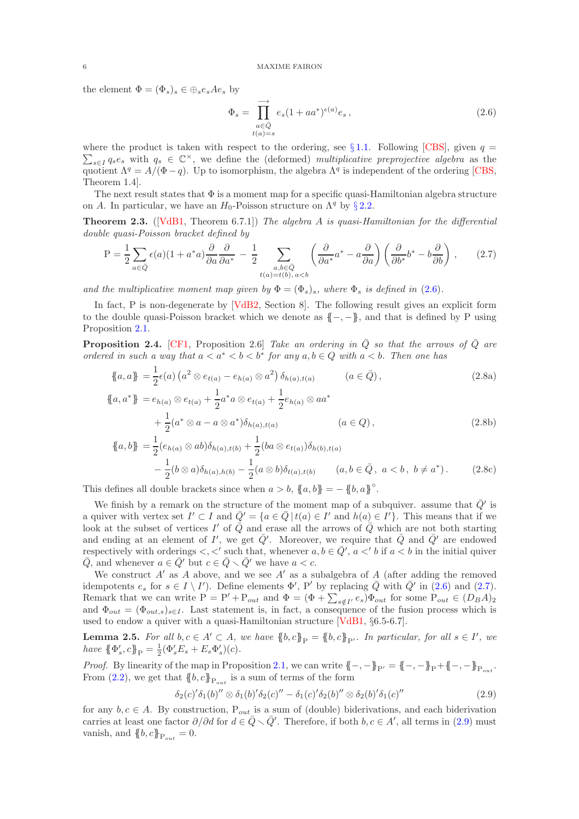the element  $\Phi = (\Phi_s)_s \in \oplus_s e_s A e_s$  by

<span id="page-5-2"></span>
$$
\Phi_s = \prod_{\substack{a \in \bar{Q} \\ t(a) = s}}^{\longrightarrow} e_s (1 + aa^*)^{\epsilon(a)} e_s ,
$$
\n(2.6)

 $\sum_{s\in I} q_s e_s$  with  $q_s \in \mathbb{C}^\times$ , we define the (deformed) multiplicative preprojective algebra as the where the product is taken with respect to the ordering, see §[1.1.](#page-2-1) Following [\[CBS\]](#page-38-10), given  $q =$ quotient  $\Lambda^q = A/(\Phi - q)$ . Up to isomorphism, the algebra  $\Lambda^q$  is independent of the ordering [\[CBS,](#page-38-10) Theorem 1.4].

The next result states that  $\Phi$  is a moment map for a specific quasi-Hamiltonian algebra structure on A. In particular, we have an  $H_0$ -Poisson structure on  $\Lambda^q$  by § [2.2.](#page-3-3)

<span id="page-5-0"></span>**Theorem 2.3.** ( $[VdB1, Theorem 6.7.1]$  $[VdB1, Theorem 6.7.1]$ ) The algebra A is quasi-Hamiltonian for the differential double quasi-Poisson bracket defined by

<span id="page-5-3"></span>
$$
P = \frac{1}{2} \sum_{a \in \bar{Q}} \epsilon(a) (1 + a^* a) \frac{\partial}{\partial a} \frac{\partial}{\partial a^*} - \frac{1}{2} \sum_{\substack{a, b \in \bar{Q} \\ t(a) = t(b), a < b}} \left( \frac{\partial}{\partial a^*} a^* - a \frac{\partial}{\partial a} \right) \left( \frac{\partial}{\partial b^*} b^* - b \frac{\partial}{\partial b} \right), \tag{2.7}
$$

and the multiplicative moment map given by  $\Phi = (\Phi_s)_s$ , where  $\Phi_s$  is defined in [\(2.6\)](#page-5-2).

In fact, P is non-degenerate by [\[VdB2,](#page-39-22) Section 8]. The following result gives an explicit form to the double quasi-Poisson bracket which we denote as  $\{-, -\}$ , and that is defined by P using Proposition [2.1.](#page-3-1)

<span id="page-5-1"></span>**Proposition 2.4.** [\[CF1,](#page-38-0) Proposition 2.6] Take an ordering in  $\overline{Q}$  so that the arrows of  $\overline{Q}$  are ordered in such a way that  $a < a^* < b < b^*$  for any  $a, b \in Q$  with  $a < b$ . Then one has

$$
\{a, a\} = \frac{1}{2}\epsilon(a) \left(a^2 \otimes e_{t(a)} - e_{h(a)} \otimes a^2\right) \delta_{h(a), t(a)} \qquad (a \in \bar{Q}),
$$
\n
$$
\{a, a^*\} = e_{h(a)} \otimes e_{t(a)} + \frac{1}{2}a^*a \otimes e_{t(a)} + \frac{1}{2}e_{h(a)} \otimes aa^*
$$
\n
$$
+ \frac{1}{2}(a^* \otimes a - a \otimes a^*)\delta_{h(a), t(a)} \qquad (a \in Q),
$$
\n(2.8b)

$$
+\frac{1}{2}(a^* \otimes a - a \otimes a^*)\delta_{h(a),t(a)} \qquad (a \in Q),
$$
\n
$$
a, b \} = \frac{1}{2}(e_{h(a)} \otimes ab)\delta_{h(a),t(b)} + \frac{1}{2}(ba \otimes e_{t(a)})\delta_{h(b),t(a)} - \frac{1}{2}(b \otimes a)\delta_{h(a),h(b)} - \frac{1}{2}(a \otimes b)\delta_{t(a),t(b)} \qquad (a, b \in \bar{Q}, a < b, b \neq a^*).
$$
\n(2.8c)

This defines all double brackets since when  $a > b$ ,  $\{a, b\} = -\{b, a\}^\circ$ .

We finish by a remark on the structure of the moment map of a subquiver. assume that  $\bar{Q}'$  is a quiver with vertex set  $I' \subset I$  and  $\overline{Q}' = \{a \in \overline{Q} \mid t(a) \in I' \text{ and } h(a) \in I'\}$ . This means that if we look at the subset of vertices I' of  $\overline{Q}$  and erase all the arrows of  $\overline{Q}$  which are not both starting and ending at an element of I', we get  $\overline{Q}'$ . Moreover, we require that  $\overline{Q}$  and  $\overline{Q}'$  are endowed respectively with orderings  $\lt, \lt'$  such that, whenever  $a, b \in \overline{Q}'$ ,  $a \lt' b$  if  $a \lt b$  in the initial quiver  $\overline{Q}$ , and whenever  $a \in \overline{Q}'$  but  $c \in \overline{Q} \setminus \overline{Q}'$  we have  $a < c$ .

We construct  $A'$  as  $A$  above, and we see  $A'$  as a subalgebra of  $A$  (after adding the removed idempotents  $e_s$  for  $s \in I \setminus I'$ ). Define elements  $\Phi'$ , P' by replacing  $\overline{Q}$  with  $\overline{Q}'$  in  $(2.6)$  and  $(2.7)$ . Remark that we can write  $P = P' + P_{out}$  and  $\Phi = (\Phi + \sum_{s \notin I'} e_s) \Phi_{out}$  for some  $P_{out} \in (D_B A)_2$ and  $\Phi_{out} = (\Phi_{out,s})_{s \in I}$ . Last statement is, in fact, a consequence of the fusion process which is used to endow a quiver with a quasi-Hamiltonian structure [\[VdB1,](#page-39-3) §6.5-6.7].

<span id="page-5-5"></span>**Lemma 2.5.** For all  $b, c \in A' \subset A$ , we have  $\{b, c\}_P = \{b, c\}_P$ . In particular, for all  $s \in I'$ , we have  $\{\Phi'_s, c\}_P = \frac{1}{2} (\Phi'_s E_s + E_s \Phi'_s)(c)$ .

*Proof.* By linearity of the map in Proposition [2.1,](#page-3-1) we can write  $\{-, -\}_{P'} = \{-, -\}_{P} + \{-, -\}_{P_{out}}$ . From  $(2.2)$ , we get that  $\{\!\!\{b,c\}\!\!\}_{P_{out}}$  is a sum of terms of the form

<span id="page-5-4"></span>
$$
\delta_2(c)'\delta_1(b)'' \otimes \delta_1(b)'\delta_2(c)'' - \delta_1(c)'\delta_2(b)'' \otimes \delta_2(b)'\delta_1(c)''
$$
\n(2.9)

for any  $b, c \in A$ . By construction,  $P_{out}$  is a sum of (double) biderivations, and each biderivation carries at least one factor  $\partial/\partial d$  for  $d \in \overline{Q} \setminus \overline{Q}'$ . Therefore, if both  $b, c \in A'$ , all terms in [\(2.9\)](#page-5-4) must vanish, and  $\{\!\!\{b,c\}\!\!\}_{\mathrm{P}_{out}}=0.$ 

 ${\mathcal{J}}$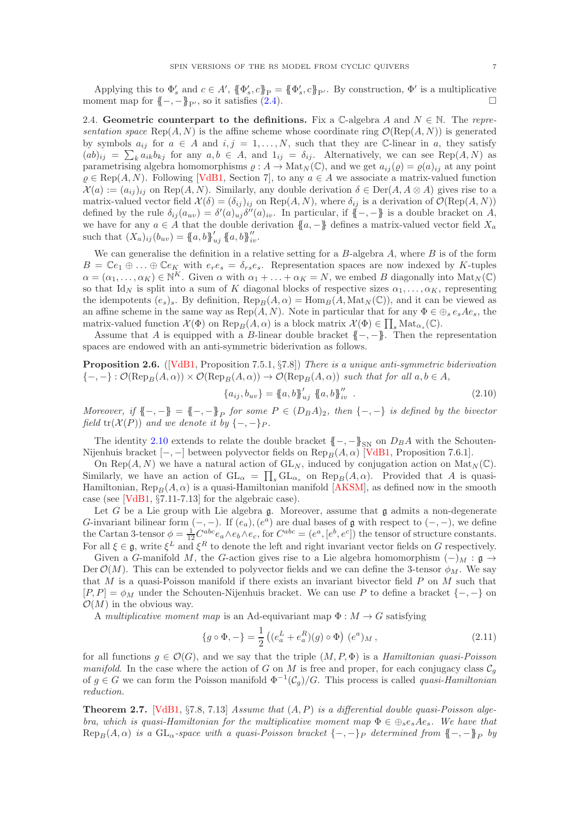Applying this to  $\Phi'_s$  and  $c \in A'$ ,  $\{\!\!\{\Phi'_s, c\!\!\}_{\!\!P} = \{\!\!\{\Phi'_s, c\!\!\}_{\!\!P'}\}$ . By construction,  $\Phi'$  is a multiplicative moment map for  $\{-,-\}_P$ , so it satisfies [\(2.4\)](#page-4-0).

<span id="page-6-3"></span>2.4. Geometric counterpart to the definitions. Fix a C-algebra A and  $N \in \mathbb{N}$ . The representation space Rep $(A, N)$  is the affine scheme whose coordinate ring  $\mathcal{O}(\text{Rep}(A, N))$  is generated by symbols  $a_{ij}$  for  $a \in A$  and  $i, j = 1, ..., N$ , such that they are C-linear in a, they satisfy  $(ab)_{ij} = \sum_{k} a_{ik}b_{kj}$  for any  $a, b \in A$ , and  $1_{ij} = \delta_{ij}$ . Alternatively, we can see Rep $(A, N)$  as parametrising algebra homomorphisms  $\varrho : A \to \text{Mat}_{N}(\mathbb{C})$ , and we get  $a_{ij}(\varrho) = \varrho(a)_{ij}$  at any point  $\varrho \in \text{Rep}(A, N)$ . Following [\[VdB1,](#page-39-3) Section 7], to any  $a \in A$  we associate a matrix-valued function  $\mathcal{X}(a) := (a_{ij})_{ij}$  on Rep(A, N). Similarly, any double derivation  $\delta \in \text{Der}(A, A \otimes A)$  gives rise to a matrix-valued vector field  $\mathcal{X}(\delta) = (\delta_{ij})_{ij}$  on  $\text{Rep}(A, N)$ , where  $\delta_{ij}$  is a derivation of  $\mathcal{O}(\text{Rep}(A, N))$ defined by the rule  $\delta_{ij}(a_{uv}) = \delta'(a)_{uj}\delta''(a)_{iv}$ . In particular, if  $\{-,-\}$  is a double bracket on A, we have for any  $a \in A$  that the double derivation  $\{a, -\}$  defines a matrix-valued vector field  $X_a$ such that  $(X_a)_{ij}(b_{uv}) = \{a, b\}_{uj}^{\prime} \{a, b\}_{iv}^{\prime\prime}$ .

We can generalise the definition in a relative setting for a  $B$ -algebra  $A$ , where  $B$  is of the form  $B = \mathbb{C}e_1 \oplus \ldots \oplus \mathbb{C}e_K$  with  $e_re_s = \delta_{rs}e_s$ . Representation spaces are now indexed by K-tuples  $\alpha = (\alpha_1, \ldots, \alpha_K) \in \mathbb{N}^K$ . Given  $\alpha$  with  $\alpha_1 + \ldots + \alpha_K = N$ , we embed B diagonally into  $\text{Mat}_N(\mathbb{C})$ so that Id<sub>N</sub> is split into a sum of K diagonal blocks of respective sizes  $\alpha_1, \ldots, \alpha_K$ , representing the idempotents  $(e_s)_s$ . By definition,  $\text{Rep}_B(A, \alpha) = \text{Hom}_B(A, \text{Mat}_N(\mathbb{C}))$ , and it can be viewed as an affine scheme in the same way as  $\text{Rep}(A, N)$ . Note in particular that for any  $\Phi \in \bigoplus_s e_s A e_s$ , the matrix-valued function  $\mathcal{X}(\Phi)$  on  $\text{Rep}_B(A, \alpha)$  is a block matrix  $\mathcal{X}(\Phi) \in \prod_s \text{Mat}_{\alpha_s}(\mathbb{C})$ .

Assume that A is equipped with a B-linear double bracket  $\{-,-\}$ . Then the representation spaces are endowed with an anti-symmetric biderivation as follows.

<span id="page-6-2"></span>**Proposition 2.6.** ([\[VdB1,](#page-39-3) Proposition 7.5.1,  $\S7.8$ ]) There is a unique anti-symmetric biderivation  ${-,-}: \mathcal{O}(\text{Rep}_B(A, \alpha)) \times \mathcal{O}(\text{Rep}_B(A, \alpha)) \to \mathcal{O}(\text{Rep}_B(A, \alpha))$  such that for all  $a, b \in A$ ,

<span id="page-6-0"></span>
$$
\{a_{ij}, b_{uv}\} = \{a, b\}_{uj}^{\prime} \{a, b\}_{iv}^{\prime\prime} . \tag{2.10}
$$

Moreover, if  $\{-,-\} = \{-, -\}_P$  for some  $P \in (D_B A)_2$ , then  $\{-, -\}$  is defined by the bivector field tr( $\mathcal{X}(P)$ ) and we denote it by  $\{-,-\}_P$ .

The identity [2.10](#page-6-0) extends to relate the double bracket  ${{-, -}}_{SN}$  on  $D_B A$  with the Schouten-Nijenhuis bracket  $[-,-]$  between polyvector fields on  $\text{Rep}_B(A, \alpha)$  [\[VdB1,](#page-39-3) Proposition 7.6.1].

On Rep(A, N) we have a natural action of  $GL_N$ , induced by conjugation action on  $\text{Mat}_N(\mathbb{C})$ . Similarly, we have an action of  $GL_{\alpha} = \prod_s GL_{\alpha_s}$  on  $Rep_B(A, \alpha)$ . Provided that A is quasi-Hamiltonian,  $\text{Rep}_{B}(A, \alpha)$  is a quasi-Hamiltonian manifold [\[AKSM\]](#page-38-4), as defined now in the smooth case (see [\[VdB1,](#page-39-3) §7.11-7.13] for the algebraic case).

Let G be a Lie group with Lie algebra  $\mathfrak g$ . Moreover, assume that  $\mathfrak g$  admits a non-degenerate G-invariant bilinear form  $(-, -)$ . If  $(e_a)$ ,  $(e^a)$  are dual bases of g with respect to  $(-, -)$ , we define the Cartan 3-tensor  $\phi = \frac{1}{12} C^{abc} e_a \wedge e_b \wedge e_c$ , for  $C^{abc} = (e^a, [e^b, e^c])$  the tensor of structure constants. For all  $\xi \in \mathfrak{g}$ , write  $\xi^L$  and  $\xi^R$  to denote the left and right invariant vector fields on G respectively.

Given a G-manifold M, the G-action gives rise to a Lie algebra homomorphism  $(-)_M : \mathfrak{g} \to$ Der  $\mathcal{O}(M)$ . This can be extended to polyvector fields and we can define the 3-tensor  $\phi_M$ . We say that M is a quasi-Poisson manifold if there exists an invariant bivector field  $P$  on  $M$  such that  $[P, P] = \phi_M$  under the Schouten-Nijenhuis bracket. We can use P to define a bracket  $\{-, -\}$  on  $\mathcal{O}(M)$  in the obvious way.

A multiplicative moment map is an Ad-equivariant map  $\Phi : M \to G$  satisfying

$$
\{g \circ \Phi, -\} = \frac{1}{2} \left( (e_a^L + e_a^R)(g) \circ \Phi \right) (e^a)_M , \qquad (2.11)
$$

for all functions  $q \in \mathcal{O}(G)$ , and we say that the triple  $(M, P, \Phi)$  is a *Hamiltonian quasi-Poisson* manifold. In the case where the action of G on M is free and proper, for each conjugacy class  $C_q$ of  $g \in G$  we can form the Poisson manifold  $\Phi^{-1}(\mathcal{C}_g)/G$ . This process is called quasi-Hamiltonian reduction.

<span id="page-6-1"></span>**Theorem 2.7.** [\[VdB1,](#page-39-3) §7.8, 7.13] Assume that  $(A, P)$  is a differential double quasi-Poisson algebra, which is quasi-Hamiltonian for the multiplicative moment map  $\Phi \in \bigoplus_{s \in s} A e_s$ . We have that  $\text{Rep}_B(A, \alpha)$  is a  $\text{GL}_{\alpha}$ -space with a quasi-Poisson bracket  $\{-, -\}_P$  determined from  $\{-, -\}_P$  by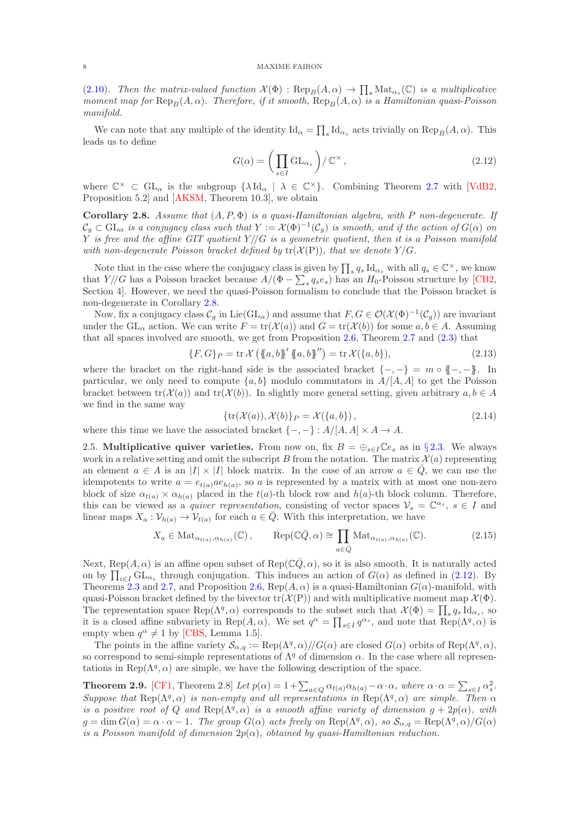[\(2.10\)](#page-6-0). Then the matrix-valued function  $\mathcal{X}(\Phi) : \text{Rep}_B(A, \alpha) \to \prod_s \text{Mat}_{\alpha_s}(\mathbb{C})$  is a multiplicative moment map for  $\text{Rep}_B(A, \alpha)$ . Therefore, if it smooth,  $\text{Rep}_B(A, \alpha)$  is a Hamiltonian quasi-Poisson manifold.

We can note that any multiple of the identity  $\mathrm{Id}_{\alpha} = \prod_{s} \mathrm{Id}_{\alpha_s}$  acts trivially on  $\mathrm{Rep}_B(A, \alpha)$ . This leads us to define

<span id="page-7-1"></span>
$$
G(\alpha) = \left(\prod_{s \in I} \mathrm{GL}_{\alpha_s}\right) / \mathbb{C}^\times\,,\tag{2.12}
$$

where  $\mathbb{C}^{\times} \subset GL_{\alpha}$  is the subgroup  $\{\lambda \mathrm{Id}_{\alpha} \mid \lambda \in \mathbb{C}^{\times}\}\$ . Combining Theorem [2.7](#page-6-1) with [\[VdB2,](#page-39-22) Proposition 5.2] and [\[AKSM,](#page-38-4) Theorem 10.3], we obtain

<span id="page-7-0"></span>Corollary 2.8. Assume that  $(A, P, \Phi)$  is a quasi-Hamiltonian algebra, with P non-degenerate. If  $\mathcal{C}_g \subset \mathrm{GL}_\alpha$  is a conjugacy class such that  $Y := \mathcal{X}(\Phi)^{-1}(\mathcal{C}_g)$  is smooth, and if the action of  $G(\alpha)$  on Y is free and the affine GIT quotient  $Y/\!/ G$  is a geometric quotient, then it is a Poisson manifold with non-degenerate Poisson bracket defined by  $tr(X(P))$ , that we denote  $Y/G$ .

Note that in the case where the conjugacy class is given by  $\prod_s q_s \, \text{Id}_{\alpha_s}$  with all  $q_s \in \mathbb{C}^\times$ , we know that  $Y/\sqrt{G}$  has a Poisson bracket because  $A/(\Phi - \sum_s q_s e_s)$  has an  $H_0$ -Poisson structure by [\[CB2,](#page-38-13) Section 4]. However, we need the quasi-Poisson formalism to conclude that the Poisson bracket is non-degenerate in Corollary [2.8.](#page-7-0)

Now, fix a conjugacy class  $\mathcal{C}_g$  in Lie( $GL_\alpha$ ) and assume that  $F, G \in \mathcal{O}(\mathcal{X}(\Phi)^{-1}(\mathcal{C}_g))$  are invariant under the  $GL_{\alpha}$  action. We can write  $F = \text{tr}(\mathcal{X}(a))$  and  $G = \text{tr}(\mathcal{X}(b))$  for some  $a, b \in A$ . Assuming that all spaces involved are smooth, we get from Proposition [2.6,](#page-6-2) Theorem [2.7](#page-6-1) and [\(2.3\)](#page-3-2) that

<span id="page-7-3"></span>
$$
\{F, G\}_P = \text{tr}\,\mathcal{X}\left(\{a, b\}^{\prime}\{a, b\}^{\prime\prime}\right) = \text{tr}\,\mathcal{X}(\{a, b\}),\tag{2.13}
$$

where the bracket on the right-hand side is the associated bracket  $\{-,-\} = m \circ \{-,-\}$ . In particular, we only need to compute  $\{a, b\}$  modulo commutators in  $A/[A, A]$  to get the Poisson bracket between  $tr(\mathcal{X}(a))$  and  $tr(\mathcal{X}(b))$ . In slightly more general setting, given arbitrary  $a, b \in A$ we find in the same way

<span id="page-7-5"></span>
$$
\{\operatorname{tr}(\mathcal{X}(a)), \mathcal{X}(b)\}_P = \mathcal{X}(\{a, b\}),\tag{2.14}
$$

<span id="page-7-4"></span>where this time we have the associated bracket  $\{-,-\} : A/[A, A] \times A \rightarrow A$ .

2.5. Multiplicative quiver varieties. From now on, fix  $B = \bigoplus_{s \in I} \mathbb{C}e_s$  as in §[2.3.](#page-4-2) We always work in a relative setting and omit the subscript B from the notation. The matrix  $\mathcal{X}(a)$  representing an element  $a \in A$  is an  $|I| \times |I|$  block matrix. In the case of an arrow  $a \in \overline{Q}$ , we can use the idempotents to write  $a = e_{t(a)}ae_{h(a)}$ , so a is represented by a matrix with at most one non-zero block of size  $\alpha_{t(a)} \times \alpha_{h(a)}$  placed in the  $t(a)$ -th block row and  $h(a)$ -th block column. Therefore, this can be viewed as a *quiver representation*, consisting of vector spaces  $V_s = \mathbb{C}^{\alpha_s}$ ,  $s \in I$  and linear maps  $X_a: \mathcal{V}_{h(a)} \to \mathcal{V}_{t(a)}$  for each  $a \in \overline{Q}$ . With this interpretation, we have

$$
X_a \in \text{Mat}_{\alpha_{t(a)}, \alpha_{h(a)}}(\mathbb{C}), \qquad \text{Rep}(\mathbb{C}\bar{Q}, \alpha) \cong \prod_{a \in \bar{Q}} \text{Mat}_{\alpha_{t(a)}, \alpha_{h(a)}}(\mathbb{C}). \tag{2.15}
$$

Next, Rep( $A, \alpha$ ) is an affine open subset of Rep( $\mathbb{C}\bar{Q}, \alpha$ ), so it is also smooth. It is naturally acted on by  $\prod_{i\in I} GL_{\alpha_s}$  through conjugation. This induces an action of  $G(\alpha)$  as defined in [\(2.12\)](#page-7-1). By Theorems [2.3](#page-5-0) and [2.7,](#page-6-1) and Proposition [2.6,](#page-6-2) Rep( $A, \alpha$ ) is a quasi-Hamiltonian  $G(\alpha)$ -manifold, with quasi-Poisson bracket defined by the bivector  $tr(\mathcal{X}(P))$  and with multiplicative moment map  $\mathcal{X}(\Phi)$ . The representation space  $\text{Rep}(\Lambda^q, \alpha)$  corresponds to the subset such that  $\mathcal{X}(\Phi) = \prod_s q_s \,\text{Id}_{\alpha_s}$ , so it is a closed affine subvariety in Rep(A,  $\alpha$ ). We set  $q^{\alpha} = \prod_{s \in I} q^{\alpha_s}$ , and note that  $\text{Rep}(\Lambda^q, \alpha)$  is empty when  $q^{\alpha} \neq 1$  by [\[CBS,](#page-38-10) Lemma 1.5].

The points in the affine variety  $\mathcal{S}_{\alpha,q} := \text{Rep}(\Lambda^q, \alpha) // G(\alpha)$  are closed  $G(\alpha)$  orbits of  $\text{Rep}(\Lambda^q, \alpha)$ , so correspond to semi-simple representations of  $\Lambda^q$  of dimension  $\alpha$ . In the case where all representations in Rep( $\Lambda^{q}$ ,  $\alpha$ ) are simple, we have the following description of the space.

<span id="page-7-2"></span>**Theorem 2.9.** [\[CF1,](#page-38-0) Theorem 2.8] Let  $p(\alpha) = 1 + \sum_{a \in Q} \alpha_{t(a)} \alpha_{h(a)} - \alpha \cdot \alpha$ , where  $\alpha \cdot \alpha = \sum_{s \in I} \alpha_s^2$ . Suppose that  $\text{Rep}(\Lambda^q, \alpha)$  is non-empty and all representations in  $\text{Rep}(\Lambda^q, \alpha)$  are simple. Then  $\alpha$ is a positive root of Q and Rep( $\Lambda^{q}$ ,  $\alpha$ ) is a smooth affine variety of dimension  $g + 2p(\alpha)$ , with  $g = \dim G(\alpha) = \alpha \cdot \alpha - 1$ . The group  $G(\alpha)$  acts freely on  $\text{Rep}(\Lambda^q, \alpha)$ , so  $\mathcal{S}_{\alpha,q} = \text{Rep}(\Lambda^q, \alpha)/G(\alpha)$ is a Poisson manifold of dimension  $2p(\alpha)$ , obtained by quasi-Hamiltonian reduction.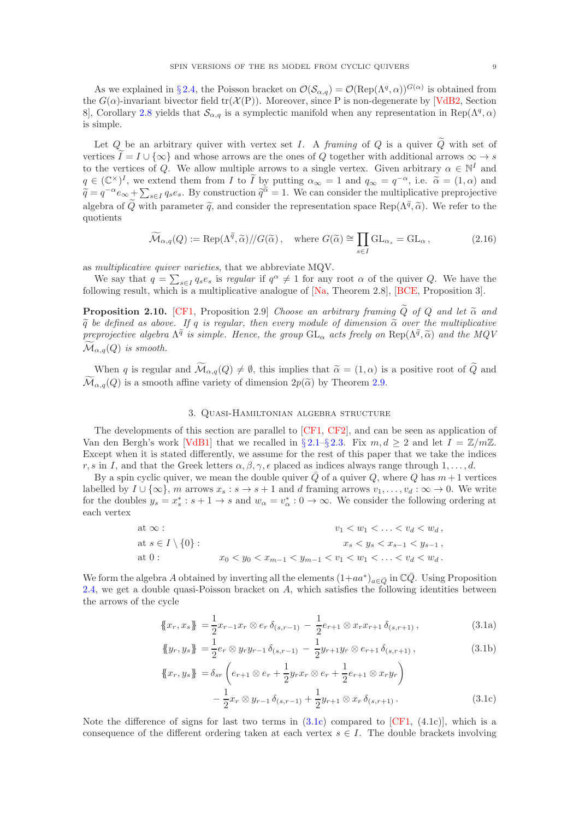As we explained in §[2.4,](#page-6-3) the Poisson bracket on  $\mathcal{O}(\mathcal{S}_{\alpha,q})=\mathcal{O}(\text{Rep}(\Lambda^q,\alpha))^{G(\alpha)}$  is obtained from the  $G(\alpha)$ -invariant bivector field tr( $\mathcal{X}(P)$ ). Moreover, since P is non-degenerate by [\[VdB2,](#page-39-22) Section 8, Corollary [2.8](#page-7-0) yields that  $\mathcal{S}_{\alpha,q}$  is a symplectic manifold when any representation in Rep( $\Lambda^q, \alpha$ ) is simple.

Let Q be an arbitrary quiver with vertex set I. A framing of Q is a quiver  $\tilde{Q}$  with set of vertices  $\tilde{I} = I \cup \{\infty\}$  and whose arrows are the ones of Q together with additional arrows  $\infty \to s$ to the vertices of Q. We allow multiple arrows to a single vertex. Given arbitrary  $\alpha \in \mathbb{N}^I$  and  $q \in (\mathbb{C}^{\times})^I$ , we extend them from I to I by putting  $\alpha_{\infty} = 1$  and  $q_{\infty} = q^{-\alpha}$ , i.e.  $\tilde{\alpha} = (1, \alpha)$  and  $\tilde{\alpha}_{\infty} = \tilde{\alpha}_{\infty}$ .  $\tilde{\tilde{q}} = \tilde{q}^{-\alpha} e_{\infty} + \sum_{s \in I} q_s e_s$ . By construction  $\tilde{q}^{\tilde{\alpha}} = 1$ . We can consider the multiplicative preprojective algebra of  $\widetilde{Q}$  with parameter  $\widetilde{q}$ , and consider the representation space Rep( $\Lambda^{\widetilde{q}}$ ,  $\widetilde{\alpha}$ ). We refer to the quotients

$$
\widetilde{\mathcal{M}}_{\alpha,q}(Q) := \text{Rep}(\Lambda^{\widetilde{q}}, \widetilde{\alpha}) / \mathcal{G}(\widetilde{\alpha}), \quad \text{where } G(\widetilde{\alpha}) \cong \prod_{s \in I} \text{GL}_{\alpha_s} = \text{GL}_{\alpha}, \tag{2.16}
$$

as multiplicative quiver varieties, that we abbreviate MQV.

We say that  $q = \sum_{s \in I} q_s e_s$  is regular if  $q^{\alpha} \neq 1$  for any root  $\alpha$  of the quiver Q. We have the following result, which is a multiplicative analogue of  $[Na, Theorem 2.8]$ ,  $[BCE, Proposition 3]$ .

**Proposition 2.10.** [\[CF1,](#page-38-0) Proposition 2.9] Choose an arbitrary framing  $\tilde{Q}$  of Q and let  $\tilde{\alpha}$  and  $\tilde{q}$  be defined as above. If q is regular, then every module of dimension  $\tilde{\alpha}$  over the multiplicative preprojective algebra  $\Lambda^{\tilde{q}}$  is simple. Hence, the group  $GL_{\alpha}$  acts freely on  $\text{Rep}(\Lambda^{\tilde{q}}, \tilde{\alpha})$  and the MQV  $\widetilde{\mathcal{M}}_{\alpha,q}(Q)$  is smooth.

When q is regular and  $\widetilde{\mathcal{M}}_{\alpha,q}(Q) \neq \emptyset$ , this implies that  $\widetilde{\alpha} = (1,\alpha)$  is a positive root of  $\widetilde{Q}$  and  $\widetilde{\mathcal{M}}_{\alpha,q}(Q)$  is a smooth affine variety of dimension  $2p(\widetilde{\alpha})$  by Theorem [2.9.](#page-7-2)

### 3. Quasi-Hamiltonian algebra structure

<span id="page-8-0"></span>The developments of this section are parallel to [\[CF1,](#page-38-0) [CF2\]](#page-38-11), and can be seen as application of Van den Bergh's work [\[VdB1\]](#page-39-3) that we recalled in § [2.1–](#page-2-2)§ [2.3.](#page-4-2) Fix  $m, d \geq 2$  and let  $I = \mathbb{Z}/m\mathbb{Z}$ . Except when it is stated differently, we assume for the rest of this paper that we take the indices r, s in I, and that the Greek letters  $\alpha, \beta, \gamma, \epsilon$  placed as indices always range through 1,..., d.

By a spin cyclic quiver, we mean the double quiver  $\overline{Q}$  of a quiver  $Q$ , where  $Q$  has  $m+1$  vertices labelled by  $I \cup \{\infty\}$ , m arrows  $x_s : s \to s + 1$  and d framing arrows  $v_1, \ldots, v_d : \infty \to 0$ . We write for the doubles  $y_s = x_s^* : s + 1 \to s$  and  $w_\alpha = v_\alpha^* : 0 \to \infty$ . We consider the following ordering at each vertex

at 
$$
\infty
$$
:  
\nat  $s \in I \setminus \{0\}$ :  
\nat  $0$ :  
\n $x_0 < y_0 < x_{m-1} < y_{m-1} < v_1 < w_1 < \ldots < v_d < w_d$ ,  
\n $x_0 < y_0 < x_{m-1} < y_{m-1} < v_1 < w_1 < \ldots < v_d < w_d$ .

We form the algebra A obtained by inverting all the elements  $(1+aa^*)_{a\in\bar{Q}}$  in  $\mathbb{C}\bar{Q}$ . Using Proposition [2.4,](#page-5-1) we get a double quasi-Poisson bracket on  $A$ , which satisfies the following identities between the arrows of the cycle

<span id="page-8-2"></span>
$$
\{\!\{x_r, x_s\}\!\} = \frac{1}{2} x_{r-1} x_r \otimes e_r \, \delta_{(s,r-1)} - \frac{1}{2} e_{r+1} \otimes x_r x_{r+1} \, \delta_{(s,r+1)}\,,\tag{3.1a}
$$

$$
\{\!\{y_r, y_s\}\!\} = \frac{1}{2} e_r \otimes y_r y_{r-1} \delta_{(s,r-1)} - \frac{1}{2} y_{r+1} y_r \otimes e_{r+1} \delta_{(s,r+1)}\,,\tag{3.1b}
$$

<span id="page-8-1"></span>
$$
\{\!\{x_r, y_s\}\!\} = \delta_{sr} \left( e_{r+1} \otimes e_r + \frac{1}{2} y_r x_r \otimes e_r + \frac{1}{2} e_{r+1} \otimes x_r y_r \right) - \frac{1}{2} x_r \otimes y_{r-1} \delta_{(s,r-1)} + \frac{1}{2} y_{r+1} \otimes x_r \delta_{(s,r+1)}.
$$
\n(3.1c)

Note the difference of signs for last two terms in  $(3.1c)$  compared to [\[CF1,](#page-38-0)  $(4.1c)$ ], which is a consequence of the different ordering taken at each vertex  $s \in I$ . The double brackets involving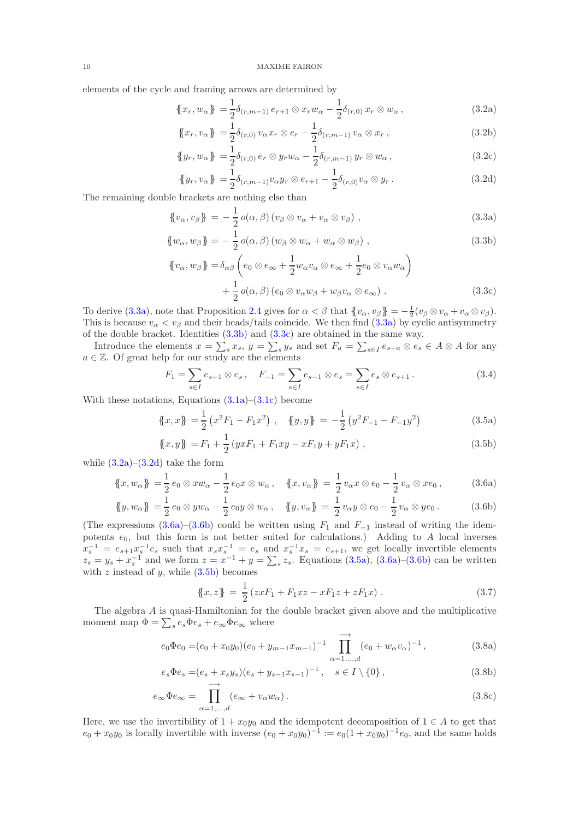elements of the cycle and framing arrows are determined by

<span id="page-9-3"></span>
$$
\{\!\!\{x_r, w_\alpha\}\!\!\} = \frac{1}{2} \delta_{(r,m-1)} e_{r+1} \otimes x_r w_\alpha - \frac{1}{2} \delta_{(r,0)} x_r \otimes w_\alpha \,,\tag{3.2a}
$$

$$
\{\!\{x_r, v_\alpha\}\!\} = \frac{1}{2} \delta_{(r,0)} v_\alpha x_r \otimes e_r - \frac{1}{2} \delta_{(r,m-1)} v_\alpha \otimes x_r ,\tag{3.2b}
$$

$$
\{\!\!\{y_r, w_\alpha\}\!\!\} = \frac{1}{2} \delta_{(r,0)} e_r \otimes y_r w_\alpha - \frac{1}{2} \delta_{(r,m-1)} y_r \otimes w_\alpha \,,\tag{3.2c}
$$

<span id="page-9-4"></span><span id="page-9-1"></span><span id="page-9-0"></span>
$$
\{\!\!\{\,y_r, v_\alpha\,\}\!\!\} = \frac{1}{2} \delta_{(r,m-1)} v_\alpha y_r \otimes e_{r+1} - \frac{1}{2} \delta_{(r,0)} v_\alpha \otimes y_r \,. \tag{3.2d}
$$

The remaining double brackets are nothing else than

$$
\{v_{\alpha}, v_{\beta}\} = -\frac{1}{2}o(\alpha, \beta)(v_{\beta} \otimes v_{\alpha} + v_{\alpha} \otimes v_{\beta}), \qquad (3.3a)
$$

$$
\{w_{\alpha}, w_{\beta}\} = -\frac{1}{2}o(\alpha, \beta)(w_{\beta} \otimes w_{\alpha} + w_{\alpha} \otimes w_{\beta}), \qquad (3.3b)
$$

<span id="page-9-2"></span>
$$
\begin{aligned} \{\!\!\{\boldsymbol{v}_{\alpha}, \boldsymbol{w}_{\beta}\}\!\!\} &= \delta_{\alpha\beta} \left(e_0 \otimes \boldsymbol{e}_{\infty} + \frac{1}{2} \boldsymbol{w}_{\alpha} \boldsymbol{v}_{\alpha} \otimes \boldsymbol{e}_{\infty} + \frac{1}{2} \boldsymbol{e}_0 \otimes \boldsymbol{v}_{\alpha} \boldsymbol{w}_{\alpha}\right) \\ &+ \frac{1}{2} \, o(\alpha, \beta) \left(e_0 \otimes \boldsymbol{v}_{\alpha} \boldsymbol{w}_{\beta} + \boldsymbol{w}_{\beta} \boldsymbol{v}_{\alpha} \otimes \boldsymbol{e}_{\infty}\right) \,. \end{aligned} \tag{3.3c}
$$

To derive [\(3.3a\)](#page-9-0), note that Proposition [2.4](#page-5-1) gives for  $\alpha < \beta$  that  $\{v_{\alpha}, v_{\beta}\} = -\frac{1}{2}(v_{\beta} \otimes v_{\alpha} + v_{\alpha} \otimes v_{\beta})$ . This is because  $v_{\alpha} < v_{\beta}$  and their heads/tails coincide. We then find [\(3.3a\)](#page-9-0) by cyclic antisymmetry of the double bracket. Identities [\(3.3b\)](#page-9-1) and [\(3.3c\)](#page-9-2) are obtained in the same way.

Introduce the elements  $x = \sum_s x_s$ ,  $y = \sum_s y_s$  and set  $F_a = \sum_{s \in I} e_{s+a} \otimes e_s \in A \otimes A$  for any  $a \in \mathbb{Z}$ . Of great help for our study are the elements

<span id="page-9-7"></span>
$$
F_1 = \sum_{s \in I} e_{s+1} \otimes e_s, \quad F_{-1} = \sum_{s \in I} e_{s-1} \otimes e_s = \sum_{s \in I} e_s \otimes e_{s+1}.
$$
 (3.4)

With these notations, Equations  $(3.1a)$ – $(3.1c)$  become

$$
\{\!\{x,x\}\!\} = \frac{1}{2} \left( x^2 F_1 - F_1 x^2 \right) , \quad \{\!\{y,y\}\!\} = -\frac{1}{2} \left( y^2 F_{-1} - F_{-1} y^2 \right) \tag{3.5a}
$$

$$
\{x, y\} = F_1 + \frac{1}{2} \left( yxF_1 + F_1xy - xF_1y + yF_1x \right) , \qquad (3.5b)
$$

while  $(3.2a)-(3.2d)$  $(3.2a)-(3.2d)$  take the form

$$
\{\!\!\{x, w_{\alpha}\}\!\!\} = \frac{1}{2} e_0 \otimes x w_{\alpha} - \frac{1}{2} e_0 x \otimes w_{\alpha} , \quad \{\!\!\{x, v_{\alpha}\}\!\!\} = \frac{1}{2} v_{\alpha} x \otimes e_0 - \frac{1}{2} v_{\alpha} \otimes x e_0 , \tag{3.6a}
$$

$$
\{\!\!\{y, w_{\alpha}\}\!\!\} = \frac{1}{2} e_0 \otimes y w_{\alpha} - \frac{1}{2} e_0 y \otimes w_{\alpha} , \quad \{\!\!\{y, v_{\alpha}\}\!\!\} = \frac{1}{2} v_{\alpha} y \otimes e_0 - \frac{1}{2} v_{\alpha} \otimes y e_0 . \tag{3.6b}
$$

(The expressions [\(3.6a\)](#page-9-5)–[\(3.6b\)](#page-9-6) could be written using  $F_1$  and  $F_{-1}$  instead of writing the idempotents  $e_0$ , but this form is not better suited for calculations.) Adding to A local inverses  $x_s^{-1} = e_{s+1}x_s^{-1}e_s$  such that  $x_sx_s^{-1} = e_s$  and  $x_s^{-1}x_s = e_{s+1}$ , we get locally invertible elements  $z_s = y_s + x_s^{-1}$  and we form  $z = x^{-1} + y = \sum_s z_s$ . Equations [\(3.5a\)](#page-9-7), [\(3.6a\)](#page-9-5)–[\(3.6b\)](#page-9-6) can be written with  $z$  instead of  $y$ , while  $(3.5b)$  becomes

<span id="page-9-11"></span><span id="page-9-10"></span><span id="page-9-9"></span><span id="page-9-8"></span><span id="page-9-6"></span><span id="page-9-5"></span>
$$
\{x, z\} = \frac{1}{2} (zxF_1 + F_1xz - xF_1z + zF_1x).
$$
 (3.7)

The algebra A is quasi-Hamiltonian for the double bracket given above and the multiplicative moment map  $\Phi = \sum_s e_s \Phi e_s + e_\infty \Phi e_\infty$  where

$$
e_0 \Phi e_0 = (e_0 + x_0 y_0)(e_0 + y_{m-1} x_{m-1})^{-1} \prod_{\alpha=1,\dots,d}^{\longrightarrow} (e_0 + w_\alpha v_\alpha)^{-1},
$$
\n(3.8a)

$$
e_s \Phi e_s = (e_s + x_s y_s)(e_s + y_{s-1} x_{s-1})^{-1}, \quad s \in I \setminus \{0\},\tag{3.8b}
$$

$$
e_{\infty} \Phi e_{\infty} = \prod_{\alpha=1,\dots,d}^{\longrightarrow} (e_{\infty} + v_{\alpha} w_{\alpha}).
$$
\n(3.8c)

Here, we use the invertibility of  $1 + x_0y_0$  and the idempotent decomposition of  $1 \in A$  to get that  $e_0 + x_0 y_0$  is locally invertible with inverse  $(e_0 + x_0 y_0)^{-1} := e_0 (1 + x_0 y_0)^{-1} e_0$ , and the same holds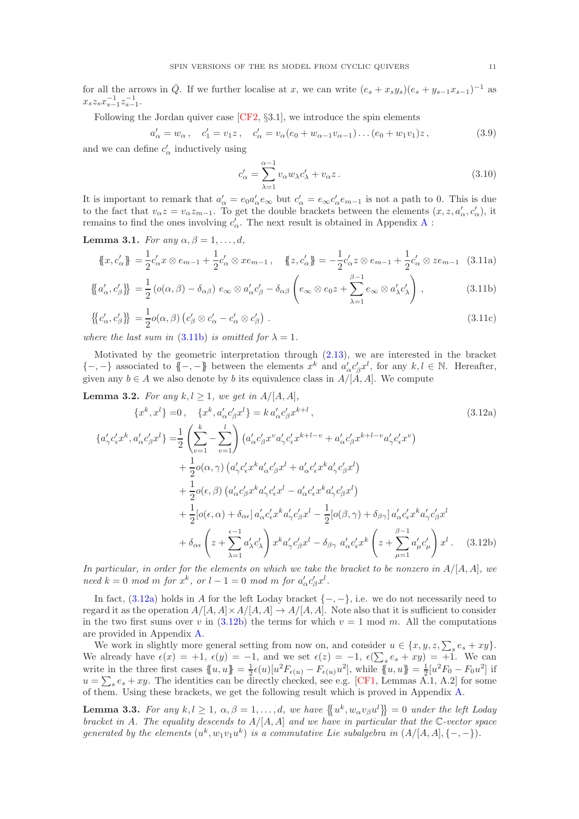for all the arrows in  $\overline{Q}$ . If we further localise at x, we can write  $(e_s + x_s y_s)(e_s + y_{s-1}x_{s-1})^{-1}$  as  $x_s z_s x_{s-1}^{-1} z_{s-1}^{-1}.$ 

Following the Jordan quiver case  $[CF2, §3.1]$ , we introduce the spin elements

$$
a'_{\alpha} = w_{\alpha}, \quad c'_{1} = v_{1}z, \quad c'_{\alpha} = v_{\alpha}(e_{0} + w_{\alpha-1}v_{\alpha-1})\dots(e_{0} + w_{1}v_{1})z, \tag{3.9}
$$

and we can define  $c'_\alpha$  inductively using

<span id="page-10-8"></span><span id="page-10-7"></span><span id="page-10-6"></span><span id="page-10-1"></span><span id="page-10-0"></span>
$$
c'_{\alpha} = \sum_{\lambda=1}^{\alpha-1} v_{\alpha} w_{\lambda} c'_{\lambda} + v_{\alpha} z. \qquad (3.10)
$$

It is important to remark that  $a'_\alpha = e_0 a'_\alpha e_\infty$  but  $c'_\alpha = e_\infty c'_\alpha e_{m-1}$  is not a path to 0. This is due to the fact that  $v_{\alpha}z = v_{\alpha}z_{m-1}$ . To get the double brackets between the elements  $(x, z, a'_{\alpha}, c'_{\alpha})$ , it remains to find the ones involving  $c'_{\alpha}$ . The next result is obtained in [A](#page-23-0)ppendix A:

<span id="page-10-4"></span>Lemma 3.1. For any  $\alpha, \beta = 1, \ldots, d$ ,

$$
\{\!\!\{x,c'_\alpha\}\!\!\} = \frac{1}{2}c'_\alpha x \otimes e_{m-1} + \frac{1}{2}c'_\alpha \otimes x e_{m-1} ,\quad \{\!\!\{z,c'_\alpha\}\!\!\} = -\frac{1}{2}c'_\alpha z \otimes e_{m-1} + \frac{1}{2}c'_\alpha \otimes z e_{m-1} \quad (3.11a)
$$

$$
\left\{ \left\{ a'_{\alpha}, c'_{\beta} \right\} \right\} = \frac{1}{2} \left( o(\alpha, \beta) - \delta_{\alpha\beta} \right) e_{\infty} \otimes a'_{\alpha} c'_{\beta} - \delta_{\alpha\beta} \left( e_{\infty} \otimes e_0 z + \sum_{\lambda=1}^{\beta-1} e_{\infty} \otimes a'_{\lambda} c'_{\lambda} \right), \tag{3.11b}
$$

$$
\{\{c'_{\alpha}, c'_{\beta}\}\} = \frac{1}{2}o(\alpha, \beta)\left(c'_{\beta} \otimes c'_{\alpha} - c'_{\alpha} \otimes c'_{\beta}\right).
$$
\n(3.11c)

where the last sum in [\(3.11b\)](#page-10-0) is omitted for  $\lambda = 1$ .

Motivated by the geometric interpretation through [\(2.13\)](#page-7-3), we are interested in the bracket  $\{-,-\}$  associated to  $\{-,-\}$  between the elements  $x^k$  and  $a'_\alpha c'_\beta x^l$ , for any  $k, l \in \mathbb{N}$ . Hereafter, given any  $b \in A$  we also denote by b its equivalence class in  $A/[A, A]$ . We compute

<span id="page-10-5"></span>**Lemma 3.2.** For any  $k, l \geq 1$ , we get in  $A/[A, A]$ ,

$$
\{x^{k}, x^{l}\} = 0, \quad \{x^{k}, a_{\alpha}^{\prime} c_{\beta}^{\prime} x^{l}\} = k a_{\alpha}^{\prime} c_{\beta}^{\prime} x^{k+l},
$$
\n
$$
\{a_{\gamma}^{\prime} c_{\epsilon}^{\prime} x^{k}, a_{\alpha}^{\prime} c_{\beta}^{\prime} x^{l}\} = \frac{1}{2} \left(\sum_{v=1}^{k} - \sum_{v=1}^{l}\right) \left(a_{\alpha}^{\prime} c_{\beta}^{\prime} x^{v} a_{\gamma}^{\prime} c_{\epsilon}^{\prime} x^{k+l-v} + a_{\alpha}^{\prime} c_{\beta}^{\prime} x^{k+l-v} a_{\gamma}^{\prime} c_{\epsilon}^{\prime} x^{v}\right) + \frac{1}{2} o(\alpha, \gamma) \left(a_{\gamma}^{\prime} c_{\epsilon}^{\prime} x^{k} a_{\alpha}^{\prime} c_{\beta}^{\prime} x^{l} + a_{\alpha}^{\prime} c_{\epsilon}^{\prime} x^{k} a_{\gamma}^{\prime} c_{\beta}^{\prime} x^{l}\right) + \frac{1}{2} o(\epsilon, \beta) \left(a_{\alpha}^{\prime} c_{\beta}^{\prime} x^{k} a_{\gamma}^{\prime} c_{\epsilon}^{\prime} x^{l} - a_{\alpha}^{\prime} c_{\epsilon}^{\prime} x^{k} a_{\gamma}^{\prime} c_{\beta}^{\prime} x^{l}\right) + \frac{1}{2} [o(\epsilon, \alpha) + \delta_{\alpha\epsilon}] a_{\alpha}^{\prime} c_{\epsilon}^{\prime} x^{k} a_{\gamma}^{\prime} c_{\beta}^{\prime} x^{l} - \frac{1}{2} [o(\beta, \gamma) + \delta_{\beta\gamma}] a_{\alpha}^{\prime} c_{\epsilon}^{\prime} x^{k} a_{\gamma}^{\prime} c_{\beta}^{\prime} x^{l} + \delta_{\alpha\epsilon} \left(z + \sum_{\lambda=1}^{\epsilon-1} a_{\lambda}^{\prime} c_{\lambda}^{\prime}\right) x^{k} a_{\gamma}^{\prime} c_{\beta}^{\prime} x^{l} - \delta_{\beta\gamma} a_{\alpha}^{\prime} c_{\epsilon}^{\prime} x^{k} \left(z + \sum_{\mu=1}^{\beta-1} a_{\mu}^{\prime} c_{\mu}^{\prime}\right
$$

<span id="page-10-2"></span>In particular, in order for the elements on which we take the bracket to be nonzero in  $A/[A, A]$ , we  $need \; k = 0 \; mod \; m \; for \; x^k, \; or \; l - 1 = 0 \; mod \; m \; for \; a'_\alpha c'_\beta x^l.$ 

In fact,  $(3.12a)$  holds in A for the left Loday bracket  $\{-,-\}$ , i.e. we do not necessarily need to regard it as the operation  $A/[A, A] \times A/[A, A] \rightarrow A/[A, A]$ . Note also that it is sufficient to consider in the two first sums over v in  $(3.12b)$  the terms for which  $v = 1 \text{ mod } m$ . All the computations are provided in Appendix [A.](#page-23-0)

We work in slightly more general setting from now on, and consider  $u \in \{x, y, z, \sum_s e_s + xy\}$ . We already have  $\epsilon(x) = +1$ ,  $\epsilon(y) = -1$ , and we set  $\epsilon(z) = -1$ ,  $\epsilon(\sum_s e_s + xy) = +1$ . We can write in the three first cases  $\{u, u\} = \frac{1}{2}\epsilon(u)[u^2 F_{\epsilon(u)} - F_{\epsilon(u)}u^2]$ , while  $\{u, u\} = \frac{1}{2}[u^2 F_0 - F_0u^2]$  if  $u = \sum_{s} e_s + xy$ . The identities can be directly checked, see e.g. [\[CF1,](#page-38-0) Lemmas A.1, A.2] for some of them. Using these brackets, we get the following result which is proved in Appendix [A.](#page-23-0)

<span id="page-10-3"></span>**Lemma 3.3.** For any  $k, l \geq 1, \alpha, \beta = 1, \ldots, d$ , we have  $\{ \{u^k, w_\alpha v_\beta u^l \} = 0 \text{ under the left } Loday$ bracket in A. The equality descends to  $A/[A, A]$  and we have in particular that the C-vector space generated by the elements  $(u^k, w_1v_1u^k)$  is a commutative Lie subalgebra in  $(A/[A, A], \{-, -\})$ .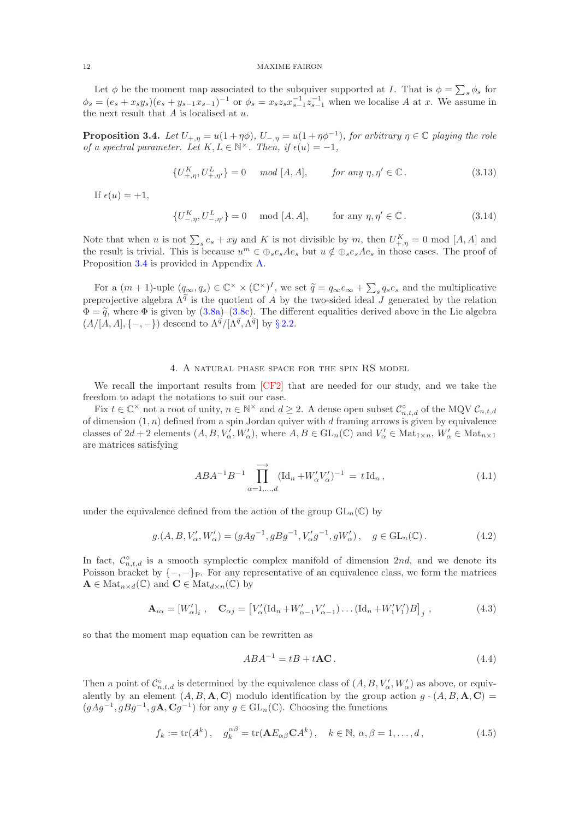Let  $\phi$  be the moment map associated to the subquiver supported at I. That is  $\phi = \sum_s \phi_s$  for  $\phi_s = (e_s + x_s y_s)(e_s + y_{s-1}x_{s-1})^{-1}$  or  $\phi_s = x_s z_s x_{s-1}^{-1} z_{s-1}^{-1}$  when we localise A at x. We assume in the next result that  $A$  is localised at  $u$ .

<span id="page-11-1"></span>**Proposition 3.4.** Let  $U_{+,\eta} = u(1 + \eta \phi)$ ,  $U_{-,\eta} = u(1 + \eta \phi^{-1})$ , for arbitrary  $\eta \in \mathbb{C}$  playing the role of a spectral parameter. Let  $K, L \in \mathbb{N}^{\times}$ . Then, if  $\epsilon(u) = -1$ ,

$$
\{U_{+, \eta}^{K}, U_{+, \eta'}^{L}\} = 0 \quad \mod[A, A], \qquad \text{for any } \eta, \eta' \in \mathbb{C}. \tag{3.13}
$$

If  $\epsilon(u) = +1$ ,

$$
\{U_{-, \eta}^{K}, U_{-, \eta'}^{L}\} = 0 \quad \text{mod } [A, A], \qquad \text{for any } \eta, \eta' \in \mathbb{C}.
$$
 (3.14)

Note that when u is not  $\sum_s e_s + xy$  and K is not divisible by m, then  $U_{+, \eta}^K = 0 \mod [A, A]$  and the result is trivial. This is because  $u^m \in \bigoplus_s e_s A e_s$  but  $u \notin \bigoplus_s e_s A e_s$  in those cases. The proof of Proposition [3.4](#page-11-1) is provided in Appendix [A.](#page-23-0)

For a  $(m + 1)$ -uple  $(q_\infty, q_s) \in \mathbb{C}^\times \times (\mathbb{C}^\times)^I$ , we set  $\widetilde{q} = q_\infty e_\infty + \sum_s q_s e_s$  and the multiplicative preprojective algebra  $\Lambda^{\tilde{q}}$  is the quotient of A by the two-sided ideal J generated by the relation  $\Phi = \tilde{q}$ , where  $\Phi$  is given by [\(3.8a\)](#page-9-9)–[\(3.8c\)](#page-9-10). The different equalities derived above in the Lie algebra  $(A/[\tilde{A}, A], \{-,-\})$  descend to  $\Lambda^{\tilde{q}}/[\Lambda^{\tilde{q}}, \Lambda^{\tilde{q}}]$  by § [2.2.](#page-3-3)

## 4. A natural phase space for the spin RS model

<span id="page-11-0"></span>We recall the important results from [\[CF2\]](#page-38-11) that are needed for our study, and we take the freedom to adapt the notations to suit our case.

Fix  $t \in \mathbb{C}^\times$  not a root of unity,  $n \in \mathbb{N}^\times$  and  $d \geq 2$ . A dense open subset  $\mathcal{C}^\circ_{n,t,d}$  of the MQV  $\mathcal{C}_{n,t,d}$ of dimension  $(1, n)$  defined from a spin Jordan quiver with d framing arrows is given by equivalence classes of  $2d + 2$  elements  $(A, B, V'_\alpha, W'_\alpha)$ , where  $A, B \in GL_n(\mathbb{C})$  and  $V'_\alpha \in Mat_{1 \times n}$ ,  $W'_\alpha \in Mat_{n \times 1}$ are matrices satisfying

$$
ABA^{-1}B^{-1}\prod_{\alpha=1,\dots,d}^{\longrightarrow} (\text{Id}_n + W'_{\alpha}V'_{\alpha})^{-1} = t \,\text{Id}_n ,
$$
\n(4.1)

under the equivalence defined from the action of the group  $GL_n(\mathbb{C})$  by

$$
g.(A, B, V'_{\alpha}, W'_{\alpha}) = (gAg^{-1}, gBg^{-1}, V'_{\alpha}g^{-1}, gW'_{\alpha}), \quad g \in GL_n(\mathbb{C}).
$$
\n(4.2)

In fact,  $\mathcal{C}_{n,t,d}^{\circ}$  is a smooth symplectic complex manifold of dimension 2nd, and we denote its Poisson bracket by  $\{-,-\}_P$ . For any representative of an equivalence class, we form the matrices  $\mathbf{A} \in \text{Mat}_{n \times d}(\mathbb{C})$  and  $\mathbf{C} \in \text{Mat}_{d \times n}(\mathbb{C})$  by

<span id="page-11-3"></span>
$$
\mathbf{A}_{i\alpha} = [W'_{\alpha}]_i , \quad \mathbf{C}_{\alpha j} = [V'_{\alpha}(\mathrm{Id}_n + W'_{\alpha-1}V'_{\alpha-1}) \dots (\mathrm{Id}_n + W'_1V'_1)B]_j , \qquad (4.3)
$$

so that the moment map equation can be rewritten as

<span id="page-11-2"></span>
$$
ABA^{-1} = tB + tAC.
$$
\n
$$
(4.4)
$$

Then a point of  $\mathcal{C}^{\circ}_{n,t,d}$  is determined by the equivalence class of  $(A, B, V'_{\alpha}, W'_{\alpha})$  as above, or equivalently by an element  $(A, B, \mathbf{A}, \mathbf{C})$  modulo identification by the group action  $g \cdot (A, B, \mathbf{A}, \mathbf{C}) =$  $(gAg^{-1}, gBg^{-1}, g\mathbf{A}, \mathbf{C}g^{-1})$  for any  $g \in GL_n(\mathbb{C})$ . Choosing the functions

<span id="page-11-4"></span>
$$
f_k := \text{tr}(A^k), \quad g_k^{\alpha \beta} = \text{tr}(\mathbf{A} E_{\alpha \beta} \mathbf{C} A^k), \quad k \in \mathbb{N}, \, \alpha, \beta = 1, \dots, d,
$$
 (4.5)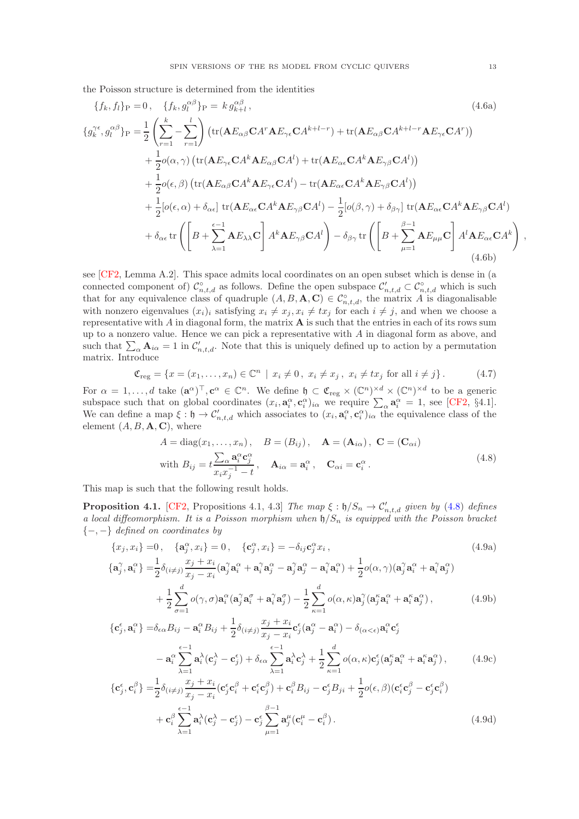the Poisson structure is determined from the identities

$$
\{f_k, f_l\}_P = 0, \quad \{f_k, g_l^{\alpha\beta}\}_P = k g_{k+l}^{\alpha\beta}, \qquad (4.6a)
$$
\n
$$
\{g_k^{\gamma\epsilon}, g_l^{\alpha\beta}\}_P = \frac{1}{2} \left( \sum_{r=1}^k - \sum_{r=1}^l \right) \left( \text{tr}(\mathbf{A} E_{\alpha\beta} \mathbf{C} A^r \mathbf{A} E_{\gamma\epsilon} \mathbf{C} A^{k+l-r}) + \text{tr}(\mathbf{A} E_{\alpha\beta} \mathbf{C} A^{k+l-r} \mathbf{A} E_{\gamma\epsilon} \mathbf{C} A^r) \right)
$$
\n
$$
+ \frac{1}{2} o(\alpha, \gamma) \left( \text{tr}(\mathbf{A} E_{\gamma\epsilon} \mathbf{C} A^k \mathbf{A} E_{\alpha\beta} \mathbf{C} A^l) + \text{tr}(\mathbf{A} E_{\alpha\epsilon} \mathbf{C} A^k \mathbf{A} E_{\gamma\beta} \mathbf{C} A^l) \right)
$$
\n
$$
+ \frac{1}{2} o(\epsilon, \beta) \left( \text{tr}(\mathbf{A} E_{\alpha\beta} \mathbf{C} A^k \mathbf{A} E_{\gamma\epsilon} \mathbf{C} A^l) - \text{tr}(\mathbf{A} E_{\alpha\epsilon} \mathbf{C} A^k \mathbf{A} E_{\gamma\beta} \mathbf{C} A^l) \right)
$$
\n
$$
+ \frac{1}{2} [o(\epsilon, \alpha) + \delta_{\alpha\epsilon}] \text{ tr}(\mathbf{A} E_{\alpha\epsilon} \mathbf{C} A^k \mathbf{A} E_{\gamma\beta} \mathbf{C} A^l) - \frac{1}{2} [o(\beta, \gamma) + \delta_{\beta\gamma}] \text{ tr}(\mathbf{A} E_{\alpha\epsilon} \mathbf{C} A^k \mathbf{A} E_{\gamma\beta} \mathbf{C} A^l)
$$
\n
$$
+ \delta_{\alpha\epsilon} \text{ tr} \left( \left[ B + \sum_{\lambda=1}^{\epsilon-1} \mathbf{A} E_{\lambda\lambda} \mathbf{C} \right] A^k \mathbf{A} E_{\gamma\beta} \mathbf{C} A^l \right) - \delta_{\beta\gamma} \text{ tr} \left( \
$$

see [\[CF2,](#page-38-11) Lemma A.2]. This space admits local coordinates on an open subset which is dense in (a connected component of)  $\mathcal{C}_{n,t,d}^{\circ}$  as follows. Define the open subspace  $\mathcal{C}_{n,t,d}' \subset \mathcal{C}_{n,t,d}^{\circ}$  which is such that for any equivalence class of quadruple  $(A, B, \mathbf{A}, \mathbf{C}) \in C^{\circ}_{n,t,d}$ , the matrix A is diagonalisable with nonzero eigenvalues  $(x_i)_i$  satisfying  $x_i \neq x_j, x_i \neq tx_j$  for each  $i \neq j$ , and when we choose a representative with  $A$  in diagonal form, the matrix  $A$  is such that the entries in each of its rows sum up to a nonzero value. Hence we can pick a representative with  $A$  in diagonal form as above, and such that  $\sum_{\alpha} \mathbf{A}_{i\alpha} = 1$  in  $\mathcal{C}'_{n,t,d}$ . Note that this is uniquely defined up to action by a permutation matrix. Introduce

<span id="page-12-2"></span>
$$
\mathfrak{C}_{\text{reg}} = \{ x = (x_1, \dots, x_n) \in \mathbb{C}^n \mid x_i \neq 0, \ x_i \neq x_j, \ x_i \neq tx_j \text{ for all } i \neq j \}. \tag{4.7}
$$

For  $\alpha = 1, \ldots, d$  take  $(\mathbf{a}^{\alpha})^{\top}, \mathbf{c}^{\alpha} \in \mathbb{C}^{n}$ . We define  $\mathfrak{h} \subset \mathfrak{C}_{\text{reg}} \times (\mathbb{C}^{n})^{\times d} \times (\mathbb{C}^{n})^{\times d}$  to be a generic subspace such that on global coordinates  $(x_i, \mathbf{a}_i^{\alpha}, \mathbf{c}_i^{\alpha})_{i\alpha}$  we require  $\sum_{\alpha} \mathbf{a}_i^{\alpha} = 1$ , see [\[CF2,](#page-38-11) §4.1]. We can define a map  $\xi : \mathfrak{h} \to \mathcal{C}'_{n,t,d}$  which associates to  $(x_i, \mathbf{a}_i^{\alpha}, \mathbf{c}_i^{\alpha})_{i\alpha}$  the equivalence class of the element  $(A, B, \mathbf{A}, \mathbf{C})$ , where

<span id="page-12-0"></span>
$$
A = \text{diag}(x_1, \dots, x_n), \quad B = (B_{ij}), \quad \mathbf{A} = (\mathbf{A}_{i\alpha}), \quad \mathbf{C} = (\mathbf{C}_{\alpha i})
$$
  
with  $B_{ij} = t \frac{\sum_{\alpha} \mathbf{a}_i^{\alpha} \mathbf{c}_j^{\alpha}}{x_i x_j^{-1} - t}, \quad \mathbf{A}_{i\alpha} = \mathbf{a}_i^{\alpha}, \quad \mathbf{C}_{\alpha i} = \mathbf{c}_i^{\alpha}.$  (4.8)

This map is such that the following result holds.

 $\{$ 

<span id="page-12-1"></span>**Proposition 4.1.** [\[CF2,](#page-38-11) Propositions 4.1, 4.3] The map  $\xi : \mathfrak{h}/S_n \to \mathcal{C}'_{n,t,d}$  given by [\(4.8\)](#page-12-0) defines a local diffeomorphism. It is a Poisson morphism when  $\mathfrak{h}/S_n$  is equipped with the Poisson bracket {−, −} defined on coordinates by

$$
\{x_j, x_i\} = 0, \quad \{\mathbf{a}_j^{\alpha}, x_i\} = 0, \quad \{\mathbf{c}_j^{\alpha}, x_i\} = -\delta_{ij}\mathbf{c}_j^{\alpha} x_i,
$$
\n
$$
\{\mathbf{a}_j^{\gamma}, \mathbf{a}_i^{\alpha}\} = \frac{1}{2}\delta_{(i \neq j)}\frac{x_j + x_i}{x_j - x_i}(\mathbf{a}_j^{\gamma}\mathbf{a}_i^{\alpha} + \mathbf{a}_i^{\gamma}\mathbf{a}_j^{\alpha} - \mathbf{a}_j^{\gamma}\mathbf{a}_j^{\alpha} - \mathbf{a}_i^{\gamma}\mathbf{a}_i^{\alpha}) + \frac{1}{2}o(\alpha, \gamma)(\mathbf{a}_j^{\gamma}\mathbf{a}_i^{\alpha} + \mathbf{a}_i^{\gamma}\mathbf{a}_j^{\alpha})
$$
\n(4.9a)

$$
+\frac{1}{2}\sum_{\sigma=1}^{d}o(\gamma,\sigma)\mathbf{a}_{i}^{\alpha}(\mathbf{a}_{j}^{\gamma}\mathbf{a}_{i}^{\sigma}+\mathbf{a}_{i}^{\gamma}\mathbf{a}_{j}^{\sigma})-\frac{1}{2}\sum_{\kappa=1}^{d}o(\alpha,\kappa)\mathbf{a}_{j}^{\gamma}(\mathbf{a}_{j}^{\kappa}\mathbf{a}_{i}^{\alpha}+\mathbf{a}_{i}^{\kappa}\mathbf{a}_{j}^{\alpha}),
$$
\n(4.9b)

$$
\begin{split}\n\{\mathbf{c}_{j}^{\epsilon}, \mathbf{a}_{i}^{\alpha}\} &= \delta_{\epsilon\alpha} B_{ij} - \mathbf{a}_{i}^{\alpha} B_{ij} + \frac{1}{2} \delta_{(i \neq j)} \frac{x_{j} + x_{i}}{x_{j} - x_{i}} \mathbf{c}_{j}^{\epsilon} (\mathbf{a}_{j}^{\alpha} - \mathbf{a}_{i}^{\alpha}) - \delta_{(\alpha < \epsilon)} \mathbf{a}_{i}^{\alpha} \mathbf{c}_{j}^{\epsilon} \\
&\quad - \mathbf{a}_{i}^{\alpha} \sum_{\lambda=1}^{\epsilon-1} \mathbf{a}_{i}^{\lambda} (\mathbf{c}_{j}^{\lambda} - \mathbf{c}_{j}^{\epsilon}) + \delta_{\epsilon\alpha} \sum_{\lambda=1}^{\epsilon-1} \mathbf{a}_{i}^{\lambda} \mathbf{c}_{j}^{\lambda} + \frac{1}{2} \sum_{\kappa=1}^{d} o(\alpha, \kappa) \mathbf{c}_{j}^{\epsilon} (\mathbf{a}_{j}^{\kappa} \mathbf{a}_{i}^{\alpha} + \mathbf{a}_{i}^{\kappa} \mathbf{a}_{j}^{\alpha}), \\
\{\mathbf{c}_{j}^{\epsilon}, \mathbf{c}_{i}^{\beta}\} &= \frac{1}{2} \delta_{(i \neq j)} \frac{x_{j} + x_{i}}{x_{j} - x_{i}} (\mathbf{c}_{j}^{\epsilon} \mathbf{c}_{i}^{\beta} + \mathbf{c}_{i}^{\epsilon} \mathbf{c}_{j}^{\beta}) + \mathbf{c}_{i}^{\beta} B_{ij} - \mathbf{c}_{j}^{\epsilon} B_{ji} + \frac{1}{2} o(\epsilon, \beta) (\mathbf{c}_{i}^{\epsilon} \mathbf{c}_{j}^{\beta} - \mathbf{c}_{j}^{\epsilon} \mathbf{c}_{i}^{\beta})\n\end{split}
$$
\n(4.9c)

$$
+\mathbf{c}_{i}^{\beta}\sum_{\lambda=1}^{\epsilon-1}\mathbf{a}_{i}^{\lambda}(\mathbf{c}_{j}^{\lambda}-\mathbf{c}_{j}^{\epsilon})-\mathbf{c}_{j}^{\epsilon}\sum_{\mu=1}^{\beta-1}\mathbf{a}_{j}^{\mu}(\mathbf{c}_{i}^{\mu}-\mathbf{c}_{i}^{\beta}).
$$
\n(4.9d)

<span id="page-12-4"></span><span id="page-12-3"></span>,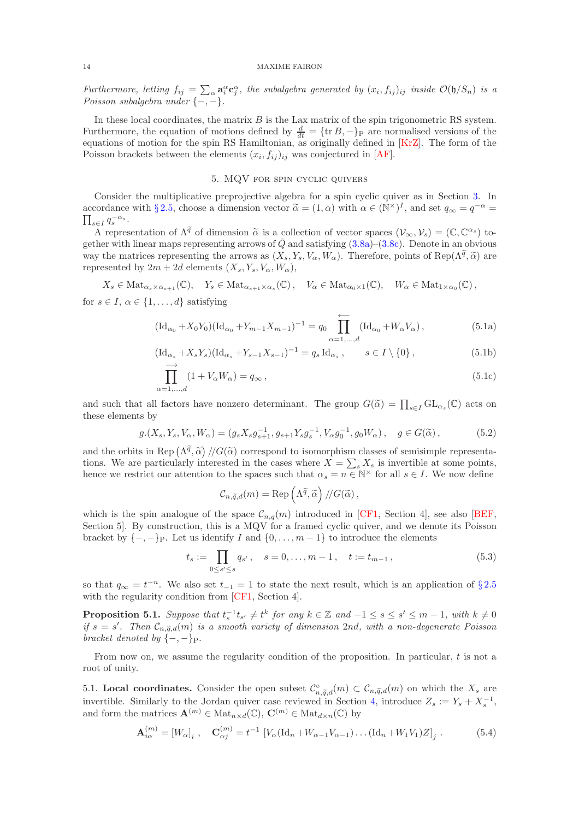Furthermore, letting  $f_{ij} = \sum_{\alpha} a_i^{\alpha} c_j^{\alpha}$ , the subalgebra generated by  $(x_i, f_{ij})_{ij}$  inside  $\mathcal{O}(\mathfrak{h}/S_n)$  is a Poisson subalgebra under  $\{-,-\}.$ 

In these local coordinates, the matrix  $B$  is the Lax matrix of the spin trigonometric RS system. Furthermore, the equation of motions defined by  $\frac{d}{dt} = {\text{tr }B, -}P$  are normalised versions of the equations of motion for the spin RS Hamiltonian, as originally defined in [\[KrZ\]](#page-39-17). The form of the Poisson brackets between the elements  $(x_i, f_{ij})_{ij}$  was conjectured in [\[AF\]](#page-38-8).

## <span id="page-13-1"></span>5. MQV for spin cyclic quivers

<span id="page-13-0"></span>Consider the multiplicative preprojective algebra for a spin cyclic quiver as in Section [3.](#page-8-0) In accordance with § [2.5,](#page-7-4) choose a dimension vector  $\tilde{\alpha} = (1, \alpha)$  with  $\alpha \in (\mathbb{N}^{\times})^I$ , and set  $q_{\infty} = q^{-\alpha} = \overline{\mathbb{N} \times \mathbb{N} \times \mathbb{N} \times \mathbb{N}}$  $\prod_{s\in I} q_s^{-\alpha_s}.$ 

A representation of  $\Lambda^{\tilde{q}}$  of dimension  $\tilde{\alpha}$  is a collection of vector spaces  $(\mathcal{V}_{\infty}, \mathcal{V}_{s}) = (\mathbb{C}, \mathbb{C}^{\alpha_{s}})$  together with linear maps representing arrows of  $\overline{Q}$  and satisfying [\(3.8a\)](#page-9-9)–[\(3.8c\)](#page-9-10). Denote in an obvious way the matrices representing the arrows as  $(X_s, Y_s, V_\alpha, W_\alpha)$ . Therefore, points of Rep( $\Lambda^{\tilde{q}}, \tilde{\alpha}$ ) are represented by  $2m + 2d$  elements  $(X_s, Y_s, V_\alpha, W_\alpha)$ ,

$$
X_s \in \text{Mat}_{\alpha_s \times \alpha_{s+1}}(\mathbb{C}), \quad Y_s \in \text{Mat}_{\alpha_{s+1} \times \alpha_s}(\mathbb{C}), \quad V_\alpha \in \text{Mat}_{\alpha_0 \times 1}(\mathbb{C}), \quad W_\alpha \in \text{Mat}_{1 \times \alpha_0}(\mathbb{C}),
$$

for  $s \in I$ ,  $\alpha \in \{1, \ldots, d\}$  satisfying

$$
(\mathrm{Id}_{\alpha_0} + X_0 Y_0)(\mathrm{Id}_{\alpha_0} + Y_{m-1} X_{m-1})^{-1} = q_0 \prod_{\alpha=1,\dots,d}^{\longleftarrow} (\mathrm{Id}_{\alpha_0} + W_\alpha V_\alpha), \tag{5.1a}
$$

$$
(\mathrm{Id}_{\alpha_s} + X_s Y_s)(\mathrm{Id}_{\alpha_s} + Y_{s-1} X_{s-1})^{-1} = q_s \mathrm{Id}_{\alpha_s} , \qquad s \in I \setminus \{0\} ,
$$
\n
$$
(5.1b)
$$

$$
\prod_{\alpha=1,\dots,d}^{\longrightarrow} (1 + V_{\alpha} W_{\alpha}) = q_{\infty},\tag{5.1c}
$$

and such that all factors have nonzero determinant. The group  $G(\tilde{\alpha}) = \prod_{s \in I} GL_{\alpha_s}(\mathbb{C})$  acts on these elements by

<span id="page-13-6"></span>
$$
g.(X_s, Y_s, V_\alpha, W_\alpha) = (g_s X_s g_{s+1}^{-1}, g_{s+1} Y_s g_s^{-1}, V_\alpha g_0^{-1}, g_0 W_\alpha), \quad g \in G(\widetilde{\alpha}), \tag{5.2}
$$

and the orbits in Rep  $(\Lambda^{\tilde{q}}, \tilde{\alpha})$  // $G(\tilde{\alpha})$  correspond to isomorphism classes of semisimple representations. We are particularly interested in the cases where  $X = \sum_{s} X_s$  is invertible at some points, hence we restrict our attention to the spaces such that  $\alpha_s = n \in \mathbb{N}^\times$  for all  $s \in I$ . We now define

<span id="page-13-3"></span><span id="page-13-2"></span>
$$
\mathcal{C}_{n,\widetilde{q},d}(m) = \text{Rep}\left(\Lambda^{\widetilde{q}},\widetilde{\alpha}\right)/\!/\mathcal{G}(\widetilde{\alpha}),
$$

which is the spin analogue of the space  $\mathcal{C}_{n,q}(m)$  introduced in [\[CF1,](#page-38-0) Section 4], see also [\[BEF,](#page-38-16) Section 5]. By construction, this is a MQV for a framed cyclic quiver, and we denote its Poisson bracket by  $\{-, -\}_P$ . Let us identify I and  $\{0, \ldots, m-1\}$  to introduce the elements

$$
t_s := \prod_{0 \le s' \le s} q_{s'}, \quad s = 0, \dots, m-1, \quad t := t_{m-1}, \tag{5.3}
$$

so that  $q_{\infty} = t^{-n}$ . We also set  $t_{-1} = 1$  to state the next result, which is an application of §[2.5](#page-7-4) with the regularity condition from [\[CF1,](#page-38-0) Section 4].

**Proposition 5.1.** Suppose that  $t_s^{-1}t_{s'} \neq t^k$  for any  $k \in \mathbb{Z}$  and  $-1 \leq s \leq s' \leq m-1$ , with  $k \neq 0$ if  $s = s'$ . Then  $\mathcal{C}_{n,\widetilde{q},d}(m)$  is a smooth variety of dimension 2nd, with a non-degenerate Poisson bracket denoted by  $\{-,-\}_P$ .

From now on, we assume the regularity condition of the proposition. In particular,  $t$  is not a root of unity.

<span id="page-13-5"></span>5.1. Local coordinates. Consider the open subset  $\mathcal{C}_{n,\widetilde{q},d}^{\circ}(m) \subset \mathcal{C}_{n,\widetilde{q},d}(m)$  on which the  $X_s$  are invertible. Similarly to the Jordan quiver case reviewed in Section [4,](#page-11-0) introduce  $Z_s := Y_s + X_s^{-1}$ , and form the matrices  $\mathbf{A}^{(m)} \in \text{Mat}_{n \times d}(\mathbb{C}), \mathbf{C}^{(m)} \in \text{Mat}_{d \times n}(\mathbb{C})$  by

<span id="page-13-4"></span>
$$
\mathbf{A}_{i\alpha}^{(m)} = [W_{\alpha}]_i \ , \quad \mathbf{C}_{\alpha j}^{(m)} = t^{-1} \ [V_{\alpha}(\mathrm{Id}_n + W_{\alpha-1}V_{\alpha-1}) \dots (\mathrm{Id}_n + W_1V_1)Z]_j \ . \tag{5.4}
$$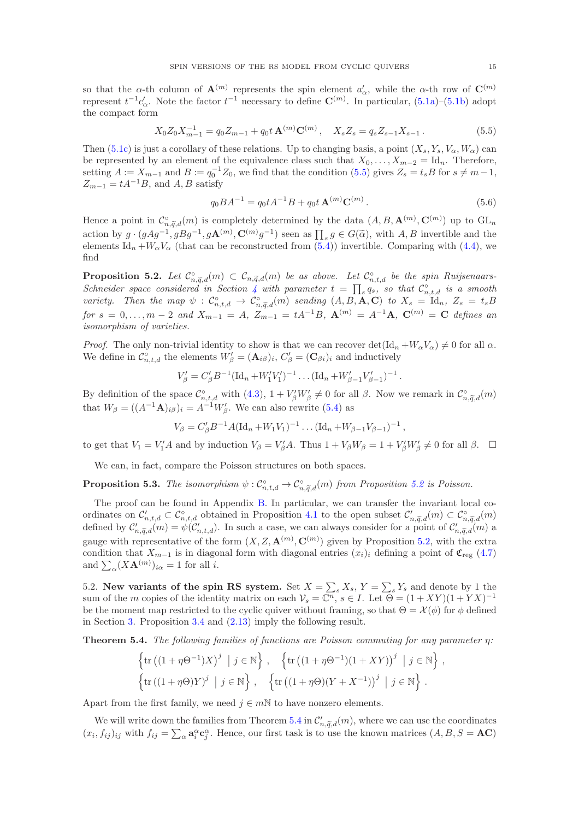so that the  $\alpha$ -th column of  $\mathbf{A}^{(m)}$  represents the spin element  $a'_{\alpha}$ , while the  $\alpha$ -th row of  $\mathbf{C}^{(m)}$ represent  $t^{-1}c'_\n\alpha$ . Note the factor  $t^{-1}$  necessary to define  $\mathbb{C}^{(m)}$ . In particular,  $(5.1a)$ - $(5.1b)$  adopt the compact form

<span id="page-14-0"></span>
$$
X_0 Z_0 X_{m-1}^{-1} = q_0 Z_{m-1} + q_0 t \mathbf{A}^{(m)} \mathbf{C}^{(m)}, \quad X_s Z_s = q_s Z_{s-1} X_{s-1}.
$$
 (5.5)

Then [\(5.1c\)](#page-13-3) is just a corollary of these relations. Up to changing basis, a point  $(X_s, Y_s, V_\alpha, W_\alpha)$  can be represented by an element of the equivalence class such that  $X_0, \ldots, X_{m-2} = \mathrm{Id}_n$ . Therefore, setting  $A := X_{m-1}$  and  $B := q_0^{-1}Z_0$ , we find that the condition [\(5.5\)](#page-14-0) gives  $Z_s = t_s B$  for  $s \neq m-1$ ,  $Z_{m-1} = tA^{-1}B$ , and A, B satisfy

$$
q_0 B A^{-1} = q_0 t A^{-1} B + q_0 t \mathbf{A}^{(m)} \mathbf{C}^{(m)}.
$$
\n(5.6)

Hence a point in  $\mathcal{C}^{\circ}_{n,\widetilde{q},d}(m)$  is completely determined by the data  $(A, B, \mathbf{A}^{(m)}, \mathbf{C}^{(m)})$  up to  $GL_n$ action by  $g \cdot (gAg^{-1}, gBg^{-1}, g\mathbf{A}^{(m)}, \mathbf{C}^{(m)}g^{-1})$  seen as  $\prod_s g \in G(\tilde{\alpha})$ , with A, B invertible and the elements Id<sub>n</sub> + $W_{\alpha}V_{\alpha}$  (that can be reconstructed from [\(5.4\)](#page-13-4)) invertible. Comparing with [\(4.4\)](#page-11-2), we find

<span id="page-14-1"></span>**Proposition 5.2.** Let  $\mathcal{C}_{n,\widetilde{q},d}^{\circ}(m) \subset \mathcal{C}_{n,\widetilde{q},d}(m)$  be as above. Let  $\mathcal{C}_{n,t,d}^{\circ}$  be the spin Ruijsenaars-Schneider space considered in Section [4](#page-11-0) with parameter  $t = \prod_s q_s$ , so that  $\mathcal{C}^{\circ}_{n,t,d}$  is a smooth variety. Then the map  $\psi : C^{\circ}_{n,t,d} \to C^{\circ}_{n,\tilde{q},d}(m)$  sending  $(A, B, A, C)$  to  $X_s = \mathrm{Id}_n$ ,  $Z_s = t_s B$ for  $s = 0, \ldots, m-2$  and  $X_{m-1} = A$ ,  $Z_{m-1} = tA^{-1}B$ ,  $\mathbf{A}^{(m)} = A^{-1}\mathbf{A}$ ,  $\mathbf{C}^{(m)} = \mathbf{C}$  defines an isomorphism of varieties.

*Proof.* The only non-trivial identity to show is that we can recover  $\det(\mathrm{Id}_n + W_\alpha V_\alpha) \neq 0$  for all  $\alpha$ . We define in  $\mathcal{C}_{n,t,d}^{\circ}$  the elements  $W'_{\beta} = (\mathbf{A}_{i\beta})_i, C'_{\beta} = (\mathbf{C}_{\beta i})_i$  and inductively

$$
V'_{\beta} = C'_{\beta} B^{-1} (\text{Id}_n + W'_1 V'_1)^{-1} \dots (\text{Id}_n + W'_{\beta-1} V'_{\beta-1})^{-1}.
$$

By definition of the space  $\mathcal{C}_{n,t,d}^{\circ}$  with  $(4.3), 1 + V'_\beta W'_\beta \neq 0$  for all  $\beta$ . Now we remark in  $\mathcal{C}_{n,\widetilde{q},d}^{\circ}(m)$ that  $W_{\beta} = ((A^{-1}A)_{i\beta})_i = A^{-1}W'_{\beta}$ . We can also rewrite [\(5.4\)](#page-13-4) as

$$
V_{\beta} = C'_{\beta} B^{-1} A (\mathrm{Id}_n + W_1 V_1)^{-1} \dots (\mathrm{Id}_n + W_{\beta-1} V_{\beta-1})^{-1} ,
$$

to get that  $V_1 = V_1'A$  and by induction  $V_\beta = V_\beta'A$ . Thus  $1 + V_\beta W_\beta = 1 + V_\beta' W_\beta' \neq 0$  for all  $\beta$ .  $\Box$ 

We can, in fact, compare the Poisson structures on both spaces.

<span id="page-14-4"></span>**Proposition 5.3.** The isomorphism  $\psi: C_{n,t,d}^{\circ} \to C_{n,\tilde{q},d}^{\circ}(m)$  from Proposition [5.2](#page-14-1) is Poisson.

The proof can be found in Appendix [B.](#page-34-0) In particular, we can transfer the invariant local coordinates on  $\mathcal{C}'_{n,t,d} \subset \mathcal{C}_{n,t,d}^{\circ}$  obtained in Proposition [4.1](#page-12-1) to the open subset  $\mathcal{C}'_{n,\widetilde{q},d}(m) \subset \mathcal{C}_{n,\widetilde{q},d}^{\circ}(m)$ defined by  $\mathcal{C}'_{n,\tilde{q},d}(m) = \psi(\mathcal{C}'_{n,t,d})$ . In such a case, we can always consider for a point of  $\mathcal{C}'_{n,\tilde{q},d}(m)$  a gauge with representative of the form  $(X, Z, \mathbf{A}^{(m)}, \mathbf{C}^{(m)})$  given by Proposition [5.2,](#page-14-1) with the extra condition that  $X_{m-1}$  is in diagonal form with diagonal entries  $(x_i)_i$  defining a point of  $\mathfrak{C}_{reg}$  [\(4.7\)](#page-12-2) and  $\sum_{\alpha} (X \mathbf{A}^{(m)})_{i\alpha} = 1$  for all *i*.

<span id="page-14-3"></span>5.2. New variants of the spin RS system. Set  $X = \sum_s X_s$ ,  $Y = \sum_s Y_s$  and denote by 1 the sum of the m copies of the identity matrix on each  $\mathcal{V}_s = \mathbb{C}^n$ ,  $s \in I$ . Let  $\Theta = (1 + XY)(1 + YX)^{-1}$ be the moment map restricted to the cyclic quiver without framing, so that  $\Theta = \mathcal{X}(\phi)$  for  $\phi$  defined in Section [3.](#page-8-0) Proposition [3.4](#page-11-1) and [\(2.13\)](#page-7-3) imply the following result.

<span id="page-14-2"></span>**Theorem 5.4.** The following families of functions are Poisson commuting for any parameter  $\eta$ :

$$
\left\{\text{tr}((1+\eta\Theta^{-1})X)^j \mid j\in\mathbb{N}\right\}, \quad \left\{\text{tr}((1+\eta\Theta^{-1})(1+XY))^j \mid j\in\mathbb{N}\right\},\
$$

$$
\left\{\text{tr}((1+\eta\Theta)Y)^j \mid j\in\mathbb{N}\right\}, \quad \left\{\text{tr}((1+\eta\Theta)(Y+X^{-1}))^j \mid j\in\mathbb{N}\right\}.
$$

Apart from the first family, we need  $j \in m\mathbb{N}$  to have nonzero elements.

We will write down the families from Theorem [5.4](#page-14-2) in  $\mathcal{C}'_{n,\widetilde{q},d}(m)$ , where we can use the coordinates  $(x_i, f_{ij})_{ij}$  with  $f_{ij} = \sum_{\alpha} a_i^{\alpha} c_j^{\alpha}$ . Hence, our first task is to use the known matrices  $(A, B, S = AC)$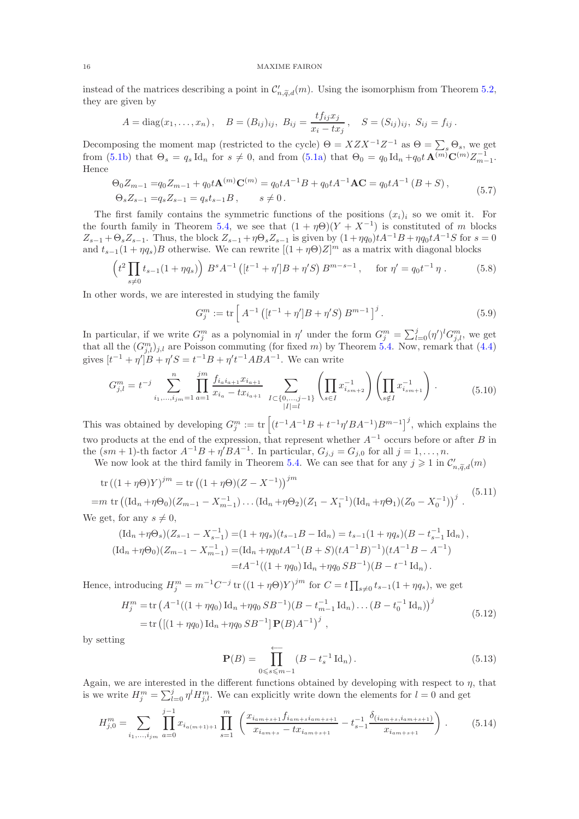instead of the matrices describing a point in  $\mathcal{C}'_{n,\widetilde{q},d}(m)$ . Using the isomorphism from Theorem [5.2,](#page-14-1) they are given by

$$
A = diag(x_1, ..., x_n), \quad B = (B_{ij})_{ij}, \ B_{ij} = \frac{tf_{ij}x_j}{x_i - tx_j}, \quad S = (S_{ij})_{ij}, \ S_{ij} = f_{ij}.
$$

Decomposing the moment map (restricted to the cycle)  $\Theta = XZX^{-1}Z^{-1}$  as  $\Theta = \sum_s \Theta_s$ , we get from [\(5.1b\)](#page-13-2) that  $\Theta_s = q_s \, \text{Id}_n$  for  $s \neq 0$ , and from [\(5.1a\)](#page-13-1) that  $\Theta_0 = q_0 \, \text{Id}_n + q_0 t \, \mathbf{A}^{(m)} \mathbf{C}^{(m)} Z_{m-1}^{-1}$ . Hence

$$
\Theta_0 Z_{m-1} = q_0 Z_{m-1} + q_0 t \mathbf{A}^{(m)} \mathbf{C}^{(m)} = q_0 t A^{-1} B + q_0 t A^{-1} \mathbf{A} \mathbf{C} = q_0 t A^{-1} (B + S),
$$
  
\n
$$
\Theta_s Z_{s-1} = q_s Z_{s-1} = q_s t_{s-1} B, \qquad s \neq 0.
$$
\n(5.7)

The first family contains the symmetric functions of the positions  $(x_i)_i$  so we omit it. For the fourth family in Theorem [5.4,](#page-14-2) we see that  $(1 + \eta \Theta)(Y + X^{-1})$  is constituted of m blocks  $Z_{s-1} + \Theta_s Z_{s-1}$ . Thus, the block  $Z_{s-1} + \eta \Theta_s Z_{s-1}$  is given by  $(1 + \eta q_0)tA^{-1}B + \eta q_0 tA^{-1}S$  for  $s = 0$ and  $t_{s-1}(1 + \eta q_s)B$  otherwise. We can rewrite  $[(1 + \eta \Theta)Z]^m$  as a matrix with diagonal blocks

$$
\left(t^2 \prod_{s \neq 0} t_{s-1} (1 + \eta q_s)\right) B^s A^{-1} \left([t^{-1} + \eta']B + \eta' S\right) B^{m-s-1}, \quad \text{for } \eta' = q_0 t^{-1} \eta. \tag{5.8}
$$

In other words, we are interested in studying the family

<span id="page-15-2"></span>
$$
G_j^m := \text{tr}\left[A^{-1}\left([t^{-1} + \eta']B + \eta'S\right)B^{m-1}\right]^j.
$$
\n(5.9)

In particular, if we write  $G_j^m$  as a polynomial in  $\eta'$  under the form  $G_j^m = \sum_{l=0}^j (\eta')^l G_{j,l}^m$ , we get that all the  $(G_{j,l}^m)_{j,l}$  are Poisson commuting (for fixed m) by Theorem [5.4.](#page-14-2) Now, remark that [\(4.4\)](#page-11-2) gives  $[t^{-1} + \eta' ]B + \eta' S = t^{-1} B + \eta' t^{-1} A B A^{-1}$ . We can write

$$
G_{j,l}^{m} = t^{-j} \sum_{i_1, \dots, i_{jm}=1}^{n} \prod_{a=1}^{jm} \frac{f_{i_a i_{a+1}} x_{i_{a+1}}}{x_{i_a} - tx_{i_{a+1}}} \sum_{I \subset \{0, \dots, j-1\}} \left( \prod_{s \in I} x_{i_{sm+2}}^{-1} \right) \left( \prod_{s \notin I} x_{i_{sm+1}}^{-1} \right) . \tag{5.10}
$$

This was obtained by developing  $G_j^m := \text{tr}\left[ (t^{-1}A^{-1}B + t^{-1}\eta'BA^{-1})B^{m-1} \right]^j$ , which explains the two products at the end of the expression, that represent whether  $A^{-1}$  occurs before or after B in the  $(sm+1)$ -th factor  $A^{-1}B + \eta'BA^{-1}$ . In particular,  $G_{j,j} = G_{j,0}$  for all  $j = 1, ..., n$ .

We now look at the third family in Theorem [5.4.](#page-14-2) We can see that for any  $j \geq 1$  in  $\mathcal{C}'_{n,\tilde{q},d}(m)$ 

<span id="page-15-0"></span>tr 
$$
((1 + \eta \Theta)Y)^{jm}
$$
 = tr  $((1 + \eta \Theta)(Z - X^{-1}))^{jm}$   
=  $m$  tr  $((\text{Id}_{n} + \eta \Theta_{0})(Z_{m-1} - X_{m-1}^{-1}) \dots (\text{Id}_{n} + \eta \Theta_{2})(Z_{1} - X_{1}^{-1})(\text{Id}_{n} + \eta \Theta_{1})(Z_{0} - X_{0}^{-1}))^{j}$ . (5.11)

We get, for any 
$$
s \neq 0
$$
,

$$
(\mathrm{Id}_{n} + \eta \Theta_{s})(Z_{s-1} - X_{s-1}^{-1}) = (1 + \eta q_{s})(t_{s-1}B - \mathrm{Id}_{n}) = t_{s-1}(1 + \eta q_{s})(B - t_{s-1}^{-1} \mathrm{Id}_{n}),
$$
  

$$
(\mathrm{Id}_{n} + \eta \Theta_{0})(Z_{m-1} - X_{m-1}^{-1}) = (\mathrm{Id}_{n} + \eta q_{0}tA^{-1}(B + S)(tA^{-1}B)^{-1})(tA^{-1}B - A^{-1})
$$
  

$$
= tA^{-1}((1 + \eta q_{0}) \mathrm{Id}_{n} + \eta q_{0}SB^{-1})(B - t^{-1} \mathrm{Id}_{n}).
$$

Hence, introducing  $H_j^m = m^{-1}C^{-j}$  tr  $((1 + \eta \Theta)Y)^{jm}$  for  $C = t \prod_{s \neq 0} t_{s-1}(1 + \eta q_s)$ , we get

<span id="page-15-3"></span>
$$
H_j^m = \text{tr}\left(A^{-1}((1+\eta q_0)\operatorname{Id}_n + \eta q_0 S B^{-1})(B - t_{m-1}^{-1}\operatorname{Id}_n)\dots (B - t_0^{-1}\operatorname{Id}_n)\right)^j
$$
  
= tr\left(\left[(1+\eta q\_0)\operatorname{Id}\_n + \eta q\_0 S B^{-1}\right] \mathbf{P}(B) A^{-1}\right)^j, (5.12)

by setting

<span id="page-15-1"></span>
$$
\mathbf{P}(B) = \prod_{0 \leq s \leq m-1}^{\longleftarrow} (B - t_s^{-1} \operatorname{Id}_n). \tag{5.13}
$$

Again, we are interested in the different functions obtained by developing with respect to  $\eta$ , that is we write  $H_j^m = \sum_{l=0}^j \eta^l H_{j,l}^m$ . We can explicitly write down the elements for  $l=0$  and get

$$
H_{j,0}^{m} = \sum_{i_1,\dots,i_{jm}} \prod_{a=0}^{j-1} x_{i_{a(m+1)+1}} \prod_{s=1}^{m} \left( \frac{x_{i_{am+s+1}} f_{i_{am+s}i_{am+s+1}}}{x_{i_{am+s}} - tx_{i_{am+s+1}}} - t_{s-1}^{-1} \frac{\delta_{(i_{am+s}, i_{am+s+1})}}{x_{i_{am+s+1}}} \right).
$$
(5.14)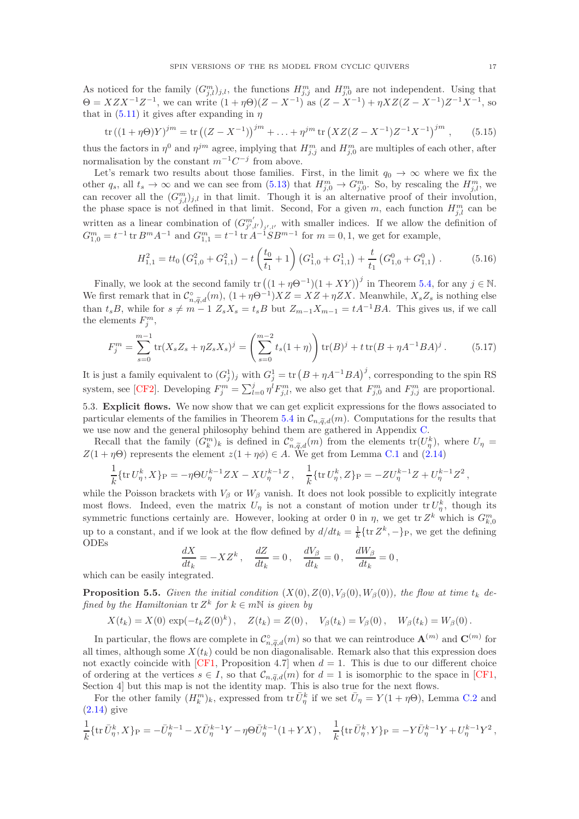As noticed for the family  $(G_{j,l}^m)_{j,l}$ , the functions  $H_{j,j}^m$  and  $H_{j,0}^m$  are not independent. Using that  $\Theta = XZX^{-1}Z^{-1}$ , we can write  $(1+\eta\Theta)(Z-X^{-1})$  as  $(Z-X^{-1})+\eta XZ(Z-X^{-1})Z^{-1}X^{-1}$ , so that in  $(5.11)$  it gives after expanding in  $\eta$ 

$$
\operatorname{tr}\left((1+\eta\Theta)Y\right)^{jm} = \operatorname{tr}\left((Z-X^{-1})\right)^{jm} + \ldots + \eta^{jm}\operatorname{tr}\left(XZ(Z-X^{-1})Z^{-1}X^{-1}\right)^{jm},\tag{5.15}
$$

thus the factors in  $\eta^0$  and  $\eta^{jm}$  agree, implying that  $H_{j,j}^m$  and  $H_{j,0}^m$  are multiples of each other, after normalisation by the constant  $m^{-1}C^{-j}$  from above.

Let's remark two results about those families. First, in the limit  $q_0 \to \infty$  where we fix the other  $q_s$ , all  $t_s \to \infty$  and we can see from  $(5.13)$  that  $H_{j,0}^m \to G_{j,0}^m$ . So, by rescaling the  $H_{j,l}^m$ , we can recover all the  $(G_{j,l}^m)_{j,l}$  in that limit. Though it is an alternative proof of their involution, the phase space is not defined in that limit. Second, For a given m, each function  $H_{j,l}^m$  can be written as a linear combination of  $(G_{j',l'}^{m'})_{j',l'}$  with smaller indices. If we allow the definition of  $G_{1,0}^m = t^{-1}$  tr  $B^m A^{-1}$  and  $G_{1,1}^m = t^{-1}$  tr  $A^{-1}SB^{m-1}$  for  $m = 0,1$ , we get for example,

$$
H_{1,1}^2 = tt_0 \left( G_{1,0}^2 + G_{1,1}^2 \right) - t \left( \frac{t_0}{t_1} + 1 \right) \left( G_{1,0}^1 + G_{1,1}^1 \right) + \frac{t}{t_1} \left( G_{1,0}^0 + G_{1,1}^0 \right) \,. \tag{5.16}
$$

Finally, we look at the second family  $tr((1 + \eta \Theta^{-1})(1 + XY))^j$  in Theorem [5.4,](#page-14-2) for any  $j \in \mathbb{N}$ . We first remark that in  $\mathcal{C}_{n,\widetilde{q},d}^{\circ}(m)$ ,  $(1+\eta\Theta^{-1})XZ=XZ+\eta ZX$ . Meanwhile,  $X_sZ_s$  is nothing else than  $t_sB$ , while for  $s \neq m - 1$   $Z_sX_s = t_sB$  but  $Z_{m-1}X_{m-1} = tA^{-1}BA$ . This gives us, if we call the elements  $F_j^m$ ,

$$
F_j^m = \sum_{s=0}^{m-1} \text{tr}(X_s Z_s + \eta Z_s X_s)^j = \left(\sum_{s=0}^{m-2} t_s (1+\eta)\right) \text{tr}(B)^j + t \text{tr}(B + \eta A^{-1} B A)^j. \tag{5.17}
$$

It is just a family equivalent to  $(G_j^1)_j$  with  $G_j^1 = \text{tr} (B + \eta A^{-1}BA)^j$ , corresponding to the spin RS system, see [\[CF2\]](#page-38-11). Developing  $F_j^m = \sum_{l=0}^j \eta^l F_{j,l}^m$ , we also get that  $F_{j,0}^m$  and  $F_{j,j}^m$  are proportional. 5.3. Explicit flows. We now show that we can get explicit expressions for the flows associated to particular elements of the families in Theorem [5.4](#page-14-2) in  $\mathcal{C}_{n,\tilde{q},d}(m)$ . Computations for the results that

we use now and the general philosophy behind them are gathered in Appendix [C.](#page-35-0)

Recall that the family  $(G_k^m)_k$  is defined in  $\mathcal{C}_{n,\widetilde{q},d}^{\circ}(m)$  from the elements  $tr(U_{\eta}^k)$ , where  $U_{\eta}$  =  $Z(1 + \eta \Theta)$  represents the element  $z(1 + \eta \phi) \in A$ . We get from Lemma [C.1](#page-37-0) and [\(2.14\)](#page-7-5)

$$
\frac{1}{k} \{ \text{tr } U^k_{\eta}, X \}_{\text{P}} = -\eta \Theta U^{k-1}_{\eta} ZX - XU^{k-1}_{\eta} Z, \quad \frac{1}{k} \{ \text{tr } U^k_{\eta}, Z \}_{\text{P}} = -ZU^{k-1}_{\eta} Z + U^{k-1}_{\eta} Z^2,
$$

while the Poisson brackets with  $V_\beta$  or  $W_\beta$  vanish. It does not look possible to explicitly integrate most flows. Indeed, even the matrix  $U_{\eta}$  is not a constant of motion under  ${\rm tr} U_{\eta}^k$ , though its symmetric functions certainly are. However, looking at order 0 in  $\eta$ , we get tr  $Z^k$  which is  $G^m_{k,0}$ up to a constant, and if we look at the flow defined by  $d/dt_k = \frac{1}{k} \{ \text{tr } Z^k, -\}_P$ , we get the defining ODEs

$$
\frac{dX}{dt_k} = -XZ^k, \quad \frac{dZ}{dt_k} = 0, \quad \frac{dV_\beta}{dt_k} = 0, \quad \frac{dW_\beta}{dt_k} = 0,
$$

which can be easily integrated.

<span id="page-16-0"></span>**Proposition 5.5.** Given the initial condition  $(X(0), Z(0), V_\beta(0), W_\beta(0))$ , the flow at time  $t_k$  defined by the Hamiltonian  $\operatorname{tr} Z^k$  for  $k \in m\mathbb{N}$  is given by

$$
X(t_k) = X(0) \exp(-t_k Z(0)^k), \quad Z(t_k) = Z(0), \quad V_{\beta}(t_k) = V_{\beta}(0), \quad W_{\beta}(t_k) = W_{\beta}(0).
$$

In particular, the flows are complete in  $\mathcal{C}_{n,\widetilde{q},d}^{\circ}(m)$  so that we can reintroduce  $\mathbf{A}^{(m)}$  and  $\mathbf{C}^{(m)}$  for all times, although some  $X(t_k)$  could be non diagonalisable. Remark also that this expression does not exactly coincide with [\[CF1,](#page-38-0) Proposition 4.7] when  $d = 1$ . This is due to our different choice of ordering at the vertices  $s \in I$ , so that  $\mathcal{C}_{n,\tilde{q},d}(m)$  for  $d=1$  is isomorphic to the space in [\[CF1,](#page-38-0) Section 4] but this map is not the identity map. This is also true for the next flows.

For the other family  $(H_k^m)_k$ , expressed from tr $\bar{U}_\eta^k$  if we set  $\bar{U}_\eta = Y(1 + \eta \Theta)$ , Lemma [C.2](#page-37-1) and [\(2.14\)](#page-7-5) give

$$
\frac{1}{k} \{ \text{tr}\,\bar{U}_{\eta}^k, X \}_P = -\bar{U}_{\eta}^{k-1} - X \bar{U}_{\eta}^{k-1}Y - \eta \Theta \bar{U}_{\eta}^{k-1}(1+YX) \,, \quad \frac{1}{k} \{ \text{tr}\,\bar{U}_{\eta}^k, Y \}_P = -Y \bar{U}_{\eta}^{k-1}Y + U_{\eta}^{k-1}Y^2 \,,
$$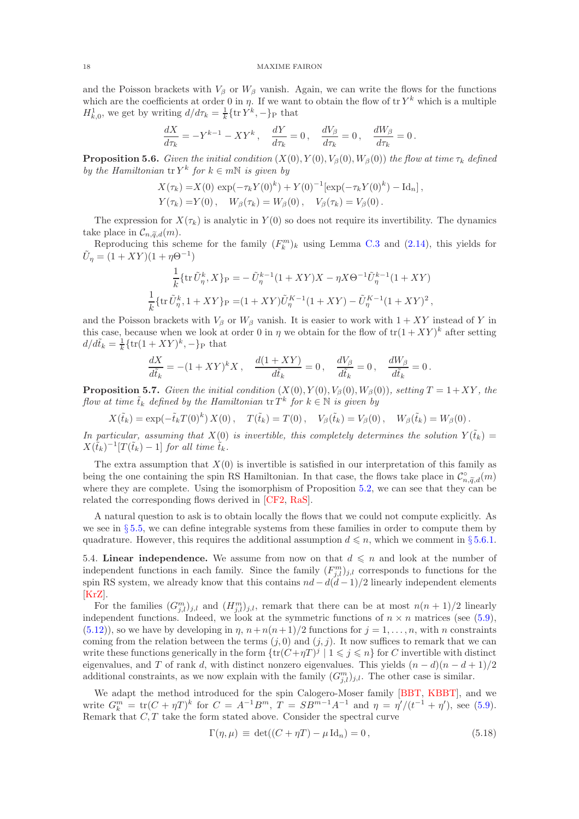and the Poisson brackets with  $V_\beta$  or  $W_\beta$  vanish. Again, we can write the flows for the functions which are the coefficients at order 0 in  $\eta$ . If we want to obtain the flow of tr  $Y^k$  which is a multiple  $H_{k,0}^1$ , we get by writing  $d/d\tau_k = \frac{1}{k} \{ \text{tr } Y^k, - \}_P$  that

$$
\frac{dX}{d\tau_k} = -Y^{k-1} - XY^k, \quad \frac{dY}{d\tau_k} = 0, \quad \frac{dV_\beta}{d\tau_k} = 0, \quad \frac{dW_\beta}{d\tau_k} = 0.
$$

<span id="page-17-2"></span>**Proposition 5.6.** Given the initial condition  $(X(0), Y(0), V_\beta(0), W_\beta(0))$  the flow at time  $\tau_k$  defined by the Hamiltonian  $\operatorname{tr} Y^k$  for  $k \in m\mathbb{N}$  is given by

$$
X(\tau_k) = X(0) \exp(-\tau_k Y(0)^k) + Y(0)^{-1} [\exp(-\tau_k Y(0)^k) - \mathrm{Id}_n],
$$
  
\n
$$
Y(\tau_k) = Y(0), \quad W_\beta(\tau_k) = W_\beta(0), \quad V_\beta(\tau_k) = V_\beta(0).
$$

The expression for  $X(\tau_k)$  is analytic in  $Y(0)$  so does not require its invertibility. The dynamics take place in  $\mathcal{C}_{n,\widetilde{a},d}(m)$ .

Reproducing this scheme for the family  $(F_k^m)_k$  using Lemma [C.3](#page-38-17) and [\(2.14\)](#page-7-5), this yields for  $\tilde{U}_{\eta} = (1 + XY)(1 + \eta \Theta^{-1})$ 

$$
\frac{1}{k} \{ \text{tr}\, \tilde{U}_{\eta}^{k}, X \}_{\text{P}} = -\, \tilde{U}_{\eta}^{k-1} (1+XY)X - \eta X \Theta^{-1} \tilde{U}_{\eta}^{k-1} (1+XY) \n\frac{1}{k} \{ \text{tr}\, \tilde{U}_{\eta}^{k}, 1+XY \}_{\text{P}} = (1+XY)\tilde{U}_{\eta}^{K-1} (1+XY) - \tilde{U}_{\eta}^{K-1} (1+XY)^{2},
$$

and the Poisson brackets with  $V_\beta$  or  $W_\beta$  vanish. It is easier to work with  $1+XY$  instead of Y in this case, because when we look at order 0 in  $\eta$  we obtain for the flow of  $tr(1+XY)^k$  after setting  $d/d\tilde{t}_k = \frac{1}{k} \{ \text{tr}(1+XY)^k, -\}_P$  that

$$
\frac{dX}{d\tilde{t}_k} = -(1+XY)^k X, \quad \frac{d(1+XY)}{d\tilde{t}_k} = 0, \quad \frac{dV_\beta}{d\tilde{t}_k} = 0, \quad \frac{dW_\beta}{d\tilde{t}_k} = 0.
$$

<span id="page-17-1"></span>**Proposition 5.7.** Given the initial condition  $(X(0), Y(0), V_8(0), W_8(0))$ , setting  $T = 1+XY$ , the flow at time  $\tilde{t}_k$  defined by the Hamiltonian  $\operatorname{tr} T^k$  for  $k \in \mathbb{N}$  is given by

 $X(\tilde{t}_k) = \exp(-\tilde{t}_k T(0)^k) X(0), \quad T(\tilde{t}_k) = T(0), \quad V_\beta(\tilde{t}_k) = V_\beta(0), \quad W_\beta(\tilde{t}_k) = W_\beta(0).$ 

In particular, assuming that  $X(0)$  is invertible, this completely determines the solution  $Y(\tilde{t}_k)$  =  $X(\tilde{t}_k)^{-1}[T(\tilde{t}_k) - 1]$  for all time  $\tilde{t}_k$ .

The extra assumption that  $X(0)$  is invertible is satisfied in our interpretation of this family as being the one containing the spin RS Hamiltonian. In that case, the flows take place in  $\mathcal{C}_{n,\widetilde{q},d}^{\circ}(m)$ where they are complete. Using the isomorphism of Proposition [5.2,](#page-14-1) we can see that they can be related the corresponding flows derived in [\[CF2,](#page-38-11) [RaS\]](#page-39-18).

A natural question to ask is to obtain locally the flows that we could not compute explicitly. As we see in § [5.5,](#page-18-0) we can define integrable systems from these families in order to compute them by quadrature. However, this requires the additional assumption  $d \leq n$ , which we comment in § [5.6.1.](#page-20-0)

<span id="page-17-0"></span>5.4. Linear independence. We assume from now on that  $d \leq n$  and look at the number of independent functions in each family. Since the family  $(F_{j,l}^m)_{j,l}$  corresponds to functions for the spin RS system, we already know that this contains  $nd - d(d-1)/2$  linearly independent elements [\[KrZ\]](#page-39-17).

For the families  $(G_{j,l}^m)_{j,l}$  and  $(H_{j,l}^m)_{j,l}$ , remark that there can be at most  $n(n+1)/2$  linearly independent functions. Indeed, we look at the symmetric functions of  $n \times n$  matrices (see [\(5.9\)](#page-15-2),  $(5.12)$ , so we have by developing in  $\eta$ ,  $n+n(n+1)/2$  functions for  $j=1,\ldots,n$ , with n constraints coming from the relation between the terms  $(j, 0)$  and  $(j, j)$ . It now suffices to remark that we can write these functions generically in the form  $\{tr(C+\eta T)^j \mid 1 \leq j \leq n\}$  for C invertible with distinct eigenvalues, and T of rank d, with distinct nonzero eigenvalues. This yields  $(n - d)(n - d + 1)/2$ additional constraints, as we now explain with the family  $(G_{j,l}^m)_{j,l}$ . The other case is similar.

We adapt the method introduced for the spin Calogero-Moser family [\[BBT,](#page-38-18) [KBBT\]](#page-39-16), and we write  $G_k^m = \text{tr}(C + \eta T)^k$  for  $C = A^{-1}B^m$ ,  $T = SB^{m-1}A^{-1}$  and  $\eta = \eta'/(t^{-1} + \eta')$ , see [\(5.9\)](#page-15-2). Remark that  $C, T$  take the form stated above. Consider the spectral curve

$$
\Gamma(\eta, \mu) \equiv \det((C + \eta T) - \mu \operatorname{Id}_n) = 0, \qquad (5.18)
$$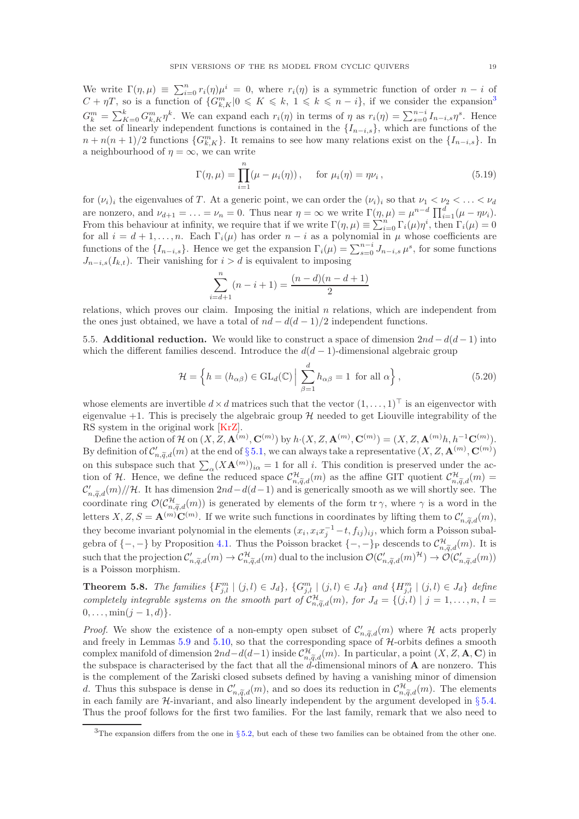We write  $\Gamma(\eta,\mu) \equiv \sum_{i=0}^n r_i(\eta)\mu^i = 0$ , where  $r_i(\eta)$  is a symmetric function of order  $n-i$  of  $C + \eta T$ , so is a function of  $\{G_{k,K}^m | 0 \leqslant K \leqslant k, 1 \leqslant k \leqslant n - i\}$ , if we consider the expansion<sup>[3](#page-18-1)</sup>  $G_k^m = \sum_{k=0}^k G_{k,K}^m \eta^k$ . We can expand each  $r_i(\eta)$  in terms of  $\eta$  as  $r_i(\eta) = \sum_{s=0}^{n-i} I_{n-i,s} \eta^s$ . Hence the set of linearly independent functions is contained in the  $\{I_{n-i,s}\}\$ , which are functions of the  $n + n(n+1)/2$  functions  $\{G_{k,K}^m\}$ . It remains to see how many relations exist on the  $\{I_{n-i,s}\}$ . In a neighbourhood of  $\eta = \infty$ , we can write

$$
\Gamma(\eta,\mu) = \prod_{i=1}^{n} (\mu - \mu_i(\eta)), \quad \text{for } \mu_i(\eta) = \eta \nu_i,
$$
\n(5.19)

for  $(\nu_i)_i$  the eigenvalues of T. At a generic point, we can order the  $(\nu_i)_i$  so that  $\nu_1 < \nu_2 < \ldots < \nu_d$ are nonzero, and  $\nu_{d+1} = \ldots = \nu_n = 0$ . Thus near  $\eta = \infty$  we write  $\Gamma(\eta, \mu) = \mu^{n-d} \prod_{i=1}^d (\mu - \eta \nu_i)$ . From this behaviour at infinity, we require that if we write  $\Gamma(\eta,\mu) \equiv \sum_{i=0}^{n} \Gamma_i(\mu) \eta^i$ , then  $\Gamma_i(\mu) = 0$ for all  $i = d + 1, \ldots, n$ . Each  $\Gamma_i(\mu)$  has order  $n - i$  as a polynomial in  $\mu$  whose coefficients are functions of the  $\{I_{n-i,s}\}\.$  Hence we get the expansion  $\Gamma_i(\mu) = \sum_{s=0}^{n-i} J_{n-i,s} \mu^s$ , for some functions  $J_{n-i,s}(I_{k,t})$ . Their vanishing for  $i > d$  is equivalent to imposing

$$
\sum_{i=d+1}^{n} (n-i+1) = \frac{(n-d)(n-d+1)}{2}
$$

relations, which proves our claim. Imposing the initial  $n$  relations, which are independent from the ones just obtained, we have a total of  $nd - d(d - 1)/2$  independent functions.

<span id="page-18-0"></span>5.5. Additional reduction. We would like to construct a space of dimension  $2nd - d(d-1)$  into which the different families descend. Introduce the  $d(d-1)$ -dimensional algebraic group

$$
\mathcal{H} = \left\{ h = (h_{\alpha\beta}) \in \text{GL}_d(\mathbb{C}) \, \middle| \, \sum_{\beta=1}^d h_{\alpha\beta} = 1 \text{ for all } \alpha \right\},\tag{5.20}
$$

whose elements are invertible  $d \times d$  matrices such that the vector  $(1, \ldots, 1)^\top$  is an eigenvector with eigenvalue  $+1$ . This is precisely the algebraic group  $\mathcal H$  needed to get Liouville integrability of the RS system in the original work [\[KrZ\]](#page-39-17).

Define the action of H on  $(X, Z, \mathbf{A}^{(m)}, \mathbf{C}^{(m)})$  by  $h \cdot (X, Z, \mathbf{A}^{(m)}, \mathbf{C}^{(m)}) = (X, Z, \mathbf{A}^{(m)}h, h^{-1}\mathbf{C}^{(m)})$ . By definition of  $\mathcal{C}'_{n,\widetilde{q},d}(m)$  at the end of § [5.1,](#page-13-5) we can always take a representative  $(X,Z,\mathbf{A}^{(m)},\mathbf{C}^{(m)})$ on this subspace such that  $\sum_{\alpha}(X\mathbf{A}^{(m)})_{i\alpha} = 1$  for all i. This condition is preserved under the action of H. Hence, we define the reduced space  $\mathcal{C}^{\mathcal{H}}_{n,\widetilde{q},d}(m)$  as the affine GIT quotient  $\mathcal{C}^{\mathcal{H}}_{n,\widetilde{q},d}(m)$  =  $\mathcal{C}'_{n,\widetilde{q},d}(m)/\!/\mathcal{H}$ . It has dimension  $2nd-d(d-1)$  and is generically smooth as we will shortly see. The coordinate ring  $\mathcal{O}(\mathcal{C}_{n,\widetilde{q},d}^{\mathcal{H}}(m))$  is generated by elements of the form  $\mathrm{tr} \gamma$ , where  $\gamma$  is a word in the letters  $X, Z, S = \mathbf{A}^{(m)} \mathbf{C}^{(m)}$ . If we write such functions in coordinates by lifting them to  $\mathcal{C}'_{n, \widetilde{q}, d}(m)$ , they become invariant polynomial in the elements  $(x_i, x_i x_j^{-1} - t, f_{ij})_{ij}$ , which form a Poisson subalgebra of  $\{-,-\}$  by Proposition [4.1.](#page-12-1) Thus the Poisson bracket  $\{-,-\}_P$  descends to  $\mathcal{C}_{n,\widetilde{q},d}^{\mathcal{H}}(m)$ . It is such that the projection  $\mathcal{C}'_{n,\widetilde{q},d}(m) \to \mathcal{C}^{\mathcal{H}}_{n,\widetilde{q},d}(m)$  dual to the inclusion  $\mathcal{O}(\mathcal{C}'_{n,\widetilde{q},d}(m)^{\mathcal{H}}) \to \mathcal{O}(\mathcal{C}'_{n,\widetilde{q},d}(m))$ is a Poisson morphism.

**Theorem 5.8.** The families  $\{F_{j,l}^m | (j,l) \in J_d\}$ ,  $\{G_{j,l}^m | (j,l) \in J_d\}$  and  $\{H_{j,l}^m | (j,l) \in J_d\}$  define completely integrable systems on the smooth part of  $C_{n,\tilde{q},d}^{\mathcal{H}}(m)$ , for  $J_d = \{(j,l) | j = 1,\ldots,n, l =$  $0, \ldots, \min(j-1, d)$ .

*Proof.* We show the existence of a non-empty open subset of  $\mathcal{C}'_{n,\widetilde{q},d}(m)$  where  $\mathcal H$  acts properly and freely in Lemmas [5.9](#page-19-0) and [5.10,](#page-19-1) so that the corresponding space of  $H$ -orbits defines a smooth complex manifold of dimension  $2nd-d(d-1)$  inside  $\mathcal{C}_{n,\widetilde{q},d}^{\mathcal{H}}(m)$ . In particular, a point  $(X, Z, \mathbf{A}, \mathbf{C})$  in the subspace is characterised by the fact that all the  $d$ -dimensional minors of  $\bf{A}$  are nonzero. This is the complement of the Zariski closed subsets defined by having a vanishing minor of dimension d. Thus this subspace is dense in  $\mathcal{C}'_{n,\widetilde{q},d}(m)$ , and so does its reduction in  $\mathcal{C}^{\mathcal{H}}_{n,\widetilde{q},d}(m)$ . The elements in each family are  $\mathcal{H}$ -invariant, and also linearly independent by the argument developed in §[5.4.](#page-17-0) Thus the proof follows for the first two families. For the last family, remark that we also need to

<span id="page-18-1"></span> $3$ The expansion differs from the one in § [5.2,](#page-14-3) but each of these two families can be obtained from the other one.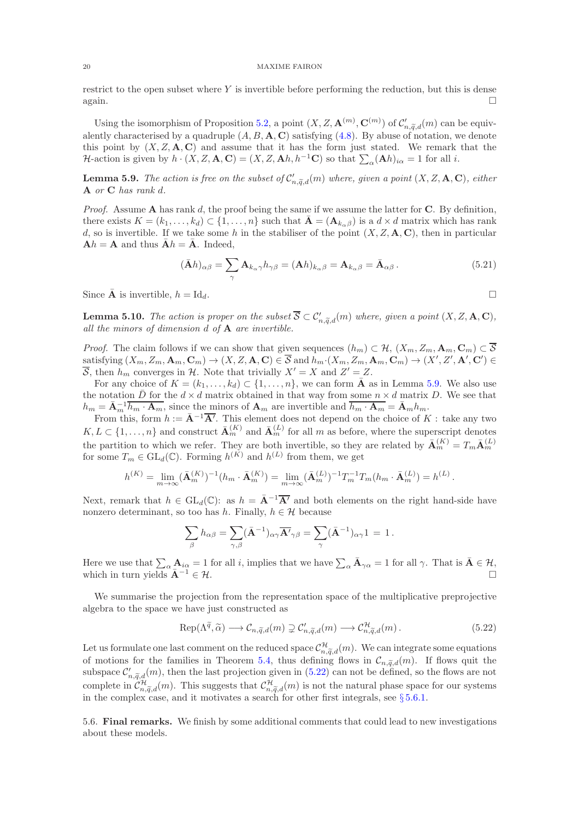restrict to the open subset where  $Y$  is invertible before performing the reduction, but this is dense again.  $\square$ 

Using the isomorphism of Proposition [5.2,](#page-14-1) a point  $(X, Z, \mathbf{A}^{(m)}, \mathbf{C}^{(m)})$  of  $\mathcal{C}'_{n, \widetilde{q}, d}(m)$  can be equivalently characterised by a quadruple  $(A, B, A, C)$  satisfying  $(4.8)$ . By abuse of notation, we denote this point by  $(X, Z, A, C)$  and assume that it has the form just stated. We remark that the H-action is given by  $h \cdot (X, Z, \mathbf{A}, \mathbf{C}) = (X, Z, \mathbf{A}h, h^{-1}\mathbf{C})$  so that  $\sum_{\alpha} (\mathbf{A}h)_{i\alpha} = 1$  for all i.

<span id="page-19-0"></span>**Lemma 5.9.** The action is free on the subset of  $\mathcal{C}'_{n,\widetilde{q},d}(m)$  where, given a point  $(X, Z, \mathbf{A}, \mathbf{C})$ , either  $A$  or  $C$  has rank  $d$ .

*Proof.* Assume A has rank d, the proof being the same if we assume the latter for  $C$ . By definition, there exists  $K = (k_1, \ldots, k_d) \subset \{1, \ldots, n\}$  such that  $\bar{\mathbf{A}} = (\mathbf{A}_{k_\alpha\beta})$  is a  $d \times d$  matrix which has rank d, so is invertible. If we take some h in the stabiliser of the point  $(X, Z, \mathbf{A}, \mathbf{C})$ , then in particular  $\mathbf{A}h = \mathbf{A}$  and thus  $\bar{\mathbf{A}}h = \bar{\mathbf{A}}$ . Indeed,

$$
(\bar{\mathbf{A}}h)_{\alpha\beta} = \sum_{\gamma} \mathbf{A}_{k_{\alpha}\gamma} h_{\gamma\beta} = (\mathbf{A}h)_{k_{\alpha}\beta} = \mathbf{A}_{k_{\alpha}\beta} = \bar{\mathbf{A}}_{\alpha\beta}.
$$
 (5.21)

Since  $\bar{\mathbf{A}}$  is invertible,  $h = \text{Id}_d$ .

<span id="page-19-1"></span>**Lemma 5.10.** The action is proper on the subset  $\overline{S} \subset \mathcal{C}'_{n,\widetilde{q},d}(m)$  where, given a point  $(X, Z, \mathbf{A}, \mathbf{C})$ , all the minors of dimension  $d$  of  $A$  are invertible.

*Proof.* The claim follows if we can show that given sequences  $(h_m) \subset \mathcal{H}$ ,  $(X_m, Z_m, \mathbf{A}_m, \mathbf{C}_m) \subset \overline{\mathcal{S}}$ satisfying  $(X_m, Z_m, \mathbf{A}_m, \mathbf{C}_m) \to (X, Z, \mathbf{A}, \mathbf{C}) \in \overline{S}$  and  $h_m \cdot (X_m, Z_m, \mathbf{A}_m, \mathbf{C}_m) \to (X', Z', \mathbf{A}', \mathbf{C}') \in$  $\overline{S}$ , then  $h_m$  converges in  $\mathcal{H}$ . Note that trivially  $X' = X$  and  $Z' = Z$ .

For any choice of  $K = (k_1, \ldots, k_d) \subset \{1, \ldots, n\}$ , we can form  $\bar{\mathbf{A}}$  as in Lemma [5.9.](#page-19-0) We also use the notation  $\bar{D}$  for the  $d \times d$  matrix obtained in that way from some  $n \times d$  matrix D. We see that  $h_m = \bar{\mathbf{A}}_m^{-1} \overline{h_m \cdot \mathbf{A}_m}$ , since the minors of  $\mathbf{A}_m$  are invertible and  $\overline{h_m \cdot \mathbf{A}_m} = \bar{\mathbf{A}}_m h_m$ .

From this, form  $h := \bar{A}^{-1} \overline{A'}$ . This element does not depend on the choice of K : take any two  $K, L \subset \{1, \ldots, n\}$  and construct  $\bar{\mathbf{A}}_m^{(K)}$  and  $\bar{\mathbf{A}}_m^{(L)}$  for all m as before, where the superscript denotes the partition to which we refer. They are both invertible, so they are related by  $\bar{\mathbf{A}}_m^{(K)} = T_m \bar{\mathbf{A}}_m^{(L)}$ for some  $T_m \in GL_d(\mathbb{C})$ . Forming  $h^{(K)}$  and  $h^{(L)}$  from them, we get

$$
h^{(K)} = \lim_{m \to \infty} (\bar{\mathbf{A}}_m^{(K)})^{-1} (h_m \cdot \bar{\mathbf{A}}_m^{(K)}) = \lim_{m \to \infty} (\bar{\mathbf{A}}_m^{(L)})^{-1} T_m^{-1} T_m (h_m \cdot \bar{\mathbf{A}}_m^{(L)}) = h^{(L)}.
$$

Next, remark that  $h \in GL_d(\mathbb{C})$ : as  $h = \overline{A}^{-1} \overline{A'}$  and both elements on the right hand-side have nonzero determinant, so too has h. Finally,  $h \in \mathcal{H}$  because

$$
\sum_{\beta} h_{\alpha\beta} = \sum_{\gamma,\beta} (\bar{\mathbf{A}}^{-1})_{\alpha\gamma} \overline{\mathbf{A}'}_{\gamma\beta} = \sum_{\gamma} (\bar{\mathbf{A}}^{-1})_{\alpha\gamma} 1 = 1.
$$

Here we use that  $\sum_{\alpha} \mathbf{A}_{i\alpha} = 1$  for all i, implies that we have  $\sum_{\alpha} \bar{\mathbf{A}}_{\gamma\alpha} = 1$  for all  $\gamma$ . That is  $\bar{\mathbf{A}} \in \mathcal{H}$ , which in turn yields  $\mathbf{\bar{A}}^{-1} \in \mathcal{H}$ .

We summarise the projection from the representation space of the multiplicative preprojective algebra to the space we have just constructed as

<span id="page-19-2"></span>
$$
\operatorname{Rep}(\Lambda^{\widetilde{q}}, \widetilde{\alpha}) \longrightarrow \mathcal{C}_{n, \widetilde{q}, d}(m) \supsetneq \mathcal{C}'_{n, \widetilde{q}, d}(m) \longrightarrow \mathcal{C}_{n, \widetilde{q}, d}^{\mathcal{H}}(m).
$$
\n(5.22)

Let us formulate one last comment on the reduced space  $\mathcal{C}^{\mathcal{H}}_{n,\widetilde{q},d}(m)$ . We can integrate some equations of motions for the families in Theorem [5.4,](#page-14-2) thus defining flows in  $\mathcal{C}_{n,\tilde{q},d}(m)$ . If flows quit the subspace  $\mathcal{C}'_{n,\widetilde{q},d}(m)$ , then the last projection given in [\(5.22\)](#page-19-2) can not be defined, so the flows are not complete in  $\mathcal{C}_{n,\widetilde{q},d}^{\mathcal{H}}(m)$ . This suggests that  $\mathcal{C}_{n,\widetilde{q},d}^{\mathcal{H}}(m)$  is not the natural phase space for our systems in the complex case, and it motivates a search for other first integrals, see  $\S 5.6.1$ .

5.6. Final remarks. We finish by some additional comments that could lead to new investigations about these models.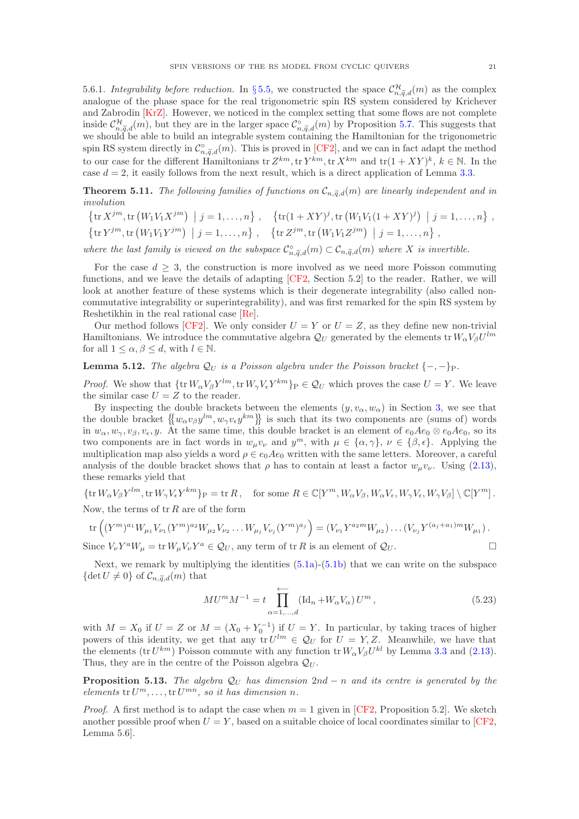<span id="page-20-0"></span>5.6.1. Integrability before reduction. In §[5.5,](#page-18-0) we constructed the space  $\mathcal{C}_{n,\widetilde{q},d}^{\mathcal{H}}(m)$  as the complex analogue of the phase space for the real trigonometric spin RS system considered by Krichever and Zabrodin [\[KrZ\]](#page-39-17). However, we noticed in the complex setting that some flows are not complete inside  $\mathcal{C}_{n,\widetilde{q},d}^{\mathcal{H}}(m)$ , but they are in the larger space  $\mathcal{C}_{n,\widetilde{q},d}^{\circ}(m)$  by Proposition [5.7.](#page-17-1) This suggests that we should be able to build an integrable system containing the Hamiltonian for the trigonometric spin RS system directly in  $\mathcal{C}_{n,\widetilde{q},d}^{\circ}(m)$ . This is proved in [\[CF2\]](#page-38-11), and we can in fact adapt the method to our case for the different Hamiltonians  ${\rm tr}\,Z^{km}$ ,  ${\rm tr}\,Y^{km}$ ,  ${\rm tr}\,X^{km}$  and  ${\rm tr}(1+XY)^k$ ,  $k \in \mathbb{N}$ . In the case  $d = 2$ , it easily follows from the next result, which is a direct application of Lemma [3.3.](#page-10-3)

**Theorem 5.11.** The following families of functions on  $C_{n,\tilde{q},d}(m)$  are linearly independent and in involution

$$
\left\{\text{tr}\,X^{jm},\text{tr}\left(W_1V_1X^{jm}\right) \; \middle| \; j=1,\ldots,n\right\},\quad \left\{\text{tr}(1+XY)^j,\text{tr}\left(W_1V_1(1+XY)^j\right) \; \middle| \; j=1,\ldots,n\right\},\quad \left\{\text{tr}\,Y^{jm},\text{tr}\left(W_1V_1Y^{jm}\right) \; \middle| \; j=1,\ldots,n\right\},\quad \left\{\text{tr}\,Z^{jm},\text{tr}\left(W_1V_1Z^{jm}\right) \; \middle| \; j=1,\ldots,n\right\},\quad \left\{\text{tr}\,Z^{jm},\text{tr}\left(W_1V_1Z^{jm}\right) \; \middle| \; j=1,\ldots,n\right\}
$$

where the last family is viewed on the subspace  $\mathcal{C}^{\circ}_{n,\widetilde{q},d}(m) \subset \mathcal{C}_{n,\widetilde{q},d}(m)$  where X is invertible.

For the case  $d \geq 3$ , the construction is more involved as we need more Poisson commuting functions, and we leave the details of adapting [\[CF2,](#page-38-11) Section 5.2] to the reader. Rather, we will look at another feature of these systems which is their degenerate integrability (also called noncommutative integrability or superintegrability), and was first remarked for the spin RS system by Reshetikhin in the real rational case [\[Re\]](#page-39-21).

Our method follows [\[CF2\]](#page-38-11). We only consider  $U = Y$  or  $U = Z$ , as they define new non-trivial Hamiltonians. We introduce the commutative algebra  $\mathcal{Q}_U$  generated by the elements tr  $W_\alpha V_\beta U^{lm}$ for all  $1 \leq \alpha, \beta \leq d$ , with  $l \in \mathbb{N}$ .

**Lemma 5.12.** The algebra  $\mathcal{Q}_U$  is a Poisson algebra under the Poisson bracket  $\{-,-\}_P$ .

*Proof.* We show that  $\{\text{tr } W_{\alpha}V_{\beta}Y^{lm}, \text{tr } W_{\gamma}V_{\epsilon}Y^{km}\}\}P \in \mathcal{Q}_U$  which proves the case  $U = Y$ . We leave the similar case  $U = Z$  to the reader.

By inspecting the double brackets between the elements  $(y, v_\alpha, w_\alpha)$  in Section [3,](#page-8-0) we see that the double bracket  $\{w_\alpha v_\beta y^{lm}, w_\gamma v_\epsilon y^{km}\}$  is such that its two components are (sums of) words in  $w_{\alpha}, w_{\gamma}, v_{\beta}, v_{\epsilon}, y$ . At the same time, this double bracket is an element of  $e_0Ae_0 \otimes e_0Ae_0$ , so its two components are in fact words in  $w_{\mu}v_{\nu}$  and  $y^{m}$ , with  $\mu \in {\alpha, \gamma}$ ,  $\nu \in {\beta, \epsilon}$ . Applying the multiplication map also yields a word  $\rho \in e_0Ae_0$  written with the same letters. Moreover, a careful analysis of the double bracket shows that  $\rho$  has to contain at least a factor  $w_{\mu}v_{\nu}$ . Using [\(2.13\)](#page-7-3), these remarks yield that

 $\{\text{tr } W_{\alpha}V_{\beta}Y^{lm}, \text{tr } W_{\gamma}V_{\epsilon}Y^{km}\}_{P} = \text{tr } R, \text{ for some } R \in \mathbb{C}[Y^m, W_{\alpha}V_{\beta}, W_{\alpha}V_{\epsilon}, W_{\gamma}V_{\epsilon}, W_{\gamma}V_{\beta}]\setminus \mathbb{C}[Y^m].$ Now, the terms of  $tr R$  are of the form

$$
\text{tr}\left((Y^m)^{a_1}W_{\mu_1}V_{\nu_1}(Y^m)^{a_2}W_{\mu_2}V_{\nu_2}\dots W_{\mu_j}V_{\nu_j}(Y^m)^{a_j}\right) = (V_{\nu_1}Y^{a_2m}W_{\mu_2})\dots(V_{\nu_j}Y^{(a_j+a_1)m}W_{\mu_1})\,.
$$

Since  $V_{\nu}Y^{a}W_{\mu} = \text{tr} W_{\mu}V_{\nu}Y^{a} \in \mathcal{Q}_{U}$ , any term of  $\text{tr } R$  is an element of  $\mathcal{Q}_{U}$ .

Next, we remark by multiplying the identities  $(5.1a)$ - $(5.1b)$  that we can write on the subspace  $\{\det U \neq 0\}$  of  $\mathcal{C}_{n,\widetilde{q},d}(m)$  that

<span id="page-20-1"></span>
$$
M U^{m} M^{-1} = t \prod_{\alpha=1,...,d}^{d-1} (\text{Id}_{n} + W_{\alpha} V_{\alpha}) U^{m}, \qquad (5.23)
$$

with  $M = X_0$  if  $U = Z$  or  $M = (X_0 + Y_0^{-1})$  if  $U = Y$ . In particular, by taking traces of higher powers of this identity, we get that any  $tr U^{lm} \in \mathcal{Q}_U$  for  $U = Y, Z$ . Meanwhile, we have that the elements (tr  $U^{km}$ ) Poisson commute with any function tr  $W_{\alpha}V_{\beta}U^{kl}$  by Lemma [3.3](#page-10-3) and [\(2.13\)](#page-7-3). Thus, they are in the centre of the Poisson algebra  $\mathcal{Q}_U$ .

**Proposition 5.13.** The algebra  $\mathcal{Q}_U$  has dimension 2nd − n and its centre is generated by the elements  $tr U^m, \ldots, tr U^{mn}$ , so it has dimension n.

*Proof.* A first method is to adapt the case when  $m = 1$  given in [\[CF2,](#page-38-11) Proposition 5.2]. We sketch another possible proof when  $U = Y$ , based on a suitable choice of local coordinates similar to [\[CF2,](#page-38-11) Lemma 5.6].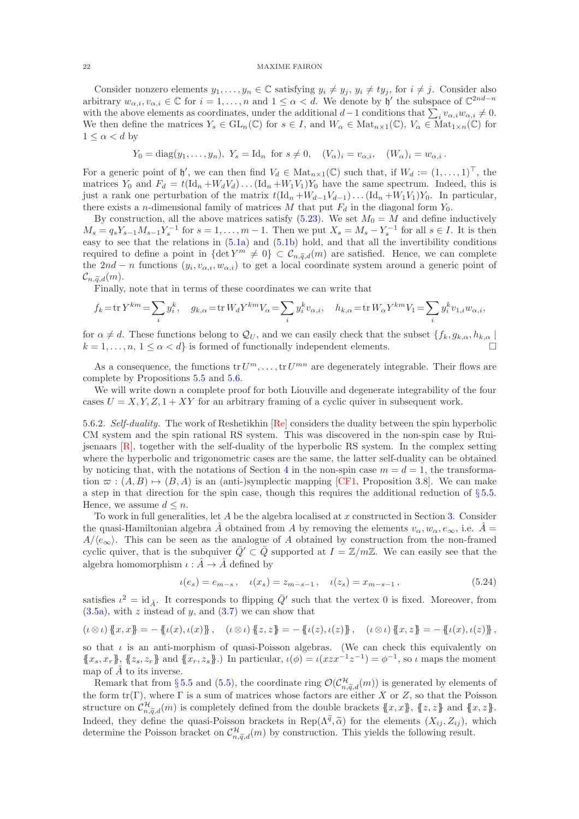Consider nonzero elements  $y_1, \ldots, y_n \in \mathbb{C}$  satisfying  $y_i \neq y_j$ ,  $y_i \neq ty_j$ , for  $i \neq j$ . Consider also arbitrary  $w_{\alpha,i}, v_{\alpha,i} \in \mathbb{C}$  for  $i = 1, \ldots, n$  and  $1 \leq \alpha < d$ . We denote by  $\mathfrak{h}'$  the subspace of  $\mathbb{C}^{2nd-n}$ with the above elements as coordinates, under the additional  $d-1$  conditions that  $\sum_i v_{\alpha,i}w_{\alpha,i} \neq 0$ . We then define the matrices  $Y_s \in GL_n(\mathbb{C})$  for  $s \in I$ , and  $W_\alpha \in Mat_{n\times 1}(\mathbb{C})$ ,  $V_\alpha \in Mat_{1\times n}(\mathbb{C})$  for  $1 \leq \alpha < d$  by

$$
Y_0 = \text{diag}(y_1, \dots, y_n), Y_s = \text{Id}_n \text{ for } s \neq 0, (V_\alpha)_i = v_{\alpha, i}, (W_\alpha)_i = w_{\alpha, i}.
$$

For a generic point of  $\mathfrak{h}'$ , we can then find  $V_d \in Mat_{n\times 1}(\mathbb{C})$  such that, if  $W_d := (1,\ldots,1)^\top$ , the matrices  $Y_0$  and  $F_d = t(\mathrm{Id}_n + W_d V_d) \dots (\mathrm{Id}_n + W_1 V_1) Y_0$  have the same spectrum. Indeed, this is just a rank one perturbation of the matrix  $t(\mathrm{Id}_n + W_{d-1}V_{d-1})\dots(\mathrm{Id}_n + W_1V_1)Y_0$ . In particular, there exists a *n*-dimensional family of matrices M that put  $F_d$  in the diagonal form  $Y_0$ .

By construction, all the above matrices satisfy  $(5.23)$ . We set  $M_0 = M$  and define inductively  $M_s = q_s Y_{s-1} M_{s-1} Y_s^{-1}$  for  $s = 1, \ldots, m-1$ . Then we put  $X_s = M_s - Y_s^{-1}$  for all  $s \in I$ . It is then easy to see that the relations in [\(5.1a\)](#page-13-1) and [\(5.1b\)](#page-13-2) hold, and that all the invertibility conditions required to define a point in  $\{\det Y^m \neq 0\} \subset \mathcal{C}_{n,\tilde{q},d}(m)$  are satisfied. Hence, we can complete the 2nd – n functions  $(y_i, v_{\alpha,i}, w_{\alpha,i})$  to get a local coordinate system around a generic point of  $\mathcal{C}_{n,\widetilde{q},d}(m).$ 

Finally, note that in terms of these coordinates we can write that

$$
f_k = \text{tr}\, Y^{km} = \sum_i y_i^k, \quad g_{k,\alpha} = \text{tr}\, W_d Y^{km} V_\alpha = \sum_i y_i^k v_{\alpha,i}, \quad h_{k,\alpha} = \text{tr}\, W_\alpha Y^{km} V_1 = \sum_i y_i^k v_{1,i} w_{\alpha,i},
$$

for  $\alpha \neq d$ . These functions belong to  $\mathcal{Q}_U$ , and we can easily check that the subset  $\{f_k, g_{k,\alpha}, h_{k,\alpha}\}\$  $k = 1, \ldots, n, 1 \leq \alpha < d$  is formed of functionally independent elements.

As a consequence, the functions  $\text{tr } U^m, \ldots, \text{tr } U^{mn}$  are degenerately integrable. Their flows are complete by Propositions [5.5](#page-16-0) and [5.6.](#page-17-2)

We will write down a complete proof for both Liouville and degenerate integrability of the four cases  $U = X, Y, Z, 1 + XY$  for an arbitrary framing of a cyclic quiver in subsequent work.

5.6.2. Self-duality. The work of Reshetikhin  $[Re]$  considers the duality between the spin hyperbolic CM system and the spin rational RS system. This was discovered in the non-spin case by Ruijsenaars  $[R]$ , together with the self-duality of the hyperbolic RS system. In the complex setting where the hyperbolic and trigonometric cases are the same, the latter self-duality can be obtained by noticing that, with the notations of Section [4](#page-11-0) in the non-spin case  $m = d = 1$ , the transformation  $\varpi$  :  $(A, B) \mapsto (B, A)$  is an (anti-)symplectic mapping [\[CF1,](#page-38-0) Proposition 3.8]. We can make a step in that direction for the spin case, though this requires the additional reduction of  $\S 5.5$ . Hence, we assume  $d \leq n$ .

To work in full generalities, let  $A$  be the algebra localised at  $x$  constructed in Section [3.](#page-8-0) Consider the quasi-Hamiltonian algebra  $\hat{A}$  obtained from A by removing the elements  $v_{\alpha}, w_{\alpha}, e_{\infty}$ , i.e.  $\hat{A} =$  $A/\langle e_{\infty}\rangle$ . This can be seen as the analogue of A obtained by construction from the non-framed cyclic quiver, that is the subquiver  $\overline{Q}' \subset \overline{Q}$  supported at  $I = \mathbb{Z}/m\mathbb{Z}$ . We can easily see that the algebra homomorphism  $\iota : \hat{A} \to \hat{A}$  defined by

<span id="page-21-0"></span>
$$
\iota(e_s) = e_{m-s}, \quad \iota(x_s) = z_{m-s-1}, \quad \iota(z_s) = x_{m-s-1}, \tag{5.24}
$$

satisfies  $\iota^2 = \mathrm{id}_{\hat{A}}$ . It corresponds to flipping  $\bar{Q}'$  such that the vertex 0 is fixed. Moreover, from  $(3.5a)$ , with z instead of y, and  $(3.7)$  we can show that

$$
(\iota \otimes \iota) \{x, x\} = -\{\iota(x), \iota(x)\}, \quad (\iota \otimes \iota) \{z, z\} = -\{\iota(z), \iota(z)\}, \quad (\iota \otimes \iota) \{x, z\} = -\{\iota(x), \iota(z)\},
$$

so that  $\iota$  is an anti-morphism of quasi-Poisson algebras. (We can check this equivalently on  ${x_s, x_r}$ ,  ${z_s, z_r}$  and  ${x_r, z_s}$ .) In particular,  $\iota(\phi) = \iota(xzx^{-1}z^{-1}) = \phi^{-1}$ , so  $\iota$  maps the moment map of  $\hat{A}$  to its inverse.

Remark that from §[5.5](#page-18-0) and [\(5.5\)](#page-14-0), the coordinate ring  $\mathcal{O}(\mathcal{C}_{n,\widetilde{q},d}^{\mathcal{H}}(m))$  is generated by elements of the form  $tr(\Gamma)$ , where  $\Gamma$  is a sum of matrices whose factors are either X or Z, so that the Poisson structure on  $\mathcal{C}_{n,\widetilde{q},d}^{\mathcal{H}}(m)$  is completely defined from the double brackets  $\{x,x\}$ ,  $\{z,z\}$  and  $\{x,z\}$ . Indeed, they define the quasi-Poisson brackets in Rep( $\Lambda^{\tilde{q}}, \tilde{\alpha}$ ) for the elements  $(X_{ij}, Z_{ij})$ , which determine the Poisson bracket on  $\mathcal{C}_{n,\widetilde{q},d}^{\mathcal{H}}(m)$  by construction. This yields the following result.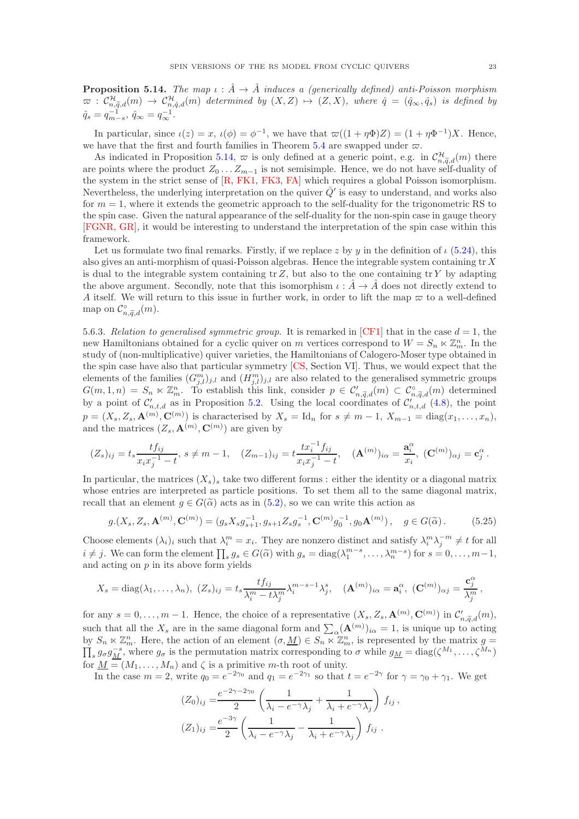<span id="page-22-0"></span>**Proposition 5.14.** The map  $\iota : \hat{A} \to \hat{A}$  induces a (generically defined) anti-Poisson morphism  $\varpi$  :  $\mathcal{C}^{\mathcal{H}}_{n,\widetilde{q},d}(m) \to \mathcal{C}^{\mathcal{H}}_{n,\hat{q},d}(m)$  determined by  $(X,Z) \mapsto (Z,X)$ , where  $\hat{q} = (\hat{q}_{\infty},\hat{q}_{s})$  is defined by  $\hat{q}_s = q_{m-s}^{-1}, \ \hat{q}_{\infty} = q_{\infty}^{-1}.$ 

In particular, since  $\iota(z) = x$ ,  $\iota(\phi) = \phi^{-1}$ , we have that  $\varpi((1 + \eta \Phi)Z) = (1 + \eta \Phi^{-1})X$ . Hence, we have that the first and fourth families in Theorem [5.4](#page-14-2) are swapped under  $\varpi$ .

As indicated in Proposition [5.14,](#page-22-0)  $\varpi$  is only defined at a generic point, e.g. in  $\mathcal{C}^{\mathcal{H}}_{n,\tilde{q},d}(m)$  there are points where the product  $Z_0 \dots Z_{m-1}$  is not semisimple. Hence, we do not have self-duality of the system in the strict sense of [\[R,](#page-39-24) [FK1,](#page-39-25) [FK3,](#page-39-12) [FA\]](#page-38-19) which requires a global Poisson isomorphism. Nevertheless, the underlying interpretation on the quiver  $\bar{Q}'$  is easy to understand, and works also for  $m = 1$ , where it extends the geometric approach to the self-duality for the trigonometric RS to the spin case. Given the natural appearance of the self-duality for the non-spin case in gauge theory [\[FGNR,](#page-39-26) [GR\]](#page-39-27), it would be interesting to understand the interpretation of the spin case within this framework.

Let us formulate two final remarks. Firstly, if we replace z by y in the definition of  $\iota$  [\(5.24\)](#page-21-0), this also gives an anti-morphism of quasi-Poisson algebras. Hence the integrable system containing  $tr X$ is dual to the integrable system containing tr  $Z$ , but also to the one containing tr  $Y$  by adapting the above argument. Secondly, note that this isomorphism  $\iota : \hat{A} \to \hat{A}$  does not directly extend to A itself. We will return to this issue in further work, in order to lift the map  $\sigma$  to a well-defined map on  $\mathcal{C}_{n,\widetilde{q},d}^{\circ}(m)$ .

5.6.3. Relation to generalised symmetric group. It is remarked in [\[CF1\]](#page-38-0) that in the case  $d = 1$ , the new Hamiltonians obtained for a cyclic quiver on m vertices correspond to  $W = S_n \ltimes \mathbb{Z}_m^n$ . In the study of (non-multiplicative) quiver varieties, the Hamiltonians of Calogero-Moser type obtained in the spin case have also that particular symmetry [\[CS,](#page-38-3) Section VI]. Thus, we would expect that the elements of the families  $(G_{j,l}^m)_{j,l}$  and  $(H_{j,l}^m)_{j,l}$  are also related to the generalised symmetric groups  $G(m,1,n) = S_n \ltimes \mathbb{Z}_m^n$ . To establish this link, consider  $p \in \mathcal{C}'_{n,\widetilde{q},d}(m) \subset \mathcal{C}_{n,\widetilde{q},d}^{\circ}(m)$  determined by a point of  $\mathcal{C}'_{n,t,d}$  as in Proposition [5.2.](#page-14-1) Using the local coordinates of  $\mathcal{C}'_{n,t,d}$  [\(4.8\)](#page-12-0), the point  $p = (X_s, Z_s, \mathbf{A}^{(m)}, \mathbf{C}^{(m)})$  is characterised by  $X_s = \text{Id}_n$  for  $s \neq m-1$ ,  $X_{m-1} = \text{diag}(x_1, \ldots, x_n)$ , and the matrices  $(Z_s, \mathbf{A}^{(m)}, \mathbf{C}^{(m)})$  are given by

$$
(Z_s)_{ij} = t_s \frac{tf_{ij}}{x_i x_j^{-1} - t}, \ s \neq m - 1, \quad (Z_{m-1})_{ij} = t \frac{tx_i^{-1}f_{ij}}{x_i x_j^{-1} - t}, \quad (\mathbf{A}^{(m)})_{i\alpha} = \frac{\mathbf{a}_i^{\alpha}}{x_i}, \ (\mathbf{C}^{(m)})_{\alpha j} = \mathbf{c}_j^{\alpha}.
$$

In particular, the matrices  $(X_s)$  take two different forms : either the identity or a diagonal matrix whose entries are interpreted as particle positions. To set them all to the same diagonal matrix, recall that an element  $q \in G(\tilde{\alpha})$  acts as in [\(5.2\)](#page-13-6), so we can write this action as

$$
g.(X_s, Z_s, \mathbf{A}^{(m)}, \mathbf{C}^{(m)}) = (g_s X_s g_{s+1}^{-1}, g_{s+1} Z_s g_s^{-1}, \mathbf{C}^{(m)} g_0^{-1}, g_0 \mathbf{A}^{(m)}), \quad g \in G(\tilde{\alpha}).
$$
 (5.25)

Choose elements  $(\lambda_i)_i$  such that  $\lambda_i^m = x_i$ . They are nonzero distinct and satisfy  $\lambda_i^m \lambda_j^{-m} \neq t$  for all  $i \neq j$ . We can form the element  $\prod_s g_s \in G(\tilde{\alpha})$  with  $g_s = \text{diag}(\lambda_1^{m-s}, \dots, \lambda_n^{m-s})$  for  $s = 0, \dots, m-1$ , and acting on  $p$  in its above form yields

$$
X_s = \text{diag}(\lambda_1, \dots, \lambda_n), \ (Z_s)_{ij} = t_s \frac{tf_{ij}}{\lambda_i^m - t\lambda_j^m} \lambda_i^{m-s-1} \lambda_j^s, \quad (\mathbf{A}^{(m)})_{i\alpha} = \mathbf{a}_i^{\alpha}, \ (\mathbf{C}^{(m)})_{\alpha j} = \frac{\mathbf{c}_j^{\alpha}}{\lambda_j^m},
$$

for any  $s = 0, \ldots, m-1$ . Hence, the choice of a representative  $(X_s, Z_s, \mathbf{A}^{(m)}, \mathbf{C}^{(m)})$  in  $\mathcal{C}'_{n, \widetilde{q}, d}(m)$ , such that all the  $X_s$  are in the same diagonal form and  $\sum_{\alpha} (\mathbf{A}^{(m)})_{i\alpha} = 1$ , is unique up to acting by  $S_n \ltimes \mathbb{Z}_m^n$ . Here, the action of an element  $(\sigma, \underline{M}) \in S_n \ltimes \mathbb{Z}_m^n$ , is represented by the matrix  $g = \prod_s g_\sigma g_{\underline{M}}^{-s}$ , where  $g_\sigma$  is the permutation matrix corresponding to  $\sigma$  while  $g_{\underline{M}} = \text{diag}(\zeta^{M_1}, \dots, \$ for  $\underline{M} = (M_1, \ldots, M_n)$  and  $\zeta$  is a primitive m-th root of unity.

In the case  $m = 2$ , write  $q_0 = e^{-2\gamma_0}$  and  $q_1 = e^{-2\gamma_1}$  so that  $t = e^{-2\gamma}$  for  $\gamma = \gamma_0 + \gamma_1$ . We get

$$
(Z_0)_{ij} = \frac{e^{-2\gamma - 2\gamma_0}}{2} \left( \frac{1}{\lambda_i - e^{-\gamma} \lambda_j} + \frac{1}{\lambda_i + e^{-\gamma} \lambda_j} \right) f_{ij},
$$
  

$$
(Z_1)_{ij} = \frac{e^{-3\gamma}}{2} \left( \frac{1}{\lambda_i - e^{-\gamma} \lambda_j} - \frac{1}{\lambda_i + e^{-\gamma} \lambda_j} \right) f_{ij}.
$$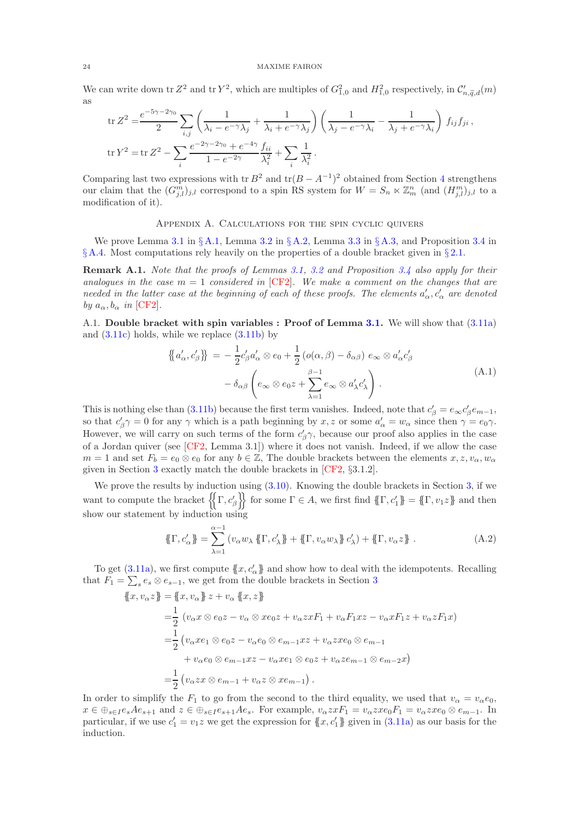We can write down tr  $Z^2$  and tr  $Y^2$ , which are multiples of  $G_{1,0}^2$  and  $H_{1,0}^2$  respectively, in  $\mathcal{C}'_{n,\widetilde{q},d}(m)$ as

$$
\begin{split} &\text{tr}\,Z^2 = \frac{e^{-5\gamma - 2\gamma_0}}{2} \sum_{i,j} \left( \frac{1}{\lambda_i - e^{-\gamma}\lambda_j} + \frac{1}{\lambda_i + e^{-\gamma}\lambda_j} \right) \left( \frac{1}{\lambda_j - e^{-\gamma}\lambda_i} - \frac{1}{\lambda_j + e^{-\gamma}\lambda_i} \right) f_{ij} f_{ji} \,, \\ &\text{tr}\,Y^2 = \text{tr}\,Z^2 - \sum_i \frac{e^{-2\gamma - 2\gamma_0} + e^{-4\gamma}}{1 - e^{-2\gamma}} \frac{f_{ii}}{\lambda_i^2} + \sum_i \frac{1}{\lambda_i^2} \,. \end{split}
$$

Comparing last two expressions with tr  $B^2$  and tr $(B - A^{-1})^2$  obtained from Section [4](#page-11-0) strengthens our claim that the  $(G_{j,l}^m)_{j,l}$  correspond to a spin RS system for  $W = S_n \ltimes \mathbb{Z}_m^n$  (and  $(H_{j,l}^m)_{j,l}$  to a modification of it).

### Appendix A. Calculations for the spin cyclic quivers

<span id="page-23-0"></span>We prove Lemma [3.1](#page-10-4) in § [A.1,](#page-23-1) Lemma [3.2](#page-10-5) in § [A.2,](#page-28-0) Lemma [3.3](#page-10-3) in § [A.3,](#page-30-0) and Proposition [3.4](#page-11-1) in  $\S A.4$ . Most computations rely heavily on the properties of a double bracket given in  $\S 2.1$ .

Remark A.1. Note that the proofs of Lemmas [3.1,](#page-10-4) [3.2](#page-10-5) and Proposition [3.4](#page-11-1) also apply for their analogues in the case  $m = 1$  considered in [\[CF2\]](#page-38-11). We make a comment on the changes that are needed in the latter case at the beginning of each of these proofs. The elements  $a'_\alpha, c'_\alpha$  are denoted by  $a_{\alpha}, b_{\alpha}$  in [\[CF2\]](#page-38-11).

<span id="page-23-1"></span>A.1. Double bracket with spin variables : Proof of Lemma [3.1.](#page-10-4) We will show that  $(3.11a)$ and  $(3.11c)$  holds, while we replace  $(3.11b)$  by

<span id="page-23-3"></span>
$$
\{\!\!\{\boldsymbol{a}'_{\alpha},\boldsymbol{c}'_{\beta}\}\!\!\} = -\frac{1}{2}\boldsymbol{c}'_{\beta}\boldsymbol{a}'_{\alpha} \otimes \boldsymbol{e}_{0} + \frac{1}{2}\left(\boldsymbol{o}(\alpha,\beta) - \delta_{\alpha\beta}\right)\boldsymbol{e}_{\infty} \otimes \boldsymbol{a}'_{\alpha}\boldsymbol{c}'_{\beta}\n- \delta_{\alpha\beta}\left(\boldsymbol{e}_{\infty} \otimes \boldsymbol{e}_{0}\boldsymbol{z} + \sum_{\lambda=1}^{\beta-1} \boldsymbol{e}_{\infty} \otimes \boldsymbol{a}'_{\lambda}\boldsymbol{c}'_{\lambda}\right).
$$
\n(A.1)

This is nothing else than [\(3.11b\)](#page-10-0) because the first term vanishes. Indeed, note that  $c'_{\beta} = e_{\infty} c'_{\beta} e_{m-1}$ , so that  $c'_{\beta}\gamma = 0$  for any  $\gamma$  which is a path beginning by  $x, z$  or some  $a'_{\alpha} = w_{\alpha}$  since then  $\gamma = e_0 \gamma$ . However, we will carry on such terms of the form  $c'_{\beta} \gamma$ , because our proof also applies in the case of a Jordan quiver (see [\[CF2,](#page-38-11) Lemma 3.1]) where it does not vanish. Indeed, if we allow the case  $m = 1$  and set  $F_b = e_0 \otimes e_0$  for any  $b \in \mathbb{Z}$ , The double brackets between the elements  $x, z, v_\alpha, w_\alpha$ given in Section [3](#page-8-0) exactly match the double brackets in [\[CF2,](#page-38-11) §3.1.2].

We prove the results by induction using  $(3.10)$ . Knowing the double brackets in Section [3,](#page-8-0) if we want to compute the bracket  $\left\{\Gamma, c'_{\beta}\right\}$  for some  $\Gamma \in A$ , we first find  $\{\Gamma, c'_{1}\} = \{\Gamma, v_{1} \}\$  and then show our statement by induction using

<span id="page-23-2"></span>
$$
\{\!\{\Gamma, c_{\alpha}'\}\!\} = \sum_{\lambda=1}^{\alpha-1} \left(v_{\alpha}w_{\lambda}\{\!\{ \Gamma, c_{\lambda}'\}\!\} + \{\!\{ \Gamma, v_{\alpha}w_{\lambda}\}\!\} c_{\lambda}'\!\right) + \{\!\{ \Gamma, v_{\alpha}z\}\!\} . \tag{A.2}
$$

To get [\(3.11a\)](#page-10-6), we first compute  $\{x, c'_\alpha\}$  and show how to deal with the idempotents. Recalling that  $F_1 = \sum_s e_s \otimes e_{s-1}$ , we get from the double brackets in Section [3](#page-8-0)

$$
\begin{aligned}\n\left\{x, v_{\alpha}z\right\} &= \left\{x, v_{\alpha}\right\} z + v_{\alpha} \left\{x, z\right\} \\
&= \frac{1}{2} \left(v_{\alpha}x \otimes e_{0}z - v_{\alpha} \otimes xe_{0}z + v_{\alpha}zxF_{1} + v_{\alpha}F_{1}xz - v_{\alpha}xF_{1}z + v_{\alpha}zF_{1}x\right) \\
&= \frac{1}{2} \left(v_{\alpha}xe_{1} \otimes e_{0}z - v_{\alpha}e_{0} \otimes e_{m-1}xz + v_{\alpha}zxe_{0} \otimes e_{m-1} + v_{\alpha}e_{0} \otimes e_{m-1}xz - v_{\alpha}xe_{1} \otimes e_{0}z + v_{\alpha}ze_{m-1} \otimes e_{m-2}x\right) \\
&= \frac{1}{2} \left(v_{\alpha}zx \otimes e_{m-1} + v_{\alpha}z \otimes xe_{m-1}\right).\n\end{aligned}
$$

In order to simplify the  $F_1$  to go from the second to the third equality, we used that  $v_\alpha = v_\alpha e_0$ ,  $x \in \bigoplus_{s \in I} e_s A e_{s+1}$  and  $z \in \bigoplus_{s \in I} e_{s+1} A e_s$ . For example,  $v_\alpha z x F_1 = v_\alpha z x e_0 F_1 = v_\alpha z x e_0 \otimes e_{m-1}$ . In particular, if we use  $c'_1 = v_1 z$  we get the expression for  $\{x, c'_1\}$  given in  $(3.11a)$  as our basis for the induction.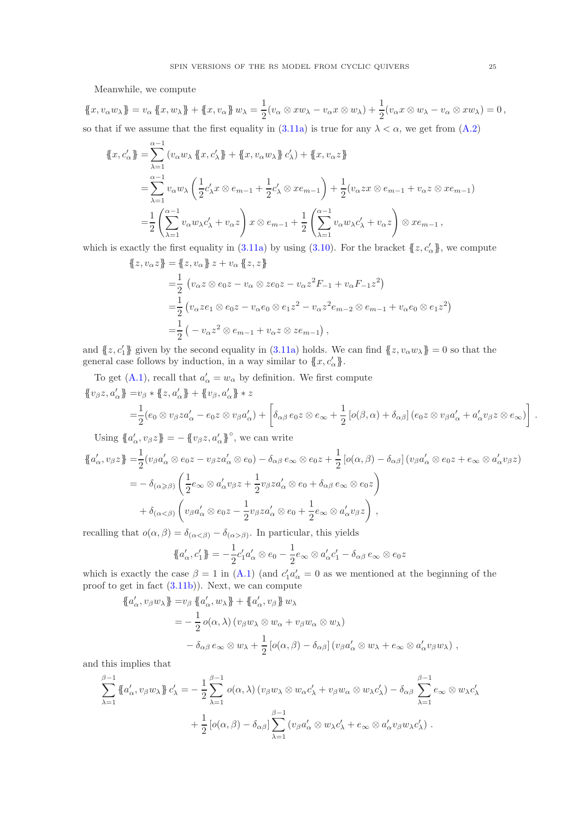Meanwhile, we compute

 $\{x, v_{\alpha}w_{\lambda}\} = v_{\alpha} \{x, w_{\lambda}\} + \{x, v_{\alpha}\} w_{\lambda} = \frac{1}{2}$  $\frac{1}{2}(v_{\alpha} \otimes xw_{\lambda} - v_{\alpha}x \otimes w_{\lambda}) + \frac{1}{2}(v_{\alpha}x \otimes w_{\lambda} - v_{\alpha} \otimes xw_{\lambda}) = 0,$ so that if we assume that the first equality in [\(3.11a\)](#page-10-6) is true for any  $\lambda < \alpha$ , we get from [\(A.2\)](#page-23-2)

$$
\begin{split}\n\left\{\!\!\left\{x,c_{\alpha}'\right\}\!\!\right\} &= \sum_{\lambda=1}^{\alpha-1} \left(v_{\alpha}w_{\lambda}\left\{\!\!\left\{x,c_{\lambda}'\right\}\!\!\right\} + \left\{\!\!\left\{x,v_{\alpha}w_{\lambda}\right\}\!\!\right\}c_{\lambda}'\right) + \left\{\!\!\left\{x,v_{\alpha}z\right\}\!\!\right\} \\
&= \sum_{\lambda=1}^{\alpha-1} v_{\alpha}w_{\lambda}\left(\frac{1}{2}c_{\lambda}'x\otimes e_{m-1} + \frac{1}{2}c_{\lambda}'\otimes xe_{m-1}\right) + \frac{1}{2}\left(v_{\alpha}zx\otimes e_{m-1} + v_{\alpha}z\otimes xe_{m-1}\right) \\
&= \frac{1}{2}\left(\sum_{\lambda=1}^{\alpha-1} v_{\alpha}w_{\lambda}c_{\lambda}' + v_{\alpha}z\right)x\otimes e_{m-1} + \frac{1}{2}\left(\sum_{\lambda=1}^{\alpha-1} v_{\alpha}w_{\lambda}c_{\lambda}' + v_{\alpha}z\right)\otimes xe_{m-1}\right),\n\end{split}
$$

which is exactly the first equality in [\(3.11a\)](#page-10-6) by using [\(3.10\)](#page-10-8). For the bracket  $\{z, c'_{\alpha}\}\$ , we compute

$$
\begin{aligned} \n\{z, v_{\alpha}z\} &= \{z, v_{\alpha}\} z + v_{\alpha} \{z, z\} \\ \n&= \frac{1}{2} \left( v_{\alpha} z \otimes e_0 z - v_{\alpha} \otimes z e_0 z - v_{\alpha} z^2 F_{-1} + v_{\alpha} F_{-1} z^2 \right) \\ \n&= \frac{1}{2} \left( v_{\alpha} z e_1 \otimes e_0 z - v_{\alpha} e_0 \otimes e_1 z^2 - v_{\alpha} z^2 e_{m-2} \otimes e_{m-1} + v_{\alpha} e_0 \otimes e_1 z^2 \right) \\ \n&= \frac{1}{2} \left( -v_{\alpha} z^2 \otimes e_{m-1} + v_{\alpha} z \otimes z e_{m-1} \right), \n\end{aligned}
$$

and  ${z, c'_1}$  given by the second equality in [\(3.11a\)](#page-10-6) holds. We can find  ${z, v_\alpha w_\lambda} = 0$  so that the general case follows by induction, in a way similar to  $\{x, c'_\n\}$ .

To get [\(A.1\)](#page-23-3), recall that  $a'_{\alpha} = w_{\alpha}$  by definition. We first compute  $\{v_{\beta}z, a_{\alpha}'\} = v_{\beta} * \{z, a_{\alpha}'\} + \{v_{\beta}, a_{\alpha}'\} * z$ 

$$
= \frac{1}{2}(e_0 \otimes v_\beta z a'_\alpha - e_0 z \otimes v_\beta a'_\alpha) + \left[\delta_{\alpha\beta} e_0 z \otimes e_\infty + \frac{1}{2} \left[ o(\beta, \alpha) + \delta_{\alpha\beta} \right] (e_0 z \otimes v_\beta a'_\alpha + a'_\alpha v_\beta z \otimes e_\infty) \right].
$$

Using  $\{a'_\alpha, v_\beta z\} = -\{\{v_\beta z, a'_\alpha\}^\circ$ , we can write

$$
\begin{split}\n\left\{a'_{\alpha}, v_{\beta}z\right\} &= \frac{1}{2}(v_{\beta}a'_{\alpha} \otimes e_0z - v_{\beta}za'_{\alpha} \otimes e_0) - \delta_{\alpha\beta}e_{\infty} \otimes e_0z + \frac{1}{2}\left[\rho(\alpha, \beta) - \delta_{\alpha\beta}\right](v_{\beta}a'_{\alpha} \otimes e_0z + e_{\infty} \otimes a'_{\alpha}v_{\beta}z) \\
&= -\delta_{(\alpha \geq \beta)}\left(\frac{1}{2}e_{\infty} \otimes a'_{\alpha}v_{\beta}z + \frac{1}{2}v_{\beta}za'_{\alpha} \otimes e_0 + \delta_{\alpha\beta}e_{\infty} \otimes e_0z\right) \\
&+ \delta_{(\alpha < \beta)}\left(v_{\beta}a'_{\alpha} \otimes e_0z - \frac{1}{2}v_{\beta}za'_{\alpha} \otimes e_0 + \frac{1}{2}e_{\infty} \otimes a'_{\alpha}v_{\beta}z\right),\n\end{split}
$$

recalling that  $o(\alpha, \beta) = \delta_{(\alpha \leq \beta)} - \delta_{(\alpha > \beta)}$ . In particular, this yields

$$
\{\!\!\{\boldsymbol{a}'_{\alpha},\boldsymbol{c}'_1\}\!\!\} = -\frac{1}{2}\boldsymbol{c}'_1\boldsymbol{a}'_{\alpha} \otimes \boldsymbol{e}_0 - \frac{1}{2}\boldsymbol{e}_{\infty} \otimes \boldsymbol{a}'_{\alpha}\boldsymbol{c}'_1 - \delta_{\alpha\beta}\boldsymbol{e}_{\infty} \otimes \boldsymbol{e}_0\boldsymbol{z}
$$

which is exactly the case  $\beta = 1$  in [\(A.1\)](#page-23-3) (and  $c'_1 a'_\n\alpha = 0$  as we mentioned at the beginning of the proof to get in fact [\(3.11b\)](#page-10-0)). Next, we can compute

$$
\begin{split}\n\left\{a'_{\alpha}, v_{\beta}w_{\lambda}\right\} &= v_{\beta} \left\{a'_{\alpha}, w_{\lambda}\right\} + \left\{a'_{\alpha}, v_{\beta}\right\} w_{\lambda} \\
&= -\frac{1}{2} o(\alpha, \lambda) \left(v_{\beta}w_{\lambda} \otimes w_{\alpha} + v_{\beta}w_{\alpha} \otimes w_{\lambda}\right) \\
&- \delta_{\alpha\beta} e_{\infty} \otimes w_{\lambda} + \frac{1}{2} \left[ o(\alpha, \beta) - \delta_{\alpha\beta} \right] \left(v_{\beta}a'_{\alpha} \otimes w_{\lambda} + e_{\infty} \otimes a'_{\alpha}v_{\beta}w_{\lambda}\right),\n\end{split}
$$

and this implies that

$$
\sum_{\lambda=1}^{\beta-1} \left\{ a'_{\alpha}, v_{\beta} w_{\lambda} \right\} c'_{\lambda} = -\frac{1}{2} \sum_{\lambda=1}^{\beta-1} o(\alpha, \lambda) \left( v_{\beta} w_{\lambda} \otimes w_{\alpha} c'_{\lambda} + v_{\beta} w_{\alpha} \otimes w_{\lambda} c'_{\lambda} \right) - \delta_{\alpha\beta} \sum_{\lambda=1}^{\beta-1} e_{\infty} \otimes w_{\lambda} c'_{\lambda} + \frac{1}{2} \left[ o(\alpha, \beta) - \delta_{\alpha\beta} \right] \sum_{\lambda=1}^{\beta-1} \left( v_{\beta} a'_{\alpha} \otimes w_{\lambda} c'_{\lambda} + e_{\infty} \otimes a'_{\alpha} v_{\beta} w_{\lambda} c'_{\lambda} \right).
$$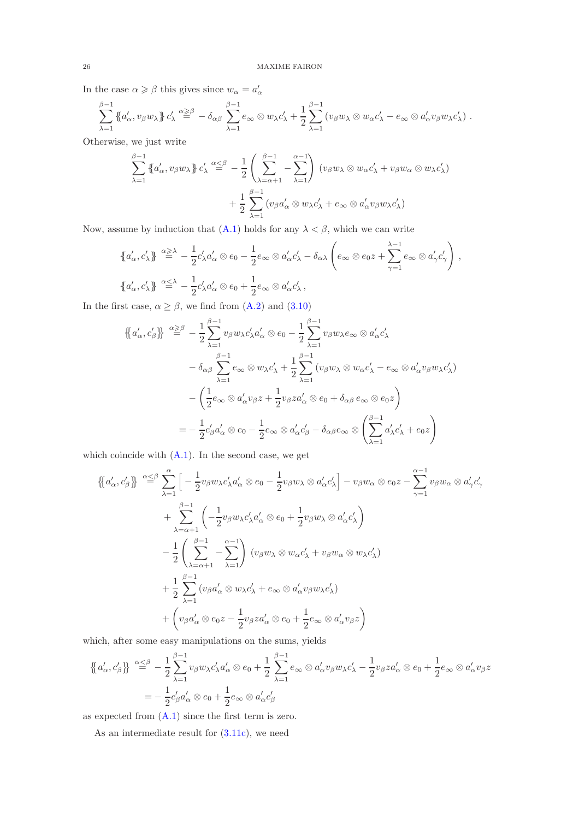In the case  $\alpha \geq \beta$  this gives since  $w_{\alpha} = a'_{\alpha}$ 

$$
\sum_{\lambda=1}^{\beta-1} \left\{ a'_\alpha, v_\beta w_\lambda \right\} c'_\lambda \stackrel{\alpha \geq \beta}{=} -\delta_{\alpha\beta} \sum_{\lambda=1}^{\beta-1} e_\infty \otimes w_\lambda c'_\lambda + \frac{1}{2} \sum_{\lambda=1}^{\beta-1} \left( v_\beta w_\lambda \otimes w_\alpha c'_\lambda - e_\infty \otimes a'_\alpha v_\beta w_\lambda c'_\lambda \right).
$$

Otherwise, we just write

$$
\sum_{\lambda=1}^{\beta-1} \left\{ a'_\alpha, v_\beta w_\lambda \right\} c'_\lambda \stackrel{\alpha \le \beta}{=} -\frac{1}{2} \left( \sum_{\lambda=\alpha+1}^{\beta-1} - \sum_{\lambda=1}^{\alpha-1} \right) (v_\beta w_\lambda \otimes w_\alpha c'_\lambda + v_\beta w_\alpha \otimes w_\lambda c'_\lambda)
$$

$$
+ \frac{1}{2} \sum_{\lambda=1}^{\beta-1} (v_\beta a'_\alpha \otimes w_\lambda c'_\lambda + e_\infty \otimes a'_\alpha v_\beta w_\lambda c'_\lambda)
$$

Now, assume by induction that [\(A.1\)](#page-23-3) holds for any  $\lambda < \beta$ , which we can write

$$
\{a'_{\alpha}, c'_{\lambda}\}\stackrel{\alpha \geq \lambda}{=} -\frac{1}{2}c'_{\lambda}a'_{\alpha} \otimes e_0 - \frac{1}{2}e_{\infty} \otimes a'_{\alpha}c'_{\lambda} - \delta_{\alpha\lambda}\left(e_{\infty} \otimes e_0 z + \sum_{\gamma=1}^{\lambda-1} e_{\infty} \otimes a'_{\gamma}c'_{\gamma}\right),
$$
  

$$
\{a'_{\alpha}, c'_{\lambda}\}\stackrel{\alpha \leq \lambda}{=} -\frac{1}{2}c'_{\lambda}a'_{\alpha} \otimes e_0 + \frac{1}{2}e_{\infty} \otimes a'_{\alpha}c'_{\lambda},
$$

In the first case,  $\alpha \ge \beta$ , we find from [\(A.2\)](#page-23-2) and [\(3.10\)](#page-10-8)

$$
\begin{split}\n\left\{\!\left\{a'_{\alpha},c'_{\beta}\right\}\!\right\} &\stackrel{\alpha\geq\beta}{=}\, -\frac{1}{2}\sum_{\lambda=1}^{\beta-1}v_{\beta}w_{\lambda}c'_{\lambda}a'_{\alpha}\otimes e_{0}-\frac{1}{2}\sum_{\lambda=1}^{\beta-1}v_{\beta}w_{\lambda}e_{\infty}\otimes a'_{\alpha}c'_{\lambda} \\
&\quad -\delta_{\alpha\beta}\sum_{\lambda=1}^{\beta-1}e_{\infty}\otimes w_{\lambda}c'_{\lambda}+\frac{1}{2}\sum_{\lambda=1}^{\beta-1}\left(v_{\beta}w_{\lambda}\otimes w_{\alpha}c'_{\lambda}-e_{\infty}\otimes a'_{\alpha}v_{\beta}w_{\lambda}c'_{\lambda}\right) \\
&\quad -\left(\frac{1}{2}e_{\infty}\otimes a'_{\alpha}v_{\beta}z+\frac{1}{2}v_{\beta}za'_{\alpha}\otimes e_{0}+\delta_{\alpha\beta}e_{\infty}\otimes e_{0}z\right) \\
&=-\frac{1}{2}c'_{\beta}a'_{\alpha}\otimes e_{0}-\frac{1}{2}e_{\infty}\otimes a'_{\alpha}c'_{\beta}-\delta_{\alpha\beta}e_{\infty}\otimes\left(\sum_{\lambda=1}^{\beta-1}a'_{\lambda}c'_{\lambda}+e_{0}z\right)\n\end{split}
$$

which coincide with  $(A.1)$ . In the second case, we get

$$
\left\{\!\left\{a'_{\alpha},c'_{\beta}\right\}\!\right\} \stackrel{\alpha \leq \beta}{=} \sum_{\lambda=1}^{\alpha} \left[ -\frac{1}{2} v_{\beta} w_{\lambda} c'_{\lambda} a'_{\alpha} \otimes e_{0} - \frac{1}{2} v_{\beta} w_{\lambda} \otimes a'_{\alpha} c'_{\lambda} \right] - v_{\beta} w_{\alpha} \otimes e_{0} z - \sum_{\gamma=1}^{\alpha-1} v_{\beta} w_{\alpha} \otimes a'_{\gamma} c'_{\gamma} \n+ \sum_{\lambda=\alpha+1}^{\beta-1} \left( -\frac{1}{2} v_{\beta} w_{\lambda} c'_{\lambda} a'_{\alpha} \otimes e_{0} + \frac{1}{2} v_{\beta} w_{\lambda} \otimes a'_{\alpha} c'_{\lambda} \right) \n- \frac{1}{2} \left( \sum_{\lambda=\alpha+1}^{\beta-1} - \sum_{\lambda=1}^{\alpha-1} \right) (v_{\beta} w_{\lambda} \otimes w_{\alpha} c'_{\lambda} + v_{\beta} w_{\alpha} \otimes w_{\lambda} c'_{\lambda}) \n+ \frac{1}{2} \sum_{\lambda=1}^{\beta-1} (v_{\beta} a'_{\alpha} \otimes w_{\lambda} c'_{\lambda} + e_{\infty} \otimes a'_{\alpha} v_{\beta} w_{\lambda} c'_{\lambda}) \n+ \left( v_{\beta} a'_{\alpha} \otimes e_{0} z - \frac{1}{2} v_{\beta} z a'_{\alpha} \otimes e_{0} + \frac{1}{2} e_{\infty} \otimes a'_{\alpha} v_{\beta} z \right)
$$

which, after some easy manipulations on the sums, yields

$$
\{\!\!\{\boldsymbol{a}'_{\alpha},\boldsymbol{c}'_{\beta}\}\!\!\} \stackrel{\alpha \leq \beta}{=} -\frac{1}{2} \sum_{\lambda=1}^{\beta-1} v_{\beta} w_{\lambda} c'_{\lambda} a'_{\alpha} \otimes \boldsymbol{e}_0 + \frac{1}{2} \sum_{\lambda=1}^{\beta-1} \boldsymbol{e}_{\infty} \otimes a'_{\alpha} v_{\beta} w_{\lambda} c'_{\lambda} - \frac{1}{2} v_{\beta} z a'_{\alpha} \otimes \boldsymbol{e}_0 + \frac{1}{2} \boldsymbol{e}_{\infty} \otimes a'_{\alpha} v_{\beta} z \}
$$
\n
$$
= -\frac{1}{2} c'_{\beta} a'_{\alpha} \otimes \boldsymbol{e}_0 + \frac{1}{2} \boldsymbol{e}_{\infty} \otimes a'_{\alpha} c'_{\beta}
$$

as expected from [\(A.1\)](#page-23-3) since the first term is zero.

As an intermediate result for [\(3.11c\)](#page-10-7), we need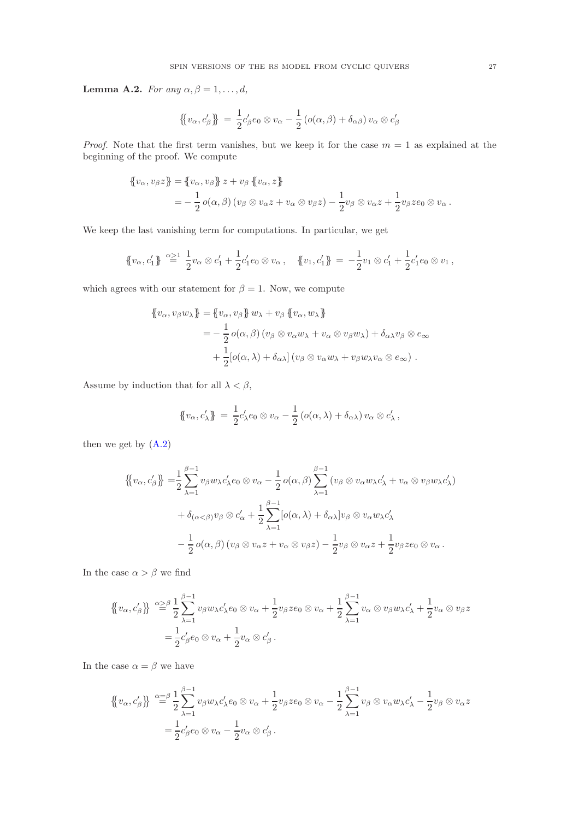<span id="page-26-0"></span>Lemma A.2. For any  $\alpha, \beta = 1, \ldots, d$ ,

$$
\{ \{ v_{\alpha}, c'_{\beta} \} \} = \frac{1}{2} c'_{\beta} e_0 \otimes v_{\alpha} - \frac{1}{2} \left( o(\alpha, \beta) + \delta_{\alpha \beta} \right) v_{\alpha} \otimes c'_{\beta}
$$

*Proof.* Note that the first term vanishes, but we keep it for the case  $m = 1$  as explained at the beginning of the proof. We compute

$$
\begin{aligned} \n\{\!v_{\alpha}, v_{\beta} z\} &= \{\! \{v_{\alpha}, v_{\beta}\} z + v_{\beta} \{\! \{v_{\alpha}, z\} \!\} \\ \n&= -\frac{1}{2} \, o(\alpha, \beta) \, (v_{\beta} \otimes v_{\alpha} z + v_{\alpha} \otimes v_{\beta} z) - \frac{1}{2} v_{\beta} \otimes v_{\alpha} z + \frac{1}{2} v_{\beta} z e_0 \otimes v_{\alpha} \,. \n\end{aligned}
$$

We keep the last vanishing term for computations. In particular, we get

$$
\{v_{\alpha}, c'_1\} \stackrel{\alpha \geq 1}{=} \frac{1}{2}v_{\alpha} \otimes c'_1 + \frac{1}{2}c'_1e_0 \otimes v_{\alpha}, \quad \{v_1, c'_1\} \stackrel{\alpha \geq 1}{=} -\frac{1}{2}v_1 \otimes c'_1 + \frac{1}{2}c'_1e_0 \otimes v_1,
$$

which agrees with our statement for  $\beta = 1$ . Now, we compute

$$
\begin{aligned} \n\{\!v_{\alpha}, v_{\beta}w_{\lambda}\} &= \{\!\! \left\{v_{\alpha}, v_{\beta}\right\}\!w_{\lambda} + v_{\beta}\left\{v_{\alpha}, w_{\lambda}\right\}\! \right. \\ \n&= -\frac{1}{2}\,o(\alpha, \beta)\left(v_{\beta}\otimes v_{\alpha}w_{\lambda} + v_{\alpha}\otimes v_{\beta}w_{\lambda}\right) + \delta_{\alpha\lambda}v_{\beta}\otimes e_{\infty} \\ \n&\quad + \frac{1}{2}\left[\!o(\alpha, \lambda) + \delta_{\alpha\lambda}\right]\left(v_{\beta}\otimes v_{\alpha}w_{\lambda} + v_{\beta}w_{\lambda}v_{\alpha}\otimes e_{\infty}\right) \, .\n\end{aligned}
$$

Assume by induction that for all  $\lambda < \beta$ ,

$$
\{\!\!\{\,v_\alpha, c'_\lambda\}\!\!\} \ = \ \frac{1}{2}c'_\lambda e_0 \otimes v_\alpha - \frac{1}{2}\left(o(\alpha, \lambda) + \delta_{\alpha\lambda}\right)v_\alpha \otimes c'_\lambda\,,
$$

then we get by  $(A.2)$ 

$$
\{\!\!\{v_{\alpha},c'_{\beta}\}\!\!\} = \frac{1}{2} \sum_{\lambda=1}^{\beta-1} v_{\beta} w_{\lambda} c'_{\lambda} e_0 \otimes v_{\alpha} - \frac{1}{2} o(\alpha,\beta) \sum_{\lambda=1}^{\beta-1} (v_{\beta} \otimes v_{\alpha} w_{\lambda} c'_{\lambda} + v_{\alpha} \otimes v_{\beta} w_{\lambda} c'_{\lambda})
$$

$$
+ \delta_{(\alpha < \beta)} v_{\beta} \otimes c'_{\alpha} + \frac{1}{2} \sum_{\lambda=1}^{\beta-1} [o(\alpha,\lambda) + \delta_{\alpha\lambda}] v_{\beta} \otimes v_{\alpha} w_{\lambda} c'_{\lambda}
$$

$$
- \frac{1}{2} o(\alpha,\beta) (v_{\beta} \otimes v_{\alpha} z + v_{\alpha} \otimes v_{\beta} z) - \frac{1}{2} v_{\beta} \otimes v_{\alpha} z + \frac{1}{2} v_{\beta} z e_0 \otimes v_{\alpha}.
$$

In the case  $\alpha > \beta$  we find

$$
\begin{split} \{\!\!\{\boldsymbol{v}_{\alpha},\boldsymbol{c}_{\beta}'\}\!\!\} &\stackrel{\alpha\geq\beta}{=}\frac{1}{2}\sum_{\lambda=1}^{\beta-1}\boldsymbol{v}_{\beta}\boldsymbol{w}_{\lambda}\boldsymbol{c}_{\lambda}'\boldsymbol{e}_{0}\otimes\boldsymbol{v}_{\alpha}+\frac{1}{2}\boldsymbol{v}_{\beta}\boldsymbol{z}\boldsymbol{e}_{0}\otimes\boldsymbol{v}_{\alpha}+\frac{1}{2}\sum_{\lambda=1}^{\beta-1}\boldsymbol{v}_{\alpha}\otimes\boldsymbol{v}_{\beta}\boldsymbol{w}_{\lambda}\boldsymbol{c}_{\lambda}'+\frac{1}{2}\boldsymbol{v}_{\alpha}\otimes\boldsymbol{v}_{\beta}\boldsymbol{z} \\ &=\frac{1}{2}\boldsymbol{c}_{\beta}'\boldsymbol{e}_{0}\otimes\boldsymbol{v}_{\alpha}+\frac{1}{2}\boldsymbol{v}_{\alpha}\otimes\boldsymbol{c}_{\beta}' \,. \end{split}
$$

In the case  $\alpha = \beta$  we have

$$
\begin{split} \{\!\!\{\boldsymbol{v}_{\alpha},\boldsymbol{c}'_{\beta}\}\!\!\} \stackrel{\alpha=\beta}{=} & \frac{1}{2} \sum_{\lambda=1}^{\beta-1} \boldsymbol{v}_{\beta} \boldsymbol{w}_{\lambda} \boldsymbol{c}'_{\lambda} \boldsymbol{e}_{0} \otimes \boldsymbol{v}_{\alpha} + \frac{1}{2} \boldsymbol{v}_{\beta} \boldsymbol{z} \boldsymbol{e}_{0} \otimes \boldsymbol{v}_{\alpha} - \frac{1}{2} \sum_{\lambda=1}^{\beta-1} \boldsymbol{v}_{\beta} \otimes \boldsymbol{v}_{\alpha} \boldsymbol{w}_{\lambda} \boldsymbol{c}'_{\lambda} - \frac{1}{2} \boldsymbol{v}_{\beta} \otimes \boldsymbol{v}_{\alpha} \boldsymbol{z} \\ &= \frac{1}{2} \boldsymbol{c}'_{\beta} \boldsymbol{e}_{0} \otimes \boldsymbol{v}_{\alpha} - \frac{1}{2} \boldsymbol{v}_{\alpha} \otimes \boldsymbol{c}'_{\beta} \,. \end{split}
$$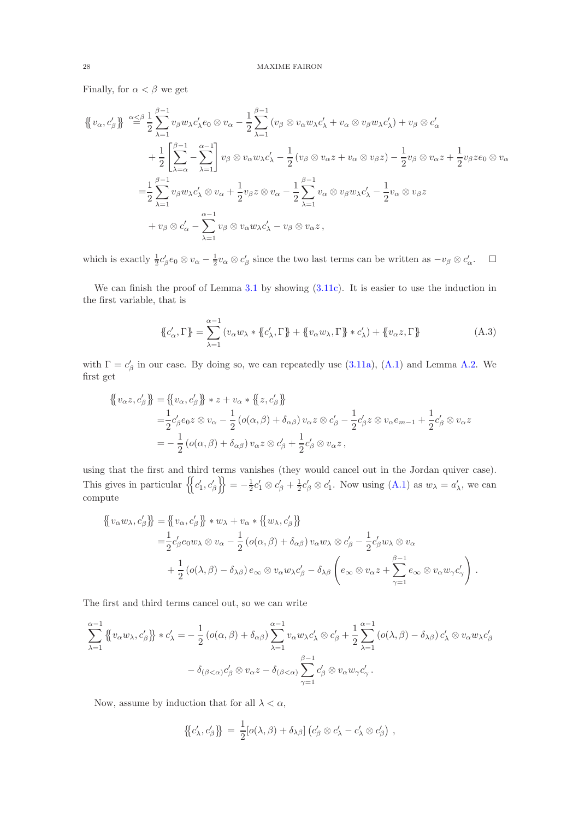Finally, for  $\alpha < \beta$  we get

$$
\begin{split}\n\left\{\n\langle v_{\alpha}, c_{\beta}' \rangle\right\} & \stackrel{\alpha \leq \beta}{=} \frac{1}{2} \sum_{\lambda=1}^{\beta-1} v_{\beta} w_{\lambda} c_{\lambda}' e_{0} \otimes v_{\alpha} - \frac{1}{2} \sum_{\lambda=1}^{\beta-1} (v_{\beta} \otimes v_{\alpha} w_{\lambda} c_{\lambda}' + v_{\alpha} \otimes v_{\beta} w_{\lambda} c_{\lambda}') + v_{\beta} \otimes c_{\alpha}' \\
& + \frac{1}{2} \left[ \sum_{\lambda=\alpha}^{\beta-1} - \sum_{\lambda=1}^{\alpha-1} \right] v_{\beta} \otimes v_{\alpha} w_{\lambda} c_{\lambda}' - \frac{1}{2} (v_{\beta} \otimes v_{\alpha} z + v_{\alpha} \otimes v_{\beta} z) - \frac{1}{2} v_{\beta} \otimes v_{\alpha} z + \frac{1}{2} v_{\beta} z e_{0} \otimes v_{\alpha} \\
& = \frac{1}{2} \sum_{\lambda=1}^{\beta-1} v_{\beta} w_{\lambda} c_{\lambda}' \otimes v_{\alpha} + \frac{1}{2} v_{\beta} z \otimes v_{\alpha} - \frac{1}{2} \sum_{\lambda=1}^{\beta-1} v_{\alpha} \otimes v_{\beta} w_{\lambda} c_{\lambda}' - \frac{1}{2} v_{\alpha} \otimes v_{\beta} z \\
& + v_{\beta} \otimes c_{\alpha}' - \sum_{\lambda=1}^{\alpha-1} v_{\beta} \otimes v_{\alpha} w_{\lambda} c_{\lambda}' - v_{\beta} \otimes v_{\alpha} z \,,\n\end{split}
$$

which is exactly  $\frac{1}{2}c'_\beta e_0 \otimes v_\alpha - \frac{1}{2}v_\alpha \otimes c'_\beta$  since the two last terms can be written as  $-v_\beta \otimes c'_\alpha$ .  $\Box$ 

We can finish the proof of Lemma [3.1](#page-10-4) by showing  $(3.11c)$ . It is easier to use the induction in the first variable, that is

<span id="page-27-0"></span>
$$
\mathcal{L}'_{\alpha}, \Gamma \mathcal{F} = \sum_{\lambda=1}^{\alpha-1} \left( v_{\alpha} w_{\lambda} * \{c'_{\lambda}, \Gamma \} + \{v_{\alpha} w_{\lambda}, \Gamma \} * c'_{\lambda} \right) + \{v_{\alpha} z, \Gamma \} \tag{A.3}
$$

with  $\Gamma = c'_{\beta}$  in our case. By doing so, we can repeatedly use [\(3.11a\)](#page-10-6), [\(A.1\)](#page-23-3) and Lemma [A.2.](#page-26-0) We first get

$$
\begin{aligned} \left\{ \left\{ v_{\alpha} z, c_{\beta}' \right\} \right\} &= \left\{ \left\{ v_{\alpha}, c_{\beta}' \right\} \right\} * z + v_{\alpha} * \left\{ \left\{ z, c_{\beta}' \right\} \right\} \\ &= \frac{1}{2} c_{\beta}' e_0 z \otimes v_{\alpha} - \frac{1}{2} \left( o(\alpha, \beta) + \delta_{\alpha \beta} \right) v_{\alpha} z \otimes c_{\beta}' - \frac{1}{2} c_{\beta}' z \otimes v_{\alpha} e_{m-1} + \frac{1}{2} c_{\beta}' \otimes v_{\alpha} z \\ &= -\frac{1}{2} \left( o(\alpha, \beta) + \delta_{\alpha \beta} \right) v_{\alpha} z \otimes c_{\beta}' + \frac{1}{2} c_{\beta}' \otimes v_{\alpha} z \,, \end{aligned}
$$

using that the first and third terms vanishes (they would cancel out in the Jordan quiver case). This gives in particular  $\left\{ \left\{ c'_1, c'_\beta \right\} \right\} = -\frac{1}{2}c'_1 \otimes c'_\beta + \frac{1}{2}c'_\beta \otimes c'_1$ . Now using  $(A.1)$  as  $w_\lambda = a'_\lambda$ , we can compute

$$
\begin{split}\n\{\!\!\{\!v_{\alpha}w_{\lambda},c'_{\beta}\}\!\!\} &= \{\!\!\{\!v_{\alpha},c'_{\beta}\}\!\!\}\!\!\!\} * w_{\lambda} + v_{\alpha} * \{\!\!\{\!w_{\lambda},c'_{\beta}\}\!\!\}\ \\
&= \,&\frac{1}{2}c'_{\beta}e_{0}w_{\lambda}\otimes v_{\alpha} - \frac{1}{2}\left(\mathit{o}(\alpha,\beta) + \delta_{\alpha\beta}\right)v_{\alpha}w_{\lambda}\otimes c'_{\beta} - \frac{1}{2}c'_{\beta}w_{\lambda}\otimes v_{\alpha} \\
&\quad + \frac{1}{2}\left(\mathit{o}(\lambda,\beta) - \delta_{\lambda\beta}\right)e_{\infty}\otimes v_{\alpha}w_{\lambda}c'_{\beta} - \delta_{\lambda\beta}\left(e_{\infty}\otimes v_{\alpha}z + \sum_{\gamma=1}^{\beta-1}e_{\infty}\otimes v_{\alpha}w_{\gamma}c'_{\gamma}\right).\n\end{split}
$$

The first and third terms cancel out, so we can write

$$
\sum_{\lambda=1}^{\alpha-1} \left\{ \left\{ v_{\alpha} w_{\lambda}, c_{\beta}' \right\} \right\} * c_{\lambda}' = -\frac{1}{2} \left( o(\alpha, \beta) + \delta_{\alpha \beta} \right) \sum_{\lambda=1}^{\alpha-1} v_{\alpha} w_{\lambda} c_{\lambda}' \otimes c_{\beta}' + \frac{1}{2} \sum_{\lambda=1}^{\alpha-1} \left( o(\lambda, \beta) - \delta_{\lambda \beta} \right) c_{\lambda}' \otimes v_{\alpha} w_{\lambda} c_{\beta}'
$$

$$
- \delta_{(\beta < \alpha)} c_{\beta}' \otimes v_{\alpha} z - \delta_{(\beta < \alpha)} \sum_{\gamma=1}^{\beta-1} c_{\beta}' \otimes v_{\alpha} w_{\gamma} c_{\gamma}'.
$$

Now, assume by induction that for all  $\lambda < \alpha$ ,

$$
\{c'_{\lambda},c'_{\beta}\}\} = \frac{1}{2}[o(\lambda,\beta)+\delta_{\lambda\beta}](c'_{\beta}\otimes c'_{\lambda}-c'_{\lambda}\otimes c'_{\beta}),
$$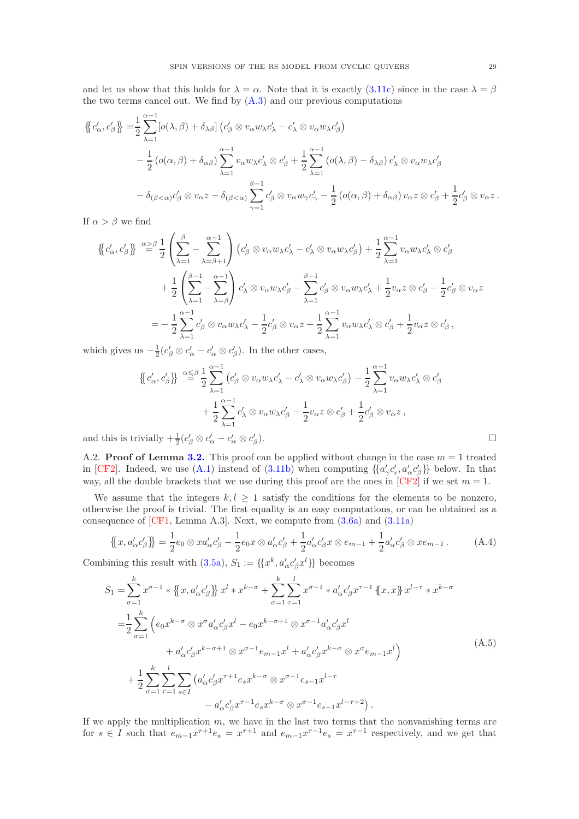and let us show that this holds for  $\lambda = \alpha$ . Note that it is exactly [\(3.11c\)](#page-10-7) since in the case  $\lambda = \beta$ the two terms cancel out. We find by  $(A.3)$  and our previous computations

$$
\{\{c'_{\alpha}, c'_{\beta}\}\} = \frac{1}{2} \sum_{\lambda=1}^{\alpha-1} [o(\lambda, \beta) + \delta_{\lambda\beta}] \left(c'_{\beta} \otimes v_{\alpha} w_{\lambda} c'_{\lambda} - c'_{\lambda} \otimes v_{\alpha} w_{\lambda} c'_{\beta}\right) \n- \frac{1}{2} \left(o(\alpha, \beta) + \delta_{\alpha\beta}\right) \sum_{\lambda=1}^{\alpha-1} v_{\alpha} w_{\lambda} c'_{\lambda} \otimes c'_{\beta} + \frac{1}{2} \sum_{\lambda=1}^{\alpha-1} \left(o(\lambda, \beta) - \delta_{\lambda\beta}\right) c'_{\lambda} \otimes v_{\alpha} w_{\lambda} c'_{\beta} \n- \delta_{(\beta < \alpha)} c'_{\beta} \otimes v_{\alpha} z - \delta_{(\beta < \alpha)} \sum_{\gamma=1}^{\beta-1} c'_{\beta} \otimes v_{\alpha} w_{\gamma} c'_{\gamma} - \frac{1}{2} \left(o(\alpha, \beta) + \delta_{\alpha\beta}\right) v_{\alpha} z \otimes c'_{\beta} + \frac{1}{2} c'_{\beta} \otimes v_{\alpha} z.
$$

If  $\alpha > \beta$  we find

$$
\{\{c'_{\alpha}, c'_{\beta}\}\} \stackrel{\alpha \geq \beta}{=} \frac{1}{2} \left( \sum_{\lambda=1}^{\beta} - \sum_{\lambda=\beta+1}^{\alpha-1} \right) (c'_{\beta} \otimes v_{\alpha} w_{\lambda} c'_{\lambda} - c'_{\lambda} \otimes v_{\alpha} w_{\lambda} c'_{\beta}) + \frac{1}{2} \sum_{\lambda=1}^{\alpha-1} v_{\alpha} w_{\lambda} c'_{\lambda} \otimes c'_{\beta} + \frac{1}{2} \left( \sum_{\lambda=1}^{\beta-1} - \sum_{\lambda=\beta}^{\alpha-1} \right) c'_{\lambda} \otimes v_{\alpha} w_{\lambda} c'_{\beta} - \sum_{\lambda=1}^{\beta-1} c'_{\beta} \otimes v_{\alpha} w_{\lambda} c'_{\lambda} + \frac{1}{2} v_{\alpha} z \otimes c'_{\beta} - \frac{1}{2} c'_{\beta} \otimes v_{\alpha} z = -\frac{1}{2} \sum_{\lambda=1}^{\alpha-1} c'_{\beta} \otimes v_{\alpha} w_{\lambda} c'_{\lambda} - \frac{1}{2} c'_{\beta} \otimes v_{\alpha} z + \frac{1}{2} \sum_{\lambda=1}^{\alpha-1} v_{\alpha} w_{\lambda} c'_{\lambda} \otimes c'_{\beta} + \frac{1}{2} v_{\alpha} z \otimes c'_{\beta},
$$

which gives us  $-\frac{1}{2}(c'_{\beta} \otimes c'_{\alpha} - c'_{\alpha} \otimes c'_{\beta})$ . In the other cases,

$$
\{\{c'_\alpha, c'_\beta\}\} \stackrel{\alpha \leq \beta}{=} \frac{1}{2} \sum_{\lambda=1}^{\alpha-1} (c'_\beta \otimes v_\alpha w_\lambda c'_\lambda - c'_\lambda \otimes v_\alpha w_\lambda c'_\beta) - \frac{1}{2} \sum_{\lambda=1}^{\alpha-1} v_\alpha w_\lambda c'_\lambda \otimes c'_\beta + \frac{1}{2} \sum_{\lambda=1}^{\alpha-1} c'_\lambda \otimes v_\alpha w_\lambda c'_\beta - \frac{1}{2} v_\alpha z \otimes c'_\beta + \frac{1}{2} c'_\beta \otimes v_\alpha z ,
$$
  
ivially  $+\frac{1}{2} (c'_\beta \otimes c'_\alpha - c'_\alpha \otimes c'_\beta).$ 

and this is trivially  $+\frac{1}{2}(c'_{\beta} \otimes c'_{\alpha} - c'_{\alpha} \otimes c'_{\beta})$ 

<span id="page-28-0"></span>A.2. **Proof of Lemma [3.2.](#page-10-5)** This proof can be applied without change in the case  $m = 1$  treated in [\[CF2\]](#page-38-11). Indeed, we use [\(A.1\)](#page-23-3) instead of [\(3.11b\)](#page-10-0) when computing  $\{\{a'_{\gamma}c'_{\epsilon}, a'_{\alpha}c'_{\beta}\}\}$  below. In that way, all the double brackets that we use during this proof are the ones in  $[CF2]$  if we set  $m = 1$ .

We assume that the integers  $k, l \geq 1$  satisfy the conditions for the elements to be nonzero, otherwise the proof is trivial. The first equality is an easy computations, or can be obtained as a consequence of  $[CF1, Lemma A.3]$ . Next, we compute from  $(3.6a)$  and  $(3.11a)$ 

<span id="page-28-1"></span>
$$
\{\!\{x,a'_\alpha c'_\beta\}\!\} = \frac{1}{2}e_0 \otimes xa'_\alpha c'_\beta - \frac{1}{2}e_0x \otimes a'_\alpha c'_\beta + \frac{1}{2}a'_\alpha c'_\beta x \otimes e_{m-1} + \frac{1}{2}a'_\alpha c'_\beta \otimes xe_{m-1}.\tag{A.4}
$$

Combining this result with  $(3.5a)$ ,  $S_1 := \{ \{x^k, a'_\alpha c'_\beta x^l \} \}$  becomes

<span id="page-28-2"></span>
$$
S_{1} = \sum_{\sigma=1}^{k} x^{\sigma-1} * \left\{x, a_{\alpha}'c_{\beta}'\right\} x^{l} * x^{k-\sigma} + \sum_{\sigma=1}^{k} \sum_{\tau=1}^{l} x^{\sigma-1} * a_{\alpha}'c_{\beta}'x^{\tau-1} \left\{x, x\right\} x^{l-\tau} * x^{k-\sigma}
$$

$$
= \frac{1}{2} \sum_{\sigma=1}^{k} \left(e_{0}x^{k-\sigma} \otimes x^{\sigma} a_{\alpha}'c_{\beta}'x^{l} - e_{0}x^{k-\sigma+1} \otimes x^{\sigma-1} a_{\alpha}'c_{\beta}'x^{l} + a_{\alpha}'c_{\beta}'x^{k-\sigma+1} \otimes x^{\sigma-1} e_{m-1}x^{l} + a_{\alpha}'c_{\beta}'x^{k-\sigma} \otimes x^{\sigma} e_{m-1}x^{l}\right)
$$

$$
+ \frac{1}{2} \sum_{\sigma=1}^{k} \sum_{\tau=1}^{l} \sum_{s \in I} \left(a_{\alpha}'c_{\beta}'x^{\tau+1}e_{s}x^{k-\sigma} \otimes x^{\sigma-1} e_{s-1}x^{l-\tau} - a_{\alpha}'c_{\beta}'x^{\tau-1} e_{s}x^{k-\sigma} \otimes x^{\sigma-1} e_{s-1}x^{l-\tau+2}\right).
$$
(A.5)

If we apply the multiplication  $m$ , we have in the last two terms that the nonvanishing terms are for  $s \in I$  such that  $e_{m-1}x^{\tau+1}e_s = x^{\tau+1}$  and  $e_{m-1}x^{\tau-1}e_s = x^{\tau-1}$  respectively, and we get that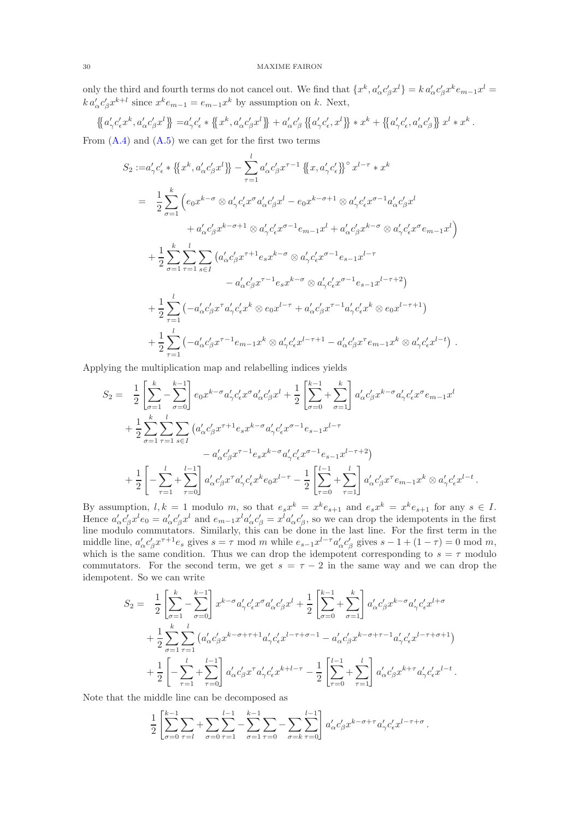only the third and fourth terms do not cancel out. We find that  $\{x^k, a'_\alpha c'_\beta x^l\} = k a'_\alpha c'_\beta x^k e_{m-1} x^l =$  $k a'_{\alpha} c'_{\beta} x^{k+l}$  since  $x^k e_{m-1} = e_{m-1} x^k$  by assumption on k. Next,

$$
\left\{a'_{\gamma}c'_{\epsilon}x^k, a'_{\alpha}c'_{\beta}x^l\right\} = a'_{\gamma}c'_{\epsilon} * \left\{\left\{x^k, a'_{\alpha}c'_{\beta}x^l\right\}\right\} + a'_{\alpha}c'_{\beta} \left\{\left\{a'_{\gamma}c'_{\epsilon}, x^l\right\}\right\} * x^k + \left\{\left\{a'_{\gamma}c'_{\epsilon}, a'_{\alpha}c'_{\beta}\right\}\right\}x^l * x^k.
$$

From  $(A.4)$  and  $(A.5)$  we can get for the first two terms

$$
S_2 := a'_{\gamma} c'_{\epsilon} * \{ \{x^k, a'_{\alpha} c'_{\beta} x^l \} - \sum_{\tau=1}^l a'_{\alpha} c'_{\beta} x^{\tau-1} \{ \{x, a'_{\gamma} c'_{\epsilon} \}^{\circ} x^{l-\tau} * x^k
$$
  
\n
$$
= \frac{1}{2} \sum_{\sigma=1}^k \left( e_0 x^{k-\sigma} \otimes a'_{\gamma} c'_{\epsilon} x^{\sigma} a'_{\alpha} c'_{\beta} x^l - e_0 x^{k-\sigma+1} \otimes a'_{\gamma} c'_{\epsilon} x^{\sigma-1} a'_{\alpha} c'_{\beta} x^l + a'_{\alpha} c'_{\beta} x^{k-\sigma+1} \otimes a'_{\gamma} c'_{\epsilon} x^{\sigma-1} e_{m-1} x^l + a'_{\alpha} c'_{\beta} x^{k-\sigma} \otimes a'_{\gamma} c'_{\epsilon} x^{\sigma} e_{m-1} x^l \right) + \frac{1}{2} \sum_{\sigma=1}^k \sum_{\tau=1}^l \sum_{s \in I} \left( a'_{\alpha} c'_{\beta} x^{\tau+1} e_s x^{k-\sigma} \otimes a'_{\gamma} c'_{\epsilon} x^{\sigma-1} e_{s-1} x^{l-\tau} - a'_{\alpha} c'_{\beta} x^{\tau-1} e_s x^{k-\sigma} \otimes a'_{\gamma} c'_{\epsilon} x^{\sigma-1} e_{s-1} x^{l-\tau+2} \right) + \frac{1}{2} \sum_{\tau=1}^l \left( -a'_{\alpha} c'_{\beta} x^{\tau} a'_{\gamma} c'_{\epsilon} x^k \otimes e_0 x^{l-\tau} + a'_{\alpha} c'_{\beta} x^{\tau-1} a'_{\gamma} c'_{\epsilon} x^k \otimes e_0 x^{l-\tau+1} \right) + \frac{1}{2} \sum_{\tau=1}^l \left( -a'_{\alpha} c'_{\beta} x^{\tau-1} e_{m-1} x^k \otimes a'_{\gamma} c'_{\epsilon} x^{l-\tau+1} - a'_{\alpha} c'_{\beta} x^{\tau} e_{m-1} x^k \otimes a'_{\gamma} c'_{\epsilon} x^{l-\tau} \right).
$$

Applying the multiplication map and relabelling indices yields

$$
S_2 = \frac{1}{2} \left[ \sum_{\sigma=1}^k - \sum_{\sigma=0}^{k-1} \right] e_0 x^{k-\sigma} a'_{\gamma} c'_{\epsilon} x^{\sigma} a'_{\alpha} c'_{\beta} x^l + \frac{1}{2} \left[ \sum_{\sigma=0}^{k-1} + \sum_{\sigma=1}^k \right] a'_{\alpha} c'_{\beta} x^{k-\sigma} a'_{\gamma} c'_{\epsilon} x^{\sigma} e_{m-1} x^l
$$
  
+ 
$$
\frac{1}{2} \sum_{\sigma=1}^k \sum_{\tau=1}^l \sum_{s \in I} \left( a'_{\alpha} c'_{\beta} x^{\tau+1} e_s x^{k-\sigma} a'_{\gamma} c'_{\epsilon} x^{\sigma-1} e_{s-1} x^{l-\tau} - a'_{\alpha} c'_{\beta} x^{\tau-1} e_s x^{k-\sigma} a'_{\gamma} c'_{\epsilon} x^{\sigma-1} e_{s-1} x^{l-\tau+2} \right)
$$
  
+ 
$$
\frac{1}{2} \left[ - \sum_{\tau=1}^l + \sum_{\tau=0}^{l-1} \right] a'_{\alpha} c'_{\beta} x^{\tau} a'_{\gamma} c'_{\epsilon} x^k e_0 x^{l-\tau} - \frac{1}{2} \left[ \sum_{\tau=0}^{l-1} + \sum_{\tau=1}^l \right] a'_{\alpha} c'_{\beta} x^{\tau} e_{m-1} x^k \otimes a'_{\gamma} c'_{\epsilon} x^{l-t} .
$$

By assumption,  $l, k = 1$  modulo m, so that  $e_s x^k = x^k e_{s+1}$  and  $e_s x^k = x^k e_{s+1}$  for any  $s \in I$ . Hence  $a'_\alpha c'_\beta x^l e_0 = a'_\alpha c'_\beta x^l$  and  $e_{m-1} x^l a'_\alpha c'_\beta = x^l a'_\alpha c'_\beta$ , so we can drop the idempotents in the first line modulo commutators. Similarly, this can be done in the last line. For the first term in the middle line,  $a'_\alpha c'_\beta x^{\tau+1}e_s$  gives  $s = \tau$  mod m while  $e_{s-1}x^{l-\tau}a'_\alpha c'_\beta$  gives  $s - 1 + (1 - \tau) = 0$  mod m, which is the same condition. Thus we can drop the idempotent corresponding to  $s = \tau$  modulo commutators. For the second term, we get  $s = \tau - 2$  in the same way and we can drop the idempotent. So we can write

$$
S_2 = \frac{1}{2} \left[ \sum_{\sigma=1}^k - \sum_{\sigma=0}^{k-1} \right] x^{k-\sigma} a'_{\gamma} c'_{\epsilon} x^{\sigma} a'_{\alpha} c'_{\beta} x^l + \frac{1}{2} \left[ \sum_{\sigma=0}^{k-1} + \sum_{\sigma=1}^k \right] a'_{\alpha} c'_{\beta} x^{k-\sigma} a'_{\gamma} c'_{\epsilon} x^{l+\sigma} + \frac{1}{2} \sum_{\sigma=1}^k \sum_{\tau=1}^l (a'_{\alpha} c'_{\beta} x^{k-\sigma+\tau+1} a'_{\gamma} c'_{\epsilon} x^{l-\tau+\sigma-1} - a'_{\alpha} c'_{\beta} x^{k-\sigma+\tau-1} a'_{\gamma} c'_{\epsilon} x^{l-\tau+\sigma+1}) + \frac{1}{2} \left[ - \sum_{\tau=1}^l + \sum_{\tau=0}^{l-1} \right] a'_{\alpha} c'_{\beta} x^{\tau} a'_{\gamma} c'_{\epsilon} x^{k+l-\tau} - \frac{1}{2} \left[ \sum_{\tau=0}^{l-1} + \sum_{\tau=1}^l \right] a'_{\alpha} c'_{\beta} x^{k+\tau} a'_{\gamma} c'_{\epsilon} x^{l-t}.
$$

Note that the middle line can be decomposed as

$$
\frac{1}{2} \left[ \sum_{\sigma=0}^{k-1} \sum_{\tau=l} + \sum_{\sigma=0}^{l-1} \sum_{\tau=1}^{k-1} - \sum_{\sigma=1}^{k-1} \sum_{\tau=0} - \sum_{\sigma=k}^{l-1} \sum_{\tau=0}^{k-1} a'_{\alpha} c'_{\beta} x^{k-\sigma+\tau} a'_{\gamma} c'_{\epsilon} x^{l-\tau+\sigma} \right].
$$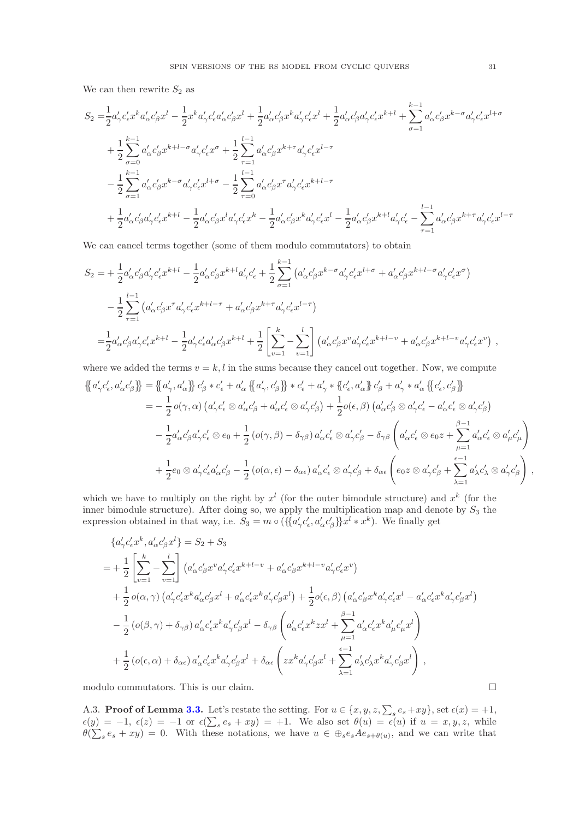We can then rewrite  $S_2$  as

$$
S_{2} = \frac{1}{2} a'_{\gamma} c'_{\epsilon} x^{k} a'_{\alpha} c'_{\beta} x^{l} - \frac{1}{2} x^{k} a'_{\gamma} c'_{\epsilon} a'_{\alpha} c'_{\beta} x^{l} + \frac{1}{2} a'_{\alpha} c'_{\beta} x^{k} a'_{\gamma} c'_{\epsilon} x^{l} + \frac{1}{2} a'_{\alpha} c'_{\beta} a'_{\gamma} c'_{\epsilon} x^{k+l} + \sum_{\sigma=1}^{k-1} a'_{\alpha} c'_{\beta} x^{k-\sigma} a'_{\gamma} c'_{\epsilon} x^{l+\sigma}
$$
  
+ 
$$
\frac{1}{2} \sum_{\sigma=0}^{k-1} a'_{\alpha} c'_{\beta} x^{k+l-\sigma} a'_{\gamma} c'_{\epsilon} x^{\sigma} + \frac{1}{2} \sum_{\tau=1}^{l-1} a'_{\alpha} c'_{\beta} x^{k+\tau} a'_{\gamma} c'_{\epsilon} x^{l-\tau}
$$
  
- 
$$
\frac{1}{2} \sum_{\sigma=1}^{k-1} a'_{\alpha} c'_{\beta} x^{k-\sigma} a'_{\gamma} c'_{\epsilon} x^{l+\sigma} - \frac{1}{2} \sum_{\tau=0}^{l-1} a'_{\alpha} c'_{\beta} x^{\tau} a'_{\gamma} c'_{\epsilon} x^{k+l-\tau}
$$
  
+ 
$$
\frac{1}{2} a'_{\alpha} c'_{\beta} a'_{\gamma} c'_{\epsilon} x^{k+l} - \frac{1}{2} a'_{\alpha} c'_{\beta} x^{l} a'_{\gamma} c'_{\epsilon} x^{k} - \frac{1}{2} a'_{\alpha} c'_{\beta} x^{k} a'_{\gamma} c'_{\epsilon} x^{l} - \frac{1}{2} a'_{\alpha} c'_{\beta} x^{k+l} a'_{\gamma} c'_{\epsilon} - \sum_{\tau=1}^{l-1} a'_{\alpha} c'_{\beta} x^{k+\tau} a'_{\gamma} c'_{\epsilon} x^{l-\tau}
$$

We can cancel terms together (some of them modulo commutators) to obtain

$$
S_2 = +\frac{1}{2} a'_{\alpha} c'_{\beta} a'_{\gamma} c'_{\epsilon} x^{k+l} - \frac{1}{2} a'_{\alpha} c'_{\beta} x^{k+l} a'_{\gamma} c'_{\epsilon} + \frac{1}{2} \sum_{\sigma=1}^{k-1} \left( a'_{\alpha} c'_{\beta} x^{k-\sigma} a'_{\gamma} c'_{\epsilon} x^{l+\sigma} + a'_{\alpha} c'_{\beta} x^{k+l-\sigma} a'_{\gamma} c'_{\epsilon} x^{\sigma} \right)
$$
  

$$
- \frac{1}{2} \sum_{\tau=1}^{l-1} \left( a'_{\alpha} c'_{\beta} x^{\tau} a'_{\gamma} c'_{\epsilon} x^{k+l-\tau} + a'_{\alpha} c'_{\beta} x^{k+\tau} a'_{\gamma} c'_{\epsilon} x^{l-\tau} \right)
$$
  

$$
= \frac{1}{2} a'_{\alpha} c'_{\beta} a'_{\gamma} c'_{\epsilon} x^{k+l} - \frac{1}{2} a'_{\gamma} c'_{\epsilon} a'_{\alpha} c'_{\beta} x^{k+l} + \frac{1}{2} \left[ \sum_{v=1}^{k} - \sum_{v=1}^{l} \right] \left( a'_{\alpha} c'_{\beta} x^v a'_{\gamma} c'_{\epsilon} x^{k+l-v} + a'_{\alpha} c'_{\beta} x^{k+l-v} a'_{\gamma} c'_{\epsilon} x^v \right) ,
$$

where we added the terms  $v = k, l$  in the sums because they cancel out together. Now, we compute

$$
\begin{split}\n\left\{\n\left[a'_{\gamma}c'_{\epsilon},a'_{\alpha}c'_{\beta}\n\right\} \right\n&=\n\left\{\n\left[a'_{\gamma},a'_{\alpha}\n\right\}\n\right\}\n c'_{\beta} * c'_{\epsilon} + a'_{\alpha}\n\left\{\n\left[a'_{\gamma},c'_{\beta}\n\right\}\n\right\}\n& \times c'_{\epsilon} + a'_{\gamma} * \left\{\n\left(c'_{\epsilon},a'_{\alpha}\right\}\n\right\}\n\right\}\n\\
&= -\frac{1}{2}o(\gamma,\alpha)\left(a'_{\gamma}c'_{\epsilon}\otimes a'_{\alpha}c'_{\beta} + a'_{\alpha}c'_{\epsilon}\otimes a'_{\gamma}c'_{\beta}\right) + \frac{1}{2}o(\epsilon,\beta)\left(a'_{\alpha}c'_{\beta}\otimes a'_{\gamma}c'_{\epsilon} - a'_{\alpha}c'_{\epsilon}\otimes a'_{\gamma}c'_{\beta}\right) \\
&-\frac{1}{2}a'_{\alpha}c'_{\beta}a'_{\gamma}c'_{\epsilon}\otimes e_{0} + \frac{1}{2}\left(o(\gamma,\beta) - \delta_{\gamma\beta}\right)a'_{\alpha}c'_{\epsilon}\otimes a'_{\gamma}c'_{\beta} - \delta_{\gamma\beta}\left(a'_{\alpha}c'_{\epsilon}\otimes e_{0}z + \sum_{\mu=1}^{\beta-1}a'_{\alpha}c'_{\epsilon}\otimes a'_{\mu}c'_{\mu}\right) \\
&+\frac{1}{2}e_{0}\otimes a'_{\gamma}c'_{\epsilon}a'_{\alpha}c'_{\beta} - \frac{1}{2}\left(o(\alpha,\epsilon) - \delta_{\alpha\epsilon}\right)a'_{\alpha}c'_{\epsilon}\otimes a'_{\gamma}c'_{\beta} + \delta_{\alpha\epsilon}\left(e_{0}z\otimes a'_{\gamma}c'_{\beta} + \sum_{\lambda=1}^{\epsilon-1}a'_{\lambda}c'_{\lambda}\otimes a'_{\gamma}c'_{\beta}\right)\n\end{split}
$$

which we have to multiply on the right by  $x^l$  (for the outer bimodule structure) and  $x^k$  (for the inner bimodule structure). After doing so, we apply the multiplication map and denote by  $S_3$  the expression obtained in that way, i.e.  $S_3 = m \circ (\{\{a'_\gamma c'_\epsilon, a'_\alpha c'_\beta\}\} x^l * x^k)$ . We finally get

$$
\{a'_{\gamma}c'_{\epsilon}x^{k}, a'_{\alpha}c'_{\beta}x^{l}\} = S_{2} + S_{3}
$$
\n
$$
= + \frac{1}{2} \left[ \sum_{v=1}^{k} - \sum_{v=1}^{l} \right] \left( a'_{\alpha}c'_{\beta}x^{v}a'_{\gamma}c'_{\epsilon}x^{k+l-v} + a'_{\alpha}c'_{\beta}x^{k+l-v}a'_{\gamma}c'_{\epsilon}x^{v} \right)
$$
\n
$$
+ \frac{1}{2} o(\alpha, \gamma) \left( a'_{\gamma}c'_{\epsilon}x^{k}a'_{\alpha}c'_{\beta}x^{l} + a'_{\alpha}c'_{\epsilon}x^{k}a'_{\gamma}c'_{\beta}x^{l} \right) + \frac{1}{2} o(\epsilon, \beta) \left( a'_{\alpha}c'_{\beta}x^{k}a'_{\gamma}c'_{\epsilon}x^{l} - a'_{\alpha}c'_{\epsilon}x^{k}a'_{\gamma}c'_{\beta}x^{l} \right)
$$
\n
$$
- \frac{1}{2} \left( o(\beta, \gamma) + \delta_{\gamma\beta} \right) a'_{\alpha}c'_{\epsilon}x^{k}a'_{\gamma}c'_{\beta}x^{l} - \delta_{\gamma\beta} \left( a'_{\alpha}c'_{\epsilon}x^{k}zx^{l} + \sum_{\mu=1}^{\beta-1} a'_{\alpha}c'_{\epsilon}x^{k}a'_{\mu}c'_{\mu}x^{l} \right)
$$
\n
$$
+ \frac{1}{2} \left( o(\epsilon, \alpha) + \delta_{\alpha\epsilon} \right) a'_{\alpha}c'_{\epsilon}x^{k}a'_{\gamma}c'_{\beta}x^{l} + \delta_{\alpha\epsilon} \left( zx^{k}a'_{\gamma}c'_{\beta}x^{l} + \sum_{\lambda=1}^{\epsilon-1} a'_{\lambda}c'_{\lambda}x^{k}a'_{\gamma}c'_{\beta}x^{l} \right),
$$

modulo commutators. This is our claim.

<span id="page-30-0"></span>A.3. Proof of Lemma [3.3.](#page-10-3) Let's restate the setting. For  $u \in \{x, y, z, \sum_{s} e_s + xy\}$ , set  $\epsilon(x) = +1$ ,  $\epsilon(y) = -1, \ \epsilon(z) = -1 \ \text{or} \ \epsilon(\sum_s e_s + xy) = +1.$  We also set  $\theta(u) = \epsilon(u)$  if  $u = x, y, z$ , while  $\theta(\sum_{s} e_s + xy) = 0$ . With these notations, we have  $u \in \bigoplus_{s} e_s A e_{s+\theta(u)}$ , and we can write that ,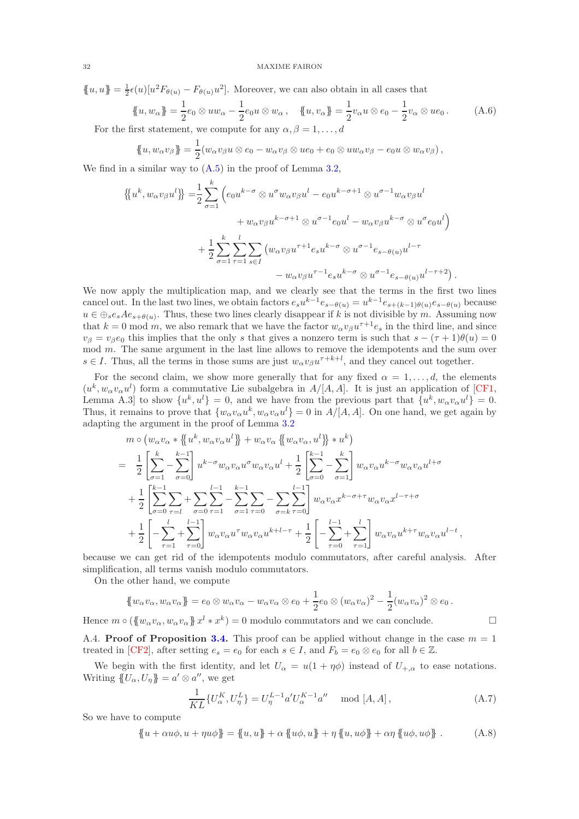$\{u, u\} = \frac{1}{2}\epsilon(u)[u^2F_{\theta(u)} - F_{\theta(u)}u^2]$ . Moreover, we can also obtain in all cases that

<span id="page-31-3"></span>
$$
\{u, w_{\alpha}\} = \frac{1}{2}e_0 \otimes uw_{\alpha} - \frac{1}{2}e_0u \otimes w_{\alpha}, \quad \{u, v_{\alpha}\} = \frac{1}{2}v_{\alpha}u \otimes e_0 - \frac{1}{2}v_{\alpha} \otimes ue_0.
$$
 (A.6)

For the first statement, we compute for any  $\alpha, \beta = 1, \ldots, d$ 

$$
\{u, w_{\alpha}v_{\beta}\} = \frac{1}{2}(w_{\alpha}v_{\beta}u \otimes e_0 - w_{\alpha}v_{\beta} \otimes ue_0 + e_0 \otimes uw_{\alpha}v_{\beta} - e_0u \otimes w_{\alpha}v_{\beta}),
$$

We find in a similar way to  $(A.5)$  in the proof of Lemma [3.2,](#page-10-5)

$$
\{\!\!\{u^k, w_\alpha v_\beta u^l\}\!\!\} = \frac{1}{2} \sum_{\sigma=1}^k \left(e_0 u^{k-\sigma} \otimes u^\sigma w_\alpha v_\beta u^l - e_0 u^{k-\sigma+1} \otimes u^{\sigma-1} w_\alpha v_\beta u^l + w_\alpha v_\beta u^{k-\sigma+1} \otimes u^{\sigma-1} e_0 u^l - w_\alpha v_\beta u^{k-\sigma} \otimes u^\sigma e_0 u^l\right) + \frac{1}{2} \sum_{\sigma=1}^k \sum_{\tau=1}^l \sum_{s \in I} \left(w_\alpha v_\beta u^{\tau+1} e_s u^{k-\sigma} \otimes u^{\sigma-1} e_{s-\theta(u)} u^{l-\tau} - w_\alpha v_\beta u^{\tau-1} e_s u^{k-\sigma} \otimes u^{\sigma-1} e_{s-\theta(u)} u^{l-\tau+2}\right).
$$

We now apply the multiplication map, and we clearly see that the terms in the first two lines cancel out. In the last two lines, we obtain factors  $e_s u^{k-1} e_{s-\theta(u)} = u^{k-1} e_{s+(k-1)\theta(u)} e_{s-\theta(u)}$  because  $u \in \bigoplus_{s}e_{s}Ae_{s+\theta(u)}$ . Thus, these two lines clearly disappear if k is not divisible by m. Assuming now that  $k = 0$  mod m, we also remark that we have the factor  $w_{\alpha}v_{\beta}u^{\tau+1}e_s$  in the third line, and since  $v_\beta = v_\beta e_0$  this implies that the only s that gives a nonzero term is such that  $s - (\tau + 1)\theta(u) = 0$ mod m. The same argument in the last line allows to remove the idempotents and the sum over  $s \in I$ . Thus, all the terms in those sums are just  $w_{\alpha}v_{\beta}u^{\tau+k+l}$ , and they cancel out together.

For the second claim, we show more generally that for any fixed  $\alpha = 1, \ldots, d$ , the elements  $(u^k, w_\alpha v_\alpha u^l)$  form a commutative Lie subalgebra in  $A/[A, A]$ . It is just an application of [\[CF1,](#page-38-0) Lemma A.3 to show  $\{u^k, u^l\} = 0$ , and we have from the previous part that  $\{u^k, w_\alpha v_\alpha u^l\} = 0$ . Thus, it remains to prove that  $\{w_{\alpha}v_{\alpha}u^k, w_{\alpha}v_{\alpha}u^l\}=0$  in  $A/[A, A]$ . On one hand, we get again by adapting the argument in the proof of Lemma [3.2](#page-10-5)

$$
m \circ (w_{\alpha}v_{\alpha} * \{u^{k}, w_{\alpha}v_{\alpha}u^{l}\} + w_{\alpha}v_{\alpha} \{w_{\alpha}v_{\alpha}, u^{l}\} * u^{k})
$$
\n
$$
= \frac{1}{2} \left[ \sum_{\sigma=1}^{k} - \sum_{\sigma=0}^{k-1} \right] u^{k-\sigma} w_{\alpha}v_{\alpha}u^{\sigma} w_{\alpha}v_{\alpha}u^{l} + \frac{1}{2} \left[ \sum_{\sigma=0}^{k-1} - \sum_{\sigma=1}^{k} \right] w_{\alpha}v_{\alpha}u^{k-\sigma} w_{\alpha}v_{\alpha}u^{l+\sigma}
$$
\n
$$
+ \frac{1}{2} \left[ \sum_{\sigma=0}^{k-1} \sum_{\tau=l}^{k-1} + \sum_{\sigma=0}^{k-1} \sum_{\tau=1}^{k-1} - \sum_{\sigma=1}^{k-1} \sum_{\tau=0}^{k-1} - \sum_{\sigma=k}^{k-1} \sum_{\tau=0}^{k-1} w_{\alpha}v_{\alpha}x^{k-\sigma+\tau} w_{\alpha}v_{\alpha}x^{l-\tau+\sigma}
$$
\n
$$
+ \frac{1}{2} \left[ - \sum_{\tau=1}^{l} + \sum_{\tau=0}^{l-1} \right] w_{\alpha}v_{\alpha}u^{\tau} w_{\alpha}v_{\alpha}u^{k+l-\tau} + \frac{1}{2} \left[ - \sum_{\tau=0}^{l-1} + \sum_{\tau=1}^{l} \right] w_{\alpha}v_{\alpha}u^{k+\tau} w_{\alpha}v_{\alpha}u^{l-\tau},
$$

because we can get rid of the idempotents modulo commutators, after careful analysis. After simplification, all terms vanish modulo commutators.

On the other hand, we compute

$$
\{w_{\alpha}v_{\alpha}, w_{\alpha}v_{\alpha}\}=e_0\otimes w_{\alpha}v_{\alpha}-w_{\alpha}v_{\alpha}\otimes e_0+\frac{1}{2}e_0\otimes (w_{\alpha}v_{\alpha})^2-\frac{1}{2}(w_{\alpha}v_{\alpha})^2\otimes e_0.
$$

Hence  $m \circ (\lbrace w_{\alpha}v_{\alpha}, w_{\alpha}v_{\alpha} \rbrace x^{l} * x^{k}) = 0$  modulo commutators and we can conclude.

<span id="page-31-0"></span>A.4. Proof of Proposition [3.4.](#page-11-1) This proof can be applied without change in the case  $m = 1$ treated in [\[CF2\]](#page-38-11), after setting  $e_s = e_0$  for each  $s \in I$ , and  $F_b = e_0 \otimes e_0$  for all  $b \in \mathbb{Z}$ .

We begin with the first identity, and let  $U_{\alpha} = u(1 + \eta \phi)$  instead of  $U_{+,\alpha}$  to ease notations. Writing  $\{U_{\alpha}, U_{\eta}\}=a' \otimes a''$ , we get

<span id="page-31-2"></span>
$$
\frac{1}{KL} \{ U_{\alpha}^{K}, U_{\eta}^{L} \} = U_{\eta}^{L-1} a' U_{\alpha}^{K-1} a'' \mod [A, A], \tag{A.7}
$$

So we have to compute

<span id="page-31-1"></span>
$$
\{u + \alpha u\phi, u + \eta u\phi\} = \{u, u\} + \alpha \{u\phi, u\} + \eta \{u, u\phi\} + \alpha \eta \{u\phi, u\phi\}.
$$
 (A.8)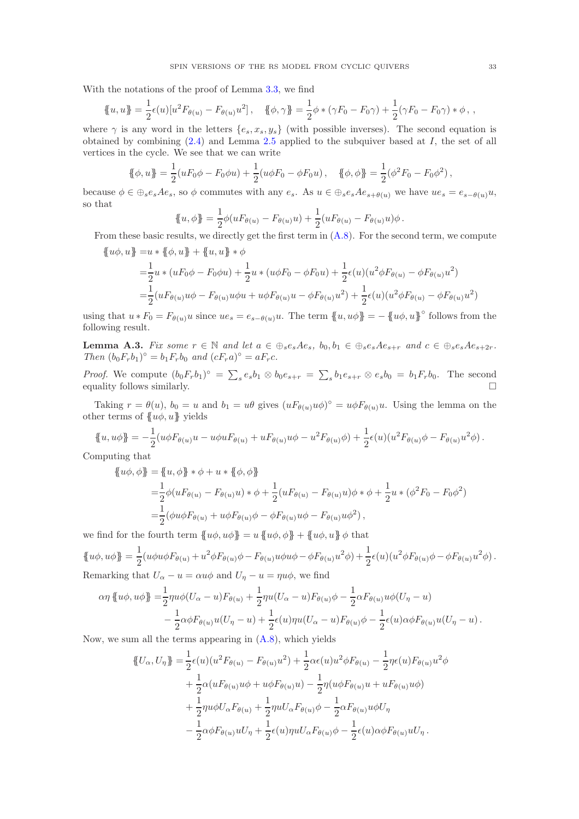With the notations of the proof of Lemma [3.3,](#page-10-3) we find

$$
\{\!\!\{\,u,u\,\}\!\!\} = \frac{1}{2}\epsilon(u)[u^2F_{\theta(u)} - F_{\theta(u)}u^2], \quad \{\!\!\{\,\phi,\gamma\}\!\!\} = \frac{1}{2}\phi * (\gamma F_0 - F_0\gamma) + \frac{1}{2}(\gamma F_0 - F_0\gamma) * \phi\,,
$$

where  $\gamma$  is any word in the letters  $\{e_s, x_s, y_s\}$  (with possible inverses). The second equation is obtained by combining  $(2.4)$  and Lemma [2.5](#page-5-5) applied to the subquiver based at I, the set of all vertices in the cycle. We see that we can write

$$
\{\!\!\{\phi, u\}\!\!\} = \frac{1}{2}(uF_0\phi - F_0\phi u) + \frac{1}{2}(u\phi F_0 - \phi F_0 u), \quad \{\!\!\{\phi, \phi\}\!\!\} = \frac{1}{2}(\phi^2 F_0 - F_0\phi^2),
$$

because  $\phi \in \bigoplus_{s \in s} A e_s$ , so  $\phi$  commutes with any  $e_s$ . As  $u \in \bigoplus_{s \in s} A e_{s+\theta(u)}$  we have  $u e_s = e_{s-\theta(u)} u$ , so that

$$
\{u, \phi\} = \frac{1}{2}\phi(uF_{\theta(u)} - F_{\theta(u)}u) + \frac{1}{2}(uF_{\theta(u)} - F_{\theta(u)}u)\phi.
$$

From these basic results, we directly get the first term in [\(A.8\)](#page-31-1). For the second term, we compute  ${ \lbrace u\phi, u \rbrace = u * \lbrace \phi, u \rbrace + \lbrace u, u \rbrace * \phi }$ 

$$
\begin{split} \n\mathcal{L}_{\theta} &= \frac{1}{2} u \ast (uF_0\phi - F_0\phi u) + \frac{1}{2} u \ast (u\phi F_0 - \phi F_0 u) + \frac{1}{2} \epsilon(u) (u^2 \phi F_{\theta(u)} - \phi F_{\theta(u)} u^2) \\ \n&= \frac{1}{2} (uF_{\theta(u)}u\phi - F_{\theta(u)}u\phi u + u\phi F_{\theta(u)}u - \phi F_{\theta(u)} u^2) + \frac{1}{2} \epsilon(u) (u^2 \phi F_{\theta(u)} - \phi F_{\theta(u)} u^2) \n\end{split}
$$

using that  $u * F_0 = F_{\theta(u)} u$  since  $u e_s = e_{s-\theta(u)} u$ . The term  $\{u, u\phi\} = -\{u\phi, u\}$ ° follows from the following result.

**Lemma A.3.** Fix some  $r \in \mathbb{N}$  and let  $a \in \bigoplus_{s \in s} Ae_s$ ,  $b_0, b_1 \in \bigoplus_{s \in s} Ae_{s+r}$  and  $c \in \bigoplus_{s \in s} Ae_{s+2r}$ . Then  $(b_0F_r b_1)^\circ = b_1F_r b_0$  and  $(cF_ra)^\circ = aF_r c$ .

*Proof.* We compute  $(b_0F_r b_1)^\circ = \sum_s e_s b_1 \otimes b_0 e_{s+r} = \sum_s b_1 e_{s+r} \otimes e_s b_0 = b_1 F_r b_0$ . The second equality follows similarly.  $\Box$ 

Taking  $r = \theta(u)$ ,  $b_0 = u$  and  $b_1 = u\theta$  gives  $(uF_{\theta(u)}u\phi)^{\circ} = u\phi F_{\theta(u)}u$ . Using the lemma on the other terms of  ${u\phi, u}$  yields

$$
\{u, u\phi\} = -\frac{1}{2}(u\phi F_{\theta(u)}u - u\phi u F_{\theta(u)} + uF_{\theta(u)}u\phi - u^2 F_{\theta(u)}\phi) + \frac{1}{2}\epsilon(u)(u^2 F_{\theta(u)}\phi - F_{\theta(u)}u^2\phi).
$$

Computing that

$$
\begin{aligned} \n\{\!u\phi,\phi\!\} &= \{\!\!\{u,\phi\}\!\!\} * \phi + u * \{\!\!\{ \phi,\phi\}\!\!\} \\ \n&= \frac{1}{2}\phi(uF_{\theta(u)} - F_{\theta(u)}u) * \phi + \frac{1}{2}(uF_{\theta(u)} - F_{\theta(u)}u)\phi * \phi + \frac{1}{2}u * (\phi^2 F_0 - F_0\phi^2) \\ \n&= \frac{1}{2}(\phi u\phi F_{\theta(u)} + u\phi F_{\theta(u)}\phi - \phi F_{\theta(u)}u\phi - F_{\theta(u)}u\phi^2) \,, \n\end{aligned}
$$

we find for the fourth term  ${u\phi, u\phi} = u {u\phi, \phi} + {u\phi, u\phi} \phi$  that

$$
\{\!\!\{u\phi, u\phi\}\!\!\} = \frac{1}{2} (u\phi u\phi F_{\theta(u)} + u^2\phi F_{\theta(u)}\phi - F_{\theta(u)}u\phi u\phi - \phi F_{\theta(u)}u^2\phi) + \frac{1}{2}\epsilon(u)(u^2\phi F_{\theta(u)}\phi - \phi F_{\theta(u)}u^2\phi).
$$
\nRemarking that  $U_\alpha - u = \alpha u\phi$  and  $U_\eta - u = \eta u\phi$ , we find

$$
\alpha \eta \{ u\phi, u\phi \} = \frac{1}{2} \eta u\phi (U_{\alpha} - u) F_{\theta(u)} + \frac{1}{2} \eta u (U_{\alpha} - u) F_{\theta(u)} \phi - \frac{1}{2} \alpha F_{\theta(u)} u\phi (U_{\eta} - u) - \frac{1}{2} \alpha \phi F_{\theta(u)} u (U_{\eta} - u) + \frac{1}{2} \epsilon(u) \eta u (U_{\alpha} - u) F_{\theta(u)} \phi - \frac{1}{2} \epsilon(u) \alpha \phi F_{\theta(u)} u (U_{\eta} - u) .
$$

Now, we sum all the terms appearing in [\(A.8\)](#page-31-1), which yields

$$
\begin{split} \{\!\!\{U_{\alpha},U_{\eta}\}\!\!\} &= \frac{1}{2}\epsilon(u)(u^2F_{\theta(u)}-F_{\theta(u)}u^2) + \frac{1}{2}\alpha\epsilon(u)u^2\phi F_{\theta(u)} - \frac{1}{2}\eta\epsilon(u)F_{\theta(u)}u^2\phi \\ &+ \frac{1}{2}\alpha(uF_{\theta(u)}u\phi + u\phi F_{\theta(u)}u) - \frac{1}{2}\eta(u\phi F_{\theta(u)}u + uF_{\theta(u)}u\phi) \\ &+ \frac{1}{2}\eta u\phi U_{\alpha}F_{\theta(u)} + \frac{1}{2}\eta uU_{\alpha}F_{\theta(u)}\phi - \frac{1}{2}\alpha F_{\theta(u)}u\phi U_{\eta} \\ &- \frac{1}{2}\alpha\phi F_{\theta(u)}uU_{\eta} + \frac{1}{2}\epsilon(u)\eta uU_{\alpha}F_{\theta(u)}\phi - \frac{1}{2}\epsilon(u)\alpha\phi F_{\theta(u)}uU_{\eta} \,. \end{split}
$$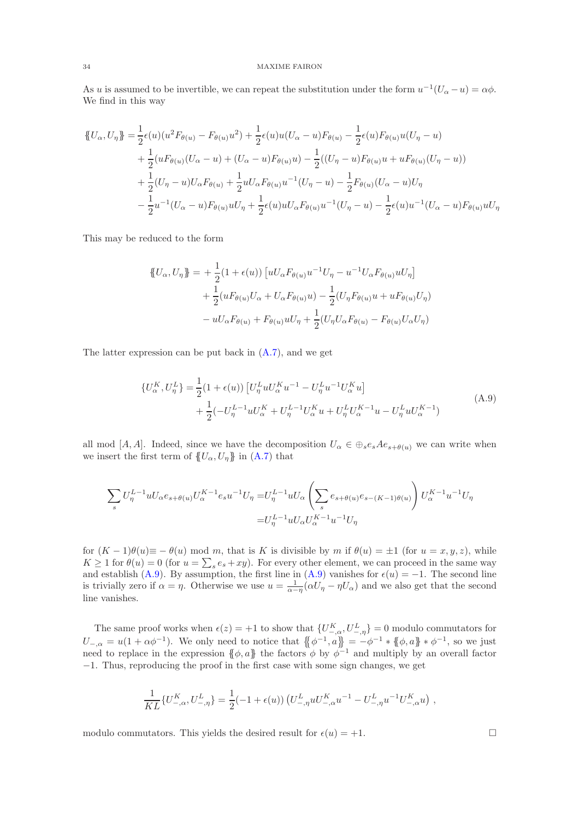As u is assumed to be invertible, we can repeat the substitution under the form  $u^{-1}(U_{\alpha}-u) = \alpha \phi$ . We find in this way

$$
\begin{split} \left\{ U_{\alpha}, U_{\eta} \right\} &= \frac{1}{2} \epsilon(u) (u^{2} F_{\theta(u)} - F_{\theta(u)} u^{2}) + \frac{1}{2} \epsilon(u) u (U_{\alpha} - u) F_{\theta(u)} - \frac{1}{2} \epsilon(u) F_{\theta(u)} u (U_{\eta} - u) \\ &+ \frac{1}{2} (u F_{\theta(u)} (U_{\alpha} - u) + (U_{\alpha} - u) F_{\theta(u)} u) - \frac{1}{2} ((U_{\eta} - u) F_{\theta(u)} u + u F_{\theta(u)} (U_{\eta} - u)) \\ &+ \frac{1}{2} (U_{\eta} - u) U_{\alpha} F_{\theta(u)} + \frac{1}{2} u U_{\alpha} F_{\theta(u)} u^{-1} (U_{\eta} - u) - \frac{1}{2} F_{\theta(u)} (U_{\alpha} - u) U_{\eta} \\ &- \frac{1}{2} u^{-1} (U_{\alpha} - u) F_{\theta(u)} u U_{\eta} + \frac{1}{2} \epsilon(u) u U_{\alpha} F_{\theta(u)} u^{-1} (U_{\eta} - u) - \frac{1}{2} \epsilon(u) u^{-1} (U_{\alpha} - u) F_{\theta(u)} u U_{\eta} \end{split}
$$

This may be reduced to the form

$$
\begin{aligned} \{\!\!\{U_{\alpha}, U_{\eta}\}\!\!\} &= +\frac{1}{2} (1 + \epsilon(u)) \left[ u U_{\alpha} F_{\theta(u)} u^{-1} U_{\eta} - u^{-1} U_{\alpha} F_{\theta(u)} u U_{\eta} \right] \\ &+ \frac{1}{2} (u F_{\theta(u)} U_{\alpha} + U_{\alpha} F_{\theta(u)} u) - \frac{1}{2} (U_{\eta} F_{\theta(u)} u + u F_{\theta(u)} U_{\eta}) \\ &- u U_{\alpha} F_{\theta(u)} + F_{\theta(u)} u U_{\eta} + \frac{1}{2} (U_{\eta} U_{\alpha} F_{\theta(u)} - F_{\theta(u)} U_{\alpha} U_{\eta}) \end{aligned}
$$

The latter expression can be put back in [\(A.7\)](#page-31-2), and we get

<span id="page-33-0"></span>
$$
\{U_{\alpha}^{K}, U_{\eta}^{L}\} = \frac{1}{2} (1 + \epsilon(u)) \left[ U_{\eta}^{L} u U_{\alpha}^{K} u^{-1} - U_{\eta}^{L} u^{-1} U_{\alpha}^{K} u \right] + \frac{1}{2} (-U_{\eta}^{L-1} u U_{\alpha}^{K} + U_{\eta}^{L-1} U_{\alpha}^{K} u + U_{\eta}^{L} U_{\alpha}^{K-1} u - U_{\eta}^{L} u U_{\alpha}^{K-1})
$$
\n(A.9)

all mod [A, A]. Indeed, since we have the decomposition  $U_{\alpha} \in \bigoplus_{s \in s} A e_{s+\theta(u)}$  we can write when we insert the first term of  ${U_\alpha, U_\eta\}$  in [\(A.7\)](#page-31-2) that

$$
\sum_{s} U_{\eta}^{L-1} u U_{\alpha} e_{s+\theta(u)} U_{\alpha}^{K-1} e_s u^{-1} U_{\eta} = U_{\eta}^{L-1} u U_{\alpha} \left( \sum_{s} e_{s+\theta(u)} e_{s-(K-1)\theta(u)} \right) U_{\alpha}^{K-1} u^{-1} U_{\eta}
$$

$$
= U_{\eta}^{L-1} u U_{\alpha} U_{\alpha}^{K-1} u^{-1} U_{\eta}
$$

for  $(K-1)\theta(u) \equiv -\theta(u) \mod m$ , that is K is divisible by m if  $\theta(u) = \pm 1$  (for  $u = x, y, z$ ), while  $K \geq 1$  for  $\theta(u) = 0$  (for  $u = \sum_s e_s + xy$ ). For every other element, we can proceed in the same way and establish [\(A.9\)](#page-33-0). By assumption, the first line in (A.9) vanishes for  $\epsilon(u) = -1$ . The second line is trivially zero if  $\alpha = \eta$ . Otherwise we use  $u = \frac{1}{\alpha - \eta} (\alpha U_{\eta} - \eta U_{\alpha})$  and we also get that the second line vanishes.

The same proof works when  $\epsilon(z) = +1$  to show that  $\{U_{-, \alpha}^K, U_{-, \eta}^L\} = 0$  modulo commutators for  $U_{-,\alpha} = u(1 + \alpha \phi^{-1})$ . We only need to notice that  $\{\!\{\phi^{-1}, a\}\!\} = -\phi^{-1} * \{\!\{\phi, a\}\!\} * \phi^{-1}$ , so we just need to replace in the expression  $\{\phi, a\}$  the factors  $\phi$  by  $\phi^{-1}$  and multiply by an overall factor −1. Thus, reproducing the proof in the first case with some sign changes, we get

$$
\frac{1}{KL} \{ U_{-,\alpha}^K, U_{-,\eta}^L \} = \frac{1}{2} (-1 + \epsilon(u)) \left( U_{-,\eta}^L u U_{-,\alpha}^K u^{-1} - U_{-,\eta}^L u^{-1} U_{-,\alpha}^K u \right) ,
$$

modulo commutators. This yields the desired result for  $\epsilon(u) = +1$ .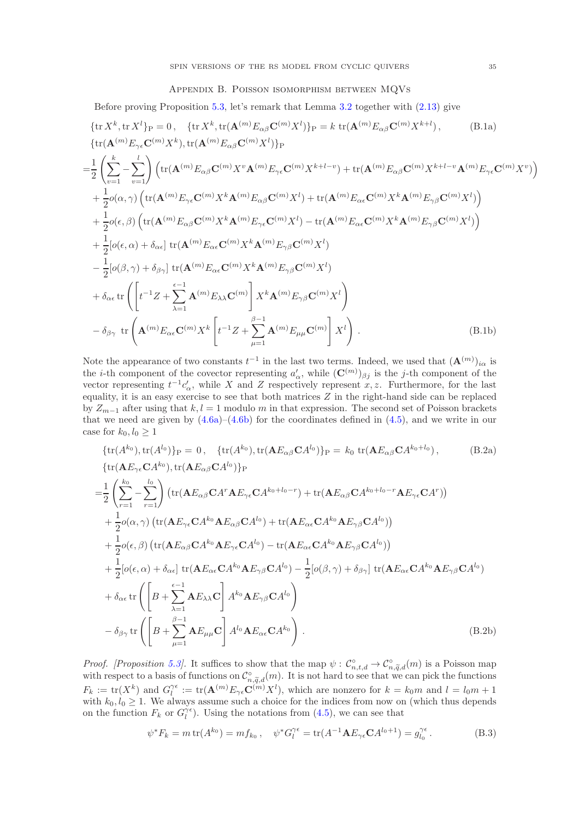## Appendix B. Poisson isomorphism between MQVs

<span id="page-34-0"></span>Before proving Proposition [5.3,](#page-14-4) let's remark that Lemma [3.2](#page-10-5) together with [\(2.13\)](#page-7-3) give

$$
\{tr X^{k}, tr X^{l}\}_{P} = 0, \{tr X^{k}, tr(\mathbf{A}^{(m)}E_{\alpha\beta}\mathbf{C}^{(m)}X^{l})\}_{P} = k \operatorname{tr}(\mathbf{A}^{(m)}E_{\alpha\beta}\mathbf{C}^{(m)}X^{k+l}), \qquad (B.1a)
$$
  
\n
$$
\{tr(\mathbf{A}^{(m)}E_{\gamma\epsilon}\mathbf{C}^{(m)}X^{k}), tr(\mathbf{A}^{(m)}E_{\alpha\beta}\mathbf{C}^{(m)}X^{l})\}_{P}
$$
  
\n
$$
= \frac{1}{2} \left(\sum_{v=1}^{k} - \sum_{v=1}^{l} \right) \left(tr(\mathbf{A}^{(m)}E_{\alpha\beta}\mathbf{C}^{(m)}X^{v}\mathbf{A}^{(m)}E_{\gamma\epsilon}\mathbf{C}^{(m)}X^{k+l-v}) + tr(\mathbf{A}^{(m)}E_{\alpha\beta}\mathbf{C}^{(m)}X^{k+l-v}\mathbf{A}^{(m)}E_{\gamma\epsilon}\mathbf{C}^{(m)}X^{v})\right)
$$
  
\n
$$
+ \frac{1}{2}o(\alpha, \gamma) \left(tr(\mathbf{A}^{(m)}E_{\gamma\epsilon}\mathbf{C}^{(m)}X^{k}\mathbf{A}^{(m)}E_{\alpha\beta}\mathbf{C}^{(m)}X^{l}) + tr(\mathbf{A}^{(m)}E_{\alpha\epsilon}\mathbf{C}^{(m)}X^{k}\mathbf{A}^{(m)}E_{\gamma\beta}\mathbf{C}^{(m)}X^{l})\right)
$$
  
\n
$$
+ \frac{1}{2}o(\epsilon, \beta) \left(tr(\mathbf{A}^{(m)}E_{\alpha\beta}\mathbf{C}^{(m)}X^{k}\mathbf{A}^{(m)}E_{\gamma\epsilon}\mathbf{C}^{(m)}X^{l}) - tr(\mathbf{A}^{(m)}E_{\alpha\epsilon}\mathbf{C}^{(m)}X^{k}\mathbf{A}^{(m)}E_{\gamma\beta}\mathbf{C}^{(m)}X^{l})\right)
$$
  
\n
$$
+ \frac{1}{2}[o(\epsilon, \alpha) + \delta_{\alpha\epsilon}] tr(\mathbf{A}^{(m)}E_{\alpha\epsilon}\mathbf{C}^{(m)}X^{k}\mathbf{A}^{(m)}E_{\gamma\beta}\mathbf{C}^{(m)}X^{l
$$

Note the appearance of two constants  $t^{-1}$  in the last two terms. Indeed, we used that  $(\mathbf{A}^{(m)})_{i\alpha}$  is the *i*-th component of the covector representing  $a'_\n\alpha$ , while  $(\mathbf{C}^{(m)})_{\beta j}$  is the *j*-th component of the vector representing  $t^{-1}c'_\alpha$ , while X and Z respectively represent x, z. Furthermore, for the last equality, it is an easy exercise to see that both matrices  $Z$  in the right-hand side can be replaced by  $Z_{m-1}$  after using that  $k, l = 1$  modulo m in that expression. The second set of Poisson brackets that we need are given by  $(4.6a)$ – $(4.6b)$  for the coordinates defined in  $(4.5)$ , and we write in our case for  $k_0, l_0 \geq 1$ 

$$
\{tr(A^{k_0}), tr(A^{l_0})\}_P = 0, \quad \{tr(A^{k_0}), tr(\mathbf{A}E_{\alpha\beta}\mathbf{C}A^{l_0})\}_P = k_0 \text{ tr}(\mathbf{A}E_{\alpha\beta}\mathbf{C}A^{k_0+l_0}), \qquad (B.2a)
$$
\n
$$
\{tr(\mathbf{A}E_{\gamma\epsilon}\mathbf{C}A^{k_0}), tr(\mathbf{A}E_{\alpha\beta}\mathbf{C}A^{l_0})\}_P
$$
\n
$$
= \frac{1}{2} \left( \sum_{r=1}^{k_0} - \sum_{r=1}^{l_0} \right) \left( tr(\mathbf{A}E_{\alpha\beta}\mathbf{C}A^r\mathbf{A}E_{\gamma\epsilon}\mathbf{C}A^{k_0+l_0-r}) + tr(\mathbf{A}E_{\alpha\beta}\mathbf{C}A^{k_0+l_0-r}\mathbf{A}E_{\gamma\epsilon}\mathbf{C}A^r) \right)
$$
\n
$$
+ \frac{1}{2} o(\alpha, \gamma) \left( tr(\mathbf{A}E_{\gamma\epsilon}\mathbf{C}A^{k_0}\mathbf{A}E_{\alpha\beta}\mathbf{C}A^{l_0}) + tr(\mathbf{A}E_{\alpha\epsilon}\mathbf{C}A^{k_0}\mathbf{A}E_{\gamma\beta}\mathbf{C}A^{l_0}) \right)
$$
\n
$$
+ \frac{1}{2} o(\epsilon, \beta) \left( tr(\mathbf{A}E_{\alpha\beta}\mathbf{C}A^{k_0}\mathbf{A}E_{\gamma\epsilon}\mathbf{C}A^{l_0}) - tr(\mathbf{A}E_{\alpha\epsilon}\mathbf{C}A^{k_0}\mathbf{A}E_{\gamma\beta}\mathbf{C}A^{l_0}) \right)
$$
\n
$$
+ \frac{1}{2} [o(\epsilon, \alpha) + \delta_{\alpha\epsilon}] tr(\mathbf{A}E_{\alpha\epsilon}\mathbf{C}A^{k_0}\mathbf{A}E_{\gamma\beta}\mathbf{C}A^{l_0}) - \frac{1}{2} [o(\beta, \gamma) + \delta_{\beta\gamma}] tr(\mathbf{A}E_{\alpha\epsilon}\mathbf{C}A^{k_0}\mathbf{A}E_{\gamma\beta}\mathbf{C}A^{l_0})
$$
\n
$$
+ \delta_{\alpha\epsilon} tr \left( \left
$$

*Proof.* [Proposition [5.3\]](#page-14-4). It suffices to show that the map  $\psi$ :  $\mathcal{C}_{n,t,d}^{\circ} \to \mathcal{C}_{n,\widetilde{q},d}^{\circ}(m)$  is a Poisson map with respect to a basis of functions on  $\mathcal{C}_{n,\widetilde{q},d}^{\circ}(m)$ . It is not hard to see that we can pick the functions  $F_k := \text{tr}(X^k)$  and  $G_l^{\gamma \epsilon} := \text{tr}(\mathbf{A}^{(m)} E_{\gamma \epsilon} \mathbf{C}^{(m)} X^l)$ , which are nonzero for  $k = k_0 m$  and  $l = l_0 m + 1$ with  $k_0, l_0 \geq 1$ . We always assume such a choice for the indices from now on (which thus depends on the function  $F_k$  or  $G_l^{\gamma \epsilon}$ ). Using the notations from [\(4.5\)](#page-11-4), we can see that

$$
\psi^* F_k = m \operatorname{tr}(A^{k_0}) = m f_{k_0}, \quad \psi^* G_l^{\gamma \epsilon} = \operatorname{tr}(A^{-1} \mathbf{A} E_{\gamma \epsilon} \mathbf{C} A^{l_0+1}) = g_{l_0}^{\gamma \epsilon}.
$$
 (B.3)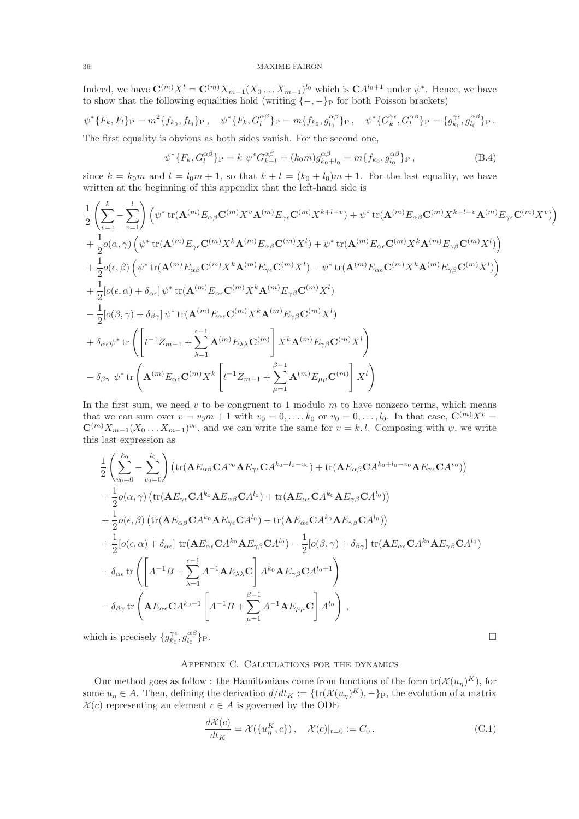Indeed, we have  $\mathbf{C}^{(m)}X^{l} = \mathbf{C}^{(m)}X_{m-1}(X_0...X_{m-1})^{l_0}$  which is  $\mathbf{C}A^{l_0+1}$  under  $\psi^*$ . Hence, we have to show that the following equalities hold (writing  $\{-,-\}_P$  for both Poisson brackets)

$$
\psi^*\{F_k, F_l\}_P = m^2\{f_{k_0}, f_{l_0}\}_P, \quad \psi^*\{F_k, G_l^{\alpha\beta}\}_P = m\{f_{k_0}, g_{l_0}^{\alpha\beta}\}_P, \quad \psi^*\{G_k^{\gamma\epsilon}, G_l^{\alpha\beta}\}_P = \{g_{k_0}^{\gamma\epsilon}, g_{l_0}^{\alpha\beta}\}_P.
$$

The first equality is obvious as both sides vanish. For the second one,

$$
\psi^* \{ F_k, G_l^{\alpha \beta} \} _P = k \ \psi^* G_{k+l}^{\alpha \beta} = (k_0 m) g_{k_0 + l_0}^{\alpha \beta} = m \{ f_{k_0}, g_{l_0}^{\alpha \beta} \} _P \,, \tag{B.4}
$$

since  $k = k_0m$  and  $l = l_0m + 1$ , so that  $k + l = (k_0 + l_0)m + 1$ . For the last equality, we have written at the beginning of this appendix that the left-hand side is

$$
\begin{aligned} &\frac{1}{2}\left(\sum_{v=1}^{k}-\sum_{v=1}^{l}\right)\left(\psi^{*}\operatorname{tr}(\mathbf{A}^{(m)}E_{\alpha\beta}\mathbf{C}^{(m)}X^{v}\mathbf{A}^{(m)}E_{\gamma\epsilon}\mathbf{C}^{(m)}X^{k+l-v})+\psi^{*}\operatorname{tr}(\mathbf{A}^{(m)}E_{\alpha\beta}\mathbf{C}^{(m)}X^{k+l-v}\mathbf{A}^{(m)}E_{\gamma\epsilon}\mathbf{C}^{(m)}X^{v})\right)\\ &+\frac{1}{2}o(\alpha,\gamma)\left(\psi^{*}\operatorname{tr}(\mathbf{A}^{(m)}E_{\gamma\epsilon}\mathbf{C}^{(m)}X^{k}\mathbf{A}^{(m)}E_{\alpha\beta}\mathbf{C}^{(m)}X^{l})+\psi^{*}\operatorname{tr}(\mathbf{A}^{(m)}E_{\alpha\epsilon}\mathbf{C}^{(m)}X^{k}\mathbf{A}^{(m)}E_{\gamma\beta}\mathbf{C}^{(m)}X^{l})\right)\\ &+\frac{1}{2}o(\epsilon,\beta)\left(\psi^{*}\operatorname{tr}(\mathbf{A}^{(m)}E_{\alpha\beta}\mathbf{C}^{(m)}X^{k}\mathbf{A}^{(m)}E_{\gamma\epsilon}\mathbf{C}^{(m)}X^{l})-\psi^{*}\operatorname{tr}(\mathbf{A}^{(m)}E_{\alpha\epsilon}\mathbf{C}^{(m)}X^{k}\mathbf{A}^{(m)}E_{\gamma\beta}\mathbf{C}^{(m)}X^{l})\right)\\ &+\frac{1}{2}[o(\epsilon,\alpha)+\delta_{\alpha\epsilon}]\psi^{*}\operatorname{tr}(\mathbf{A}^{(m)}E_{\alpha\epsilon}\mathbf{C}^{(m)}X^{k}\mathbf{A}^{(m)}E_{\gamma\beta}\mathbf{C}^{(m)}X^{l})\\ &-\frac{1}{2}[o(\beta,\gamma)+\delta_{\beta\gamma}]\psi^{*}\operatorname{tr}(\mathbf{A}^{(m)}E_{\alpha\epsilon}\mathbf{C}^{(m)}X^{k}\mathbf{A}^{(m)}E_{\gamma\beta}\mathbf{C}^{(m)}X^{l})\\ &+\delta_{\alpha\epsilon}\psi^{*}\operatorname{tr}\left(\left[t^{-1}Z_{m-1}+\sum_{\lambda=1}^{\epsilon-1}\mathbf{A}^{(m)}E_{\lambda\lambda}\mathbf{C}^{(m)}\right]X^{k}\mathbf
$$

In the first sum, we need  $v$  to be congruent to 1 modulo  $m$  to have nonzero terms, which means that we can sum over  $v = v_0m + 1$  with  $v_0 = 0, \ldots, k_0$  or  $v_0 = 0, \ldots, l_0$ . In that case,  $\mathbb{C}^{(m)}X^v =$  $\mathbb{C}^{(m)}X_{m-1}(X_0 \ldots X_{m-1})^{v_0}$ , and we can write the same for  $v = k, l$ . Composing with  $\psi$ , we write this last expression as

$$
\frac{1}{2}\left(\sum_{v_0=0}^{k_0}-\sum_{v_0=0}^{l_0}\right)\left(\text{tr}(\mathbf{A}E_{\alpha\beta}\mathbf{C}A^{v_0}\mathbf{A}E_{\gamma\epsilon}\mathbf{C}A^{k_0+l_0-v_0})+\text{tr}(\mathbf{A}E_{\alpha\beta}\mathbf{C}A^{k_0+l_0-v_0}\mathbf{A}E_{\gamma\epsilon}\mathbf{C}A^{v_0})\right)
$$
\n
$$
+\frac{1}{2}o(\alpha,\gamma)\left(\text{tr}(\mathbf{A}E_{\gamma\epsilon}\mathbf{C}A^{k_0}\mathbf{A}E_{\alpha\beta}\mathbf{C}A^{l_0})+\text{tr}(\mathbf{A}E_{\alpha\epsilon}\mathbf{C}A^{k_0}\mathbf{A}E_{\gamma\beta}\mathbf{C}A^{l_0})\right)
$$
\n
$$
+\frac{1}{2}o(\epsilon,\beta)\left(\text{tr}(\mathbf{A}E_{\alpha\beta}\mathbf{C}A^{k_0}\mathbf{A}E_{\gamma\epsilon}\mathbf{C}A^{l_0})-\text{tr}(\mathbf{A}E_{\alpha\epsilon}\mathbf{C}A^{k_0}\mathbf{A}E_{\gamma\beta}\mathbf{C}A^{l_0})\right)
$$
\n
$$
+\frac{1}{2}[o(\epsilon,\alpha)+\delta_{\alpha\epsilon}]\text{tr}(\mathbf{A}E_{\alpha\epsilon}\mathbf{C}A^{k_0}\mathbf{A}E_{\gamma\beta}\mathbf{C}A^{l_0})-\frac{1}{2}[o(\beta,\gamma)+\delta_{\beta\gamma}]\text{tr}(\mathbf{A}E_{\alpha\epsilon}\mathbf{C}A^{k_0}\mathbf{A}E_{\gamma\beta}\mathbf{C}A^{l_0})
$$
\n
$$
+\delta_{\alpha\epsilon}\text{tr}\left(\left[A^{-1}B+\sum_{\lambda=1}^{\epsilon-1}A^{-1}\mathbf{A}E_{\lambda\lambda}\mathbf{C}\right]A^{k_0}\mathbf{A}E_{\gamma\beta}\mathbf{C}A^{l_0+1}\right)
$$
\n
$$
-\delta_{\beta\gamma}\text{tr}\left(\mathbf{A}E_{\alpha\epsilon}\mathbf{C}A^{k_0+1}\left[A^{-1}B+\sum_{\mu=1}^{\beta-1}A^{-1}\mathbf{A}E_{\mu\mu}\mathbf{
$$

<span id="page-35-0"></span>which is precisely  $\{g_{k_0}^{\gamma \epsilon}, g_{l_0}^{\alpha \beta}\}$  $\}P$ .

# Appendix C. Calculations for the dynamics

Our method goes as follow: the Hamiltonians come from functions of the form  $tr(X(u_n)^K)$ , for some  $u_{\eta} \in A$ . Then, defining the derivation  $d/dt_K := \{ \text{tr}(\mathcal{X}(u_{\eta})^K), -\}_P$ , the evolution of a matrix  $\mathcal{X}(c)$  representing an element  $c \in A$  is governed by the ODE

<span id="page-35-1"></span>
$$
\frac{d\mathcal{X}(c)}{dt_K} = \mathcal{X}(\{u_\eta^K, c\}), \quad \mathcal{X}(c)|_{t=0} := C_0,
$$
\n(C.1)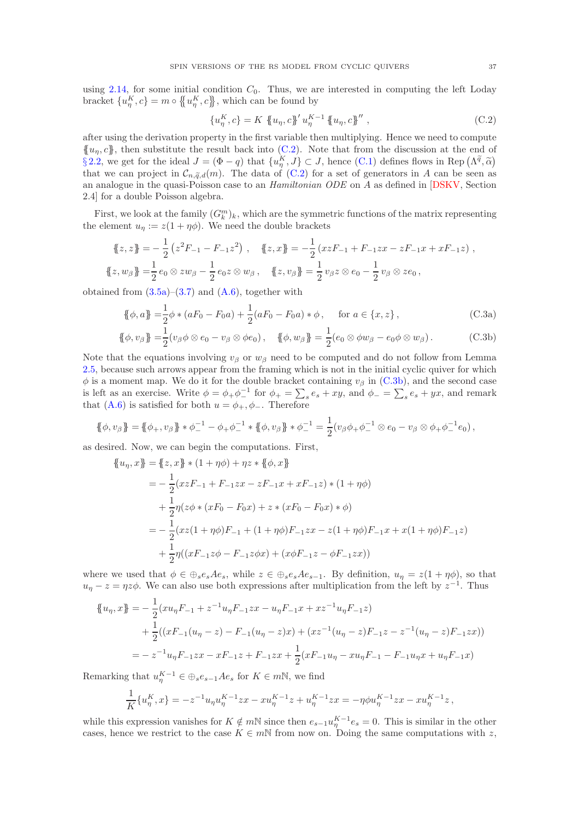using [2.14,](#page-7-5) for some initial condition  $C_0$ . Thus, we are interested in computing the left Loday bracket  $\{u_n^K, c\} = m \circ \{u_n^K, c\}$ , which can be found by

<span id="page-36-1"></span><span id="page-36-0"></span>
$$
\{u_{\eta}^{K}, c\} = K \, \{u_{\eta}, c\}^{\prime} u_{\eta}^{K-1} \{u_{\eta}, c\}^{\prime\prime} , \tag{C.2}
$$

after using the derivation property in the first variable then multiplying. Hence we need to compute  ${u_n, c}$ , then substitute the result back into [\(C.2\)](#page-36-0). Note that from the discussion at the end of § [2.2,](#page-3-3) we get for the ideal  $J = (\Phi - q)$  that  $\{u_j^K, J\} \subset J$ , hence [\(C.1\)](#page-35-1) defines flows in Rep  $(\Lambda^{\tilde{q}}, \tilde{\alpha})$ that we can project in  $\mathcal{C}_{n,\widetilde{q},d}(m)$ . The data of  $(C.2)$  for a set of generators in A can be seen as an analogue in the quasi-Poisson case to an *Hamiltonian ODE* on A as defined in [\[DSKV,](#page-38-20) Section 2.4] for a double Poisson algebra.

First, we look at the family  $(G_k^m)_k$ , which are the symmetric functions of the matrix representing the element  $u_{\eta} := z(1 + \eta \phi)$ . We need the double brackets

$$
\{z, z\} = -\frac{1}{2} (z^2 F_{-1} - F_{-1} z^2), \quad \{z, x\} = -\frac{1}{2} (xz F_{-1} + F_{-1} zx - z F_{-1} x + x F_{-1} z),
$$
  

$$
\{z, w_\beta\} = \frac{1}{2} e_0 \otimes z w_\beta - \frac{1}{2} e_0 z \otimes w_\beta, \quad \{z, v_\beta\} = \frac{1}{2} v_\beta z \otimes e_0 - \frac{1}{2} v_\beta \otimes z e_0,
$$

obtained from  $(3.5a)-(3.7)$  $(3.5a)-(3.7)$  and  $(A.6)$ , together with

$$
\{\!\!\{\phi, a\}\!\!\} = \frac{1}{2}\phi * (aF_0 - F_0a) + \frac{1}{2}(aF_0 - F_0a) * \phi, \quad \text{for } a \in \{x, z\},
$$
\n(C.3a)

$$
\{\!\!\{\phi, v_{\beta}\}\!\!\} = \frac{1}{2}(v_{\beta}\phi \otimes e_0 - v_{\beta} \otimes \phi e_0), \quad \{\!\!\{\phi, w_{\beta}\}\!\!\} = \frac{1}{2}(e_0 \otimes \phi w_{\beta} - e_0 \phi \otimes w_{\beta}).
$$
 (C.3b)

Note that the equations involving  $v_\beta$  or  $w_\beta$  need to be computed and do not follow from Lemma [2.5,](#page-5-5) because such arrows appear from the framing which is not in the initial cyclic quiver for which  $\phi$  is a moment map. We do it for the double bracket containing  $v_\beta$  in [\(C.3b\)](#page-36-1), and the second case is left as an exercise. Write  $\phi = \phi_+ \phi_-^{-1}$  for  $\phi_+ = \sum_s e_s + xy$ , and  $\phi_- = \sum_s e_s + yx$ , and remark that [\(A.6\)](#page-31-3) is satisfied for both  $u = \phi_+, \phi_-.$  Therefore

$$
\{\!\!\{\phi, v_{\beta}\}\!\!\} = \{\!\!\{\phi_+, v_{\beta}\}\!\!\} * \phi_-^{-1} - \phi_+ \phi_-^{-1} * \{\!\!\{\phi, v_{\beta}\}\!\!\} * \phi_-^{-1} = \frac{1}{2} (v_{\beta} \phi_+ \phi_-^{-1} \otimes e_0 - v_{\beta} \otimes \phi_+ \phi_-^{-1} e_0),
$$

as desired. Now, we can begin the computations. First,

$$
\begin{aligned}\n\{\!u_{\eta}, x\} &= \{\!z, x\} \ast (1 + \eta \phi) + \eta z \ast \{\!\!\{\phi, x\}\!\} \\
&= -\frac{1}{2} (xzF_{-1} + F_{-1}zx - zF_{-1}x + xF_{-1}z) \ast (1 + \eta \phi) \\
&\quad + \frac{1}{2} \eta (z\phi \ast (xF_0 - F_0x) + z \ast (xF_0 - F_0x) \ast \phi) \\
&= -\frac{1}{2} (xz(1 + \eta \phi)F_{-1} + (1 + \eta \phi)F_{-1}zx - z(1 + \eta \phi)F_{-1}x + x(1 + \eta \phi)F_{-1}z) \\
&\quad + \frac{1}{2} \eta ((xF_{-1}z\phi - F_{-1}z\phi x) + (x\phi F_{-1}z - \phi F_{-1}zx))\n\end{aligned}
$$

where we used that  $\phi \in \bigoplus_{s \in s} A e_s$ , while  $z \in \bigoplus_{s \in s} A e_{s-1}$ . By definition,  $u_{\eta} = z(1 + \eta \phi)$ , so that  $u_{\eta} - z = \eta z \phi$ . We can also use both expressions after multiplication from the left by  $z^{-1}$ . Thus

$$
\begin{aligned} \n\{\!u_{\eta}, x\} &= -\frac{1}{2} (x u_{\eta} F_{-1} + z^{-1} u_{\eta} F_{-1} z x - u_{\eta} F_{-1} x + x z^{-1} u_{\eta} F_{-1} z) \\ \n&\quad + \frac{1}{2} ((x F_{-1} (u_{\eta} - z) - F_{-1} (u_{\eta} - z) x) + (x z^{-1} (u_{\eta} - z) F_{-1} z - z^{-1} (u_{\eta} - z) F_{-1} z x)) \\ \n&= -z^{-1} u_{\eta} F_{-1} z x - x F_{-1} z + F_{-1} z x + \frac{1}{2} (x F_{-1} u_{\eta} - x u_{\eta} F_{-1} - F_{-1} u_{\eta} x + u_{\eta} F_{-1} x) \n\end{aligned}
$$

Remarking that  $u_{\eta}^{K-1} \in \bigoplus_{s} e_{s-1}Ae_{s}$  for  $K \in m\mathbb{N}$ , we find

$$
\frac{1}{K} \{ u_{\eta}^{K}, x \} = -z^{-1} u_{\eta} u_{\eta}^{K-1} z x - x u_{\eta}^{K-1} z + u_{\eta}^{K-1} z x = -\eta \phi u_{\eta}^{K-1} z x - x u_{\eta}^{K-1} z,
$$

while this expression vanishes for  $K \notin m\mathbb{N}$  since then  $e_{s-1}u_{\eta}^{K-1}e_s = 0$ . This is similar in the other cases, hence we restrict to the case  $K \in m\mathbb{N}$  from now on. Doing the same computations with z,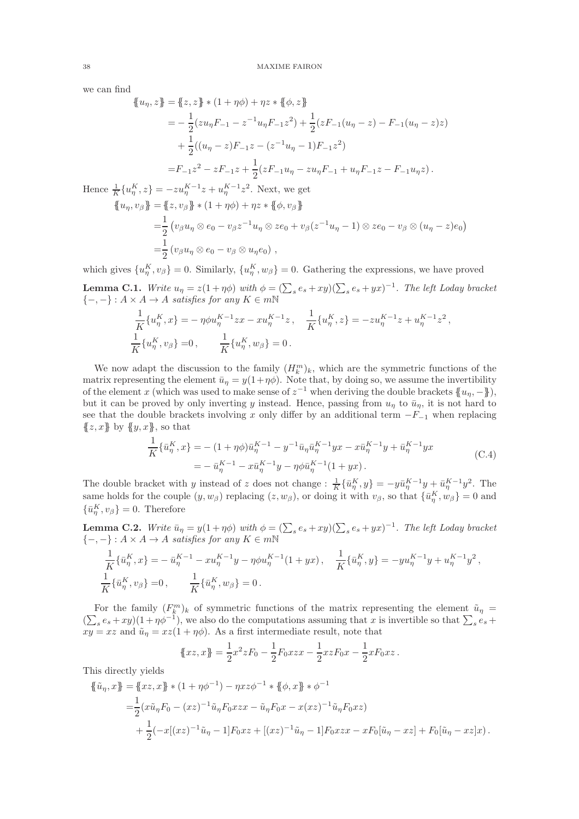we can find

$$
\begin{aligned}\n\{\!\!\{u_{\eta}, z\}\!\!\} &= \{\!\!\{z, z\}\!\!\} \ast (1 + \eta \phi) + \eta z \ast \{\!\!\{ \phi, z \}\!\!\} \\
&= -\frac{1}{2} (z u_{\eta} F_{-1} - z^{-1} u_{\eta} F_{-1} z^2) + \frac{1}{2} (z F_{-1} (u_{\eta} - z) - F_{-1} (u_{\eta} - z) z) \\
&\quad + \frac{1}{2} ((u_{\eta} - z) F_{-1} z - (z^{-1} u_{\eta} - 1) F_{-1} z^2) \\
&= F_{-1} z^2 - z F_{-1} z + \frac{1}{2} (z F_{-1} u_{\eta} - z u_{\eta} F_{-1} + u_{\eta} F_{-1} z - F_{-1} u_{\eta} z) \,.\n\end{aligned}
$$
\nHence

\n
$$
\begin{aligned}\n\{\!\!\{u_{\eta}, z\}\!\!\} &= -z u_{\eta}^{K-1} z + u_{\eta}^{K-1} z^2. \text{ Next, we get} \\
\{\!\!\{u_{\eta}, v_{\beta}\}\!\!\} &= \{\!\!\{z, v_{\beta}\}\!\!\} \ast (1 + \eta \phi) + \eta z \ast \{\!\!\{ \phi, v_{\beta}\}\!\!\} \\
&= \frac{1}{2} (v_{\beta} u_{\eta} \otimes e_0 - v_{\beta} z^{-1} u_{\eta} \otimes z e_0 + v_{\beta} (z^{-1} u_{\eta} - 1) \otimes z e_0 - v_{\beta} \otimes (u_{\eta} - z) e_0) \\
&= \frac{1}{2} (v_{\beta} u_{\eta} \otimes e_0 - v_{\beta} \otimes u_{\eta} e_0) \, ,\n\end{aligned}
$$

which gives  $\{u_{\eta}^K, v_{\beta}\}=0$ . Similarly,  $\{u_{\eta}^K, w_{\beta}\}=0$ . Gathering the expressions, we have proved

<span id="page-37-0"></span>**Lemma C.1.** Write  $u_{\eta} = z(1 + \eta \phi)$  with  $\phi = (\sum_{s} e_s + xy)(\sum_{s} e_s + yx)^{-1}$ . The left Loday bracket  ${-,-}: A \times A \rightarrow A$  satisfies for any  $K \in m\mathbb{N}$ 

$$
\frac{1}{K} \{u_{\eta}^{K}, x\} = -\eta \phi u_{\eta}^{K-1} z x - x u_{\eta}^{K-1} z, \quad \frac{1}{K} \{u_{\eta}^{K}, z\} = -z u_{\eta}^{K-1} z + u_{\eta}^{K-1} z^{2},
$$
\n
$$
\frac{1}{K} \{u_{\eta}^{K}, v_{\beta}\} = 0, \qquad \frac{1}{K} \{u_{\eta}^{K}, w_{\beta}\} = 0.
$$

We now adapt the discussion to the family  $(H_k^m)_k$ , which are the symmetric functions of the matrix representing the element  $\bar{u}_n = y(1+\eta\phi)$ . Note that, by doing so, we assume the invertibility of the element x (which was used to make sense of  $z^{-1}$  when deriving the double brackets  $\{u_{\eta}, -\}\$ ), but it can be proved by only inverting y instead. Hence, passing from  $u_n$  to  $\bar{u}_n$ , it is not hard to see that the double brackets involving x only differ by an additional term  $-F_{-1}$  when replacing  ${z, x}$  by  ${y, x}$ , so that

$$
\frac{1}{K} \{\bar{u}_{\eta}^{K}, x\} = -(1 + \eta \phi) \bar{u}_{\eta}^{K-1} - y^{-1} \bar{u}_{\eta} \bar{u}_{\eta}^{K-1} yx - x \bar{u}_{\eta}^{K-1} y + \bar{u}_{\eta}^{K-1} yx \n= - \bar{u}_{\eta}^{K-1} - x \bar{u}_{\eta}^{K-1} y - \eta \phi \bar{u}_{\eta}^{K-1} (1 + yx).
$$
\n(C.4)

The double bracket with y instead of z does not change :  $\frac{1}{K} \{\bar{u}_\eta^K, y\} = -y\bar{u}_\eta^{K-1}y + \bar{u}_\eta^{K-1}y^2$ . The same holds for the couple  $(y, w_\beta)$  replacing  $(z, w_\beta)$ , or doing it with  $v_\beta$ , so that  $\{\bar{u}_\eta^K, w_\beta\} = 0$  and  $\{\bar{u}_{\eta}^K, v_{\beta}\}=0.$  Therefore

<span id="page-37-1"></span>**Lemma C.2.** Write  $\bar{u}_{\eta} = y(1 + \eta \phi)$  with  $\phi = (\sum_{s} e_s + xy)(\sum_{s} e_s + yx)^{-1}$ . The left Loday bracket  $\{-,-\}$ :  $A \times A \rightarrow A$  satisfies for any  $K \in m\mathbb{N}$ 

$$
\frac{1}{K} \{\bar{u}_{\eta}^{K}, x\} = -\bar{u}_{\eta}^{K-1} - xu_{\eta}^{K-1}y - \eta \phi u_{\eta}^{K-1}(1+yx), \quad \frac{1}{K} \{\bar{u}_{\eta}^{K}, y\} = -yu_{\eta}^{K-1}y + u_{\eta}^{K-1}y^{2},
$$
  

$$
\frac{1}{K} \{\bar{u}_{\eta}^{K}, v_{\beta}\} = 0, \qquad \frac{1}{K} \{\bar{u}_{\eta}^{K}, w_{\beta}\} = 0.
$$

For the family  $(F_{k}^{m})_{k}$  of symmetric functions of the matrix representing the element  $\tilde{u}_{\eta}$  =  $(\sum_s e_s + xy)(1 + \eta \phi^{-1})$ , we also do the computations assuming that x is invertible so that  $\sum_s e_s +$  $xy = xz$  and  $\tilde{u}_\eta = xz(1 + \eta \phi)$ . As a first intermediate result, note that

$$
\{xz, x\} = \frac{1}{2}x^2zF_0 - \frac{1}{2}F_0xzx - \frac{1}{2}xzF_0x - \frac{1}{2}xF_0xz.
$$

This directly yields

$$
\{\tilde{u}_{\eta}, x\} = \{xz, x\} * (1 + \eta \phi^{-1}) - \eta x z \phi^{-1} * \{\phi, x\} * \phi^{-1}
$$
  
=  $\frac{1}{2} (x\tilde{u}_{\eta}F_0 - (xz)^{-1}\tilde{u}_{\eta}F_0 xzx - \tilde{u}_{\eta}F_0 x - x(xz)^{-1}\tilde{u}_{\eta}F_0 xz)$   
+  $\frac{1}{2} (-x[(xz)^{-1}\tilde{u}_{\eta} - 1]F_0 xz + [(xz)^{-1}\tilde{u}_{\eta} - 1]F_0 xzx - xF_0[\tilde{u}_{\eta} - xz] + F_0[\tilde{u}_{\eta} - xz]x).$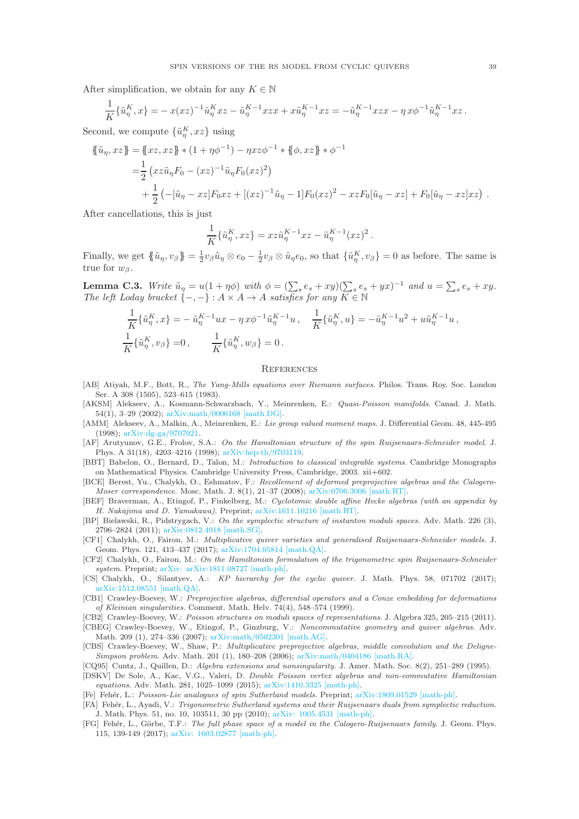After simplification, we obtain for any  $K \in \mathbb{N}$ 

$$
\frac{1}{K} \{\tilde{u}_{\eta}^{K}, x\} = -x(xz)^{-1} \tilde{u}_{\eta}^{K} xz - \tilde{u}_{\eta}^{K-1} xzx + x \tilde{u}_{\eta}^{K-1} xz = -\tilde{u}_{\eta}^{K-1} xzx - \eta x \phi^{-1} \tilde{u}_{\eta}^{K-1} xz.
$$

Second, we compute  $\{\tilde{u}_{\eta}^K, xz\}$  using

$$
\{\tilde{u}_{\eta}, xz\} = \{xz, xz\} * (1 + \eta \phi^{-1}) - \eta xz \phi^{-1} * \{\phi, xz\} * \phi^{-1}
$$
  
=  $\frac{1}{2} (xz\tilde{u}_{\eta}F_0 - (xz)^{-1}\tilde{u}_{\eta}F_0(xz)^2)$   
+  $\frac{1}{2} (-[\tilde{u}_{\eta} - xz]F_0xz + [(xz)^{-1}\tilde{u}_{\eta} - 1]F_0(xz)^2 - xzF_0[\tilde{u}_{\eta} - xz] + F_0[\tilde{u}_{\eta} - xz]xz).$ 

After cancellations, this is just

$$
\frac{1}{K}\{\tilde{u}_{\eta}^K,xz\}=xz\tilde{u}_{\eta}^{K-1}xz-\tilde{u}_{\eta}^{K-1}(xz)^2.
$$

Finally, we get  $\{\{\tilde{u}_\eta, v_\beta\} = \frac{1}{2}v_\beta \tilde{u}_\eta \otimes e_0 - \frac{1}{2}v_\beta \otimes \tilde{u}_\eta e_0$ , so that  $\{\tilde{u}_\eta^K, v_\beta\} = 0$  as before. The same is true for  $w_8$ .

<span id="page-38-17"></span>**Lemma C.3.** Write  $\tilde{u}_{\eta} = u(1 + \eta \phi)$  with  $\phi = (\sum_{s} e_s + xy)(\sum_{s} e_s + yx)^{-1}$  and  $u = \sum_{s} e_s + xy$ . The left Loday bracket  $\{-,-\} : A \times A \to A$  satisfies for any  $K \in \mathbb{N}$ 

$$
\frac{1}{K} \{\tilde{u}_{\eta}^{K}, x\} = -\tilde{u}_{\eta}^{K-1} u x - \eta x \phi^{-1} \tilde{u}_{\eta}^{K-1} u, \quad \frac{1}{K} \{\tilde{u}_{\eta}^{K}, u\} = -\tilde{u}_{\eta}^{K-1} u^{2} + u \tilde{u}_{\eta}^{K-1} u,
$$
\n
$$
\frac{1}{K} \{\tilde{u}_{\eta}^{K}, v_{\beta}\} = 0, \qquad \frac{1}{K} \{\tilde{u}_{\eta}^{K}, w_{\beta}\} = 0.
$$

### **REFERENCES**

- <span id="page-38-6"></span>[AB] Atiyah, M.F., Bott, R., The Yang-Mills equations over Riemann surfaces. Philos. Trans. Roy. Soc. London Ser. A 308 (1505), 523-615 (1983).
- <span id="page-38-4"></span>[AKSM] Alekseev, A., Kosmann-Schwarzbach, Y., Meinrenken, E.: Quasi-Poisson manifolds. Canad. J. Math. 54(1), 3–29 (2002); [arXiv:math/0006168 \[math.DG\].](http://xxx.lanl.gov/abs/math/0006168)
- <span id="page-38-5"></span>[AMM] Alekseev, A., Malkin, A., Meinrenken, E.: Lie group valued moment maps. J. Differential Geom. 48, 445-495 (1998); [arXiv:dg-ga/9707021.](http://xxx.lanl.gov/abs/dg-ga/9707021)
- <span id="page-38-8"></span>[AF] Arutyunov, G.E., Frolov, S.A.: On the Hamiltonian structure of the spin Ruijsenaars-Schneider model. J. Phys. A 31(18), 4203–4216 (1998); [arXiv:hep-th/9703119.](http://xxx.lanl.gov/abs/hep-th/9703119)
- <span id="page-38-18"></span>[BBT] Babelon, O., Bernard, D., Talon, M.: Introduction to classical integrable systems. Cambridge Monographs on Mathematical Physics. Cambridge University Press, Cambridge, 2003. xii+602.
- <span id="page-38-15"></span>[BCE] Berest, Yu., Chalykh, O., Eshmatov, F.: Recollement of deformed preprojective algebras and the Calogero-Moser correspondence. Mosc. Math. J. 8(1), 21–37 (2008); [arXiv:0706.3006 \[math.RT\].](http://xxx.lanl.gov/abs/0706.3006)
- <span id="page-38-16"></span>[BEF] Braverman, A., Etingof, P., Finkelberg, M.: Cyclotomic double affine Hecke algebras (with an appendix by H. Nakajima and D. Yamakawa). Preprint; [arXiv:1611.10216 \[math.RT\].](http://xxx.lanl.gov/abs/1611.10216)
- <span id="page-38-2"></span>[BP] Bielawski, R., Pidstrygach, V.: On the symplectic structure of instanton moduli spaces. Adv. Math. 226 (3), 2796–2824 (2011); [arXiv:0812.4918 \[math.SG\].](http://xxx.lanl.gov/abs/0812.4918)
- <span id="page-38-0"></span>[CF1] Chalykh, O., Fairon, M.: Multiplicative quiver varieties and generalised Ruijsenaars-Schneider models. J. Geom. Phys. 121, 413–437 (2017); [arXiv:1704.05814 \[math.QA\].](https://arxiv.org/abs/1704.05814)
- <span id="page-38-11"></span>[CF2] Chalykh, O., Fairon, M.: On the Hamiltonian formulation of the trigonometric spin Ruijsenaars-Schneider system. Preprint; [arXiv: arXiv:1811.08727 \[math-ph\].](https://arxiv.org/abs/arXiv:1811.08727)
- <span id="page-38-3"></span>[CS] Chalykh, O., Silantyev, A.: KP hierarchy for the cyclic quiver. J. Math. Phys. 58, 071702 (2017); [arXiv:1512.08551 \[math.QA\].](https://arxiv.org/abs/1512.08551)
- <span id="page-38-12"></span>[CB1] Crawley-Boevey, W.: Preprojective algebras, differential operators and a Conze embedding for deformations of Kleinian singularities. Comment. Math. Helv. 74(4), 548–574 (1999).
- <span id="page-38-13"></span>[CB2] Crawley-Boevey, W.: Poisson structures on moduli spaces of representations. J. Algebra 325, 205–215 (2011).
- <span id="page-38-1"></span>[CBEG] Crawley-Boevey, W., Etingof, P., Ginzburg, V.: Noncommutative geometry and quiver algebras. Adv. Math. 209 (1), 274–336 (2007); [arXiv:math/0502301 \[math.AG\].](https://arxiv.org/abs/math/0502301v4)
- <span id="page-38-10"></span>[CBS] Crawley-Boevey, W., Shaw, P.: Multiplicative preprojective algebras, middle convolution and the Deligne-Simpson problem. Adv. Math. 201 (1), 180–208 (2006); [arXiv:math/0404186 \[math.RA\].](https://arxiv.org/abs/math/0404186)
- <span id="page-38-14"></span>[CQ95] Cuntz, J., Quillen, D.: Algebra extensions and nonsingularity. J. Amer. Math. Soc. 8(2), 251–289 (1995).
- <span id="page-38-20"></span>[DSKV] De Sole, A., Kac, V.G., Valeri, D. Double Poisson vertex algebras and non-commutative Hamiltonian equations. Adv. Math. 281, 1025–1099 (2015); [arXiv:1410.3325 \[math-ph\].](https://arxiv.org/abs/1410.3325)
- <span id="page-38-9"></span>[Fe] Fehér, L.: Poisson-Lie analogues of spin Sutherland models. Preprint; [arXiv:1809.01529 \[math-ph\].](https://arxiv.org/abs/1809.01529)
- <span id="page-38-19"></span>[FA] Fehér, L., Ayadi, V.: Trigonometric Sutherland systems and their Ruijsenaars duals from symplectic reduction. J. Math. Phys. 51, no. 10, 103511, 30 pp (2010); [arXiv: 1005.4531 \[math-ph\].](https://arxiv.org/abs/1005.4531)
- <span id="page-38-7"></span>[FG] Fehér, L., Görbe, T.F.: The full phase space of a model in the Calogero-Ruijsenaars family. J. Geom. Phys. 115, 139-149 (2017); [arXiv: 1603.02877 \[math-ph\].](https://arxiv.org/abs/1603.02877)